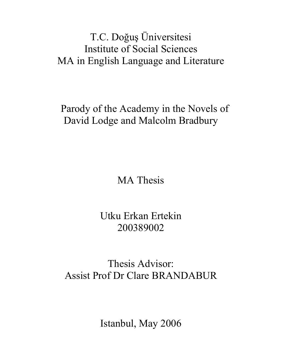# T.C. Doğuş Üniversitesi Institute of Social Sciences MA in English Language and Literature

 Parody of the Academy in the Novels of David Lodge and Malcolm Bradbury

MA Thesis

Utku Erkan Ertekin 200389002

Thesis Advisor: Assist Prof Dr Clare BRANDABUR

Istanbul, May 2006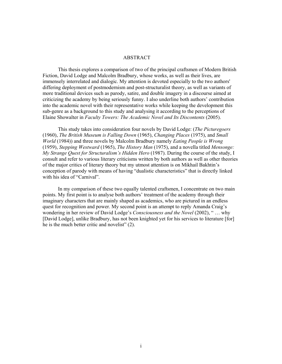## ABSTRACT

This thesis explores a comparison of two of the principal craftsmen of Modern British Fiction, David Lodge and Malcolm Bradbury, whose works, as well as their lives, are immensely interrelated and dialogic. My attention is devoted especially to the two authors' differing deployment of postmodernism and post-structuralist theory, as well as variants of more traditional devices such as parody, satire, and double imagery in a discourse aimed at criticizing the academy by being seriously funny. I also underline both authors' contribution into the academic novel with their representative works while keeping the development this sub-genre as a background to this study and analysing it according to the perceptions of Elaine Showalter in Faculty Towers: The Academic Novel and Its Discontents (2005).

This study takes into consideration four novels by David Lodge: (The Picturegoers (1960), The British Museum is Falling Down (1965), Changing Places (1975), and Small World (1984)) and three novels by Malcolm Bradbury namely Eating People is Wrong (1959), Stepping Westward (1965), The History Man (1975), and a novella titled Mensonge: My Strange Quest for Structuralism's Hidden Hero (1987). During the course of the study, I consult and refer to various literary criticisms written by both authors as well as other theories of the major critics of literary theory but my utmost attention is on Mikhail Bakhtin's conception of parody with means of having "dualistic characteristics" that is directly linked with his idea of "Carnival".

In my comparison of these two equally talented craftsmen, I concentrate on two main points. My first point is to analyse both authors' treatment of the academy through their imaginary characters that are mainly shaped as academics, who are pictured in an endless quest for recognition and power. My second point is an attempt to reply Amanda Craig's wondering in her review of David Lodge's Consciousness and the Novel (2002), " … why [David Lodge], unlike Bradbury, has not been knighted yet for his services to literature [for] he is the much better critic and novelist" (2).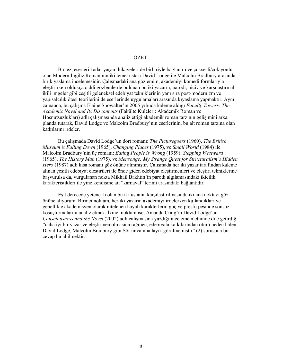## ÖZET

Bu tez, eserleri kadar yaşam hikayeleri de birbiriyle bağlantılı ve çoksesli/çok yönlü olan Modern İngiliz Romanının iki temel ustası David Lodge ile Malcolm Bradbury arasında bir kıyaslama incelemesidir. Çalışmadaki ana gözlemim, akademiyi komedi formlarıyla eleştirirken oldukça ciddi gözlemlerde bulunan bu iki yazarın, parodi, hiciv ve karşılaştırmalı ikili imgeler gibi çeşitli geleneksel edebiyat tekniklerinin yanı sıra post-modernizm ve yapısalcılık ötesi teorilerini de eserlerinde uygulamaları arasında kıyaslama yapmaktır. Aynı zamanda, bu çalışma Elaine Showalter'ın 2005 yılında kaleme aldığı Faculty Towers: The Academic Novel and Its Discontents (Fakülte Kuleleri: Akademik Roman ve Hoşnutsuzlukları) adlı çalışmasında analiz ettiği akademik roman tarzının gelişimini arka planda tutarak, David Lodge ve Malcolm Bradbury'nin eserlerinin, bu alt roman tarzına olan katkılarını irdeler.

Bu çalışmada David Lodge'un dört romanı: The Picturegoers (1960), The British Museum is Falling Down (1965), Changing Places (1975), ve Small World (1984) ile Malcolm Bradbury'nin üç romanı: Eating People is Wrong (1959), Stepping Westward (1965), The History Man (1975), ve Mensonge: My Strange Quest for Structuralism's Hidden Hero (1987) adlı kısa romanı göz önüne alınmıştır. Çalışmada her iki yazar tarafından kaleme alınan çeşitli edebiyat eleştirileri ile önde giden edebiyat eleştirmenleri ve eleştiri tekniklerine başvurulsa da, vurgulanan nokta Mikhail Bakhtin'in parodi algılamasındaki ikicilik karakteristikleri ile yine kendisine ait "karnaval" terimi arasındaki bağlantıdır.

Eşit derecede yetenekli olan bu iki ustanın karşılaştırılmasında iki ana noktayı göz önüne alıyorum. Birinci noktam, her iki yazarın akademiyi irdelerken kullandıkları ve genellikle akademisyen olarak nitelenen hayali karakterlerin güç ve prestij peşinde sonsuz koşuşturmalarını analiz etmek. İkinci noktam ise, Amanda Craig'in David Lodge'un Consciousness and the Novel (2002) adlı çalışmasına yazdığı inceleme metninde dile getirdiği "daha iyi bir yazar ve eleştirmen olmasına rağmen, edebiyata katkılarından ötürü neden halen David Lodge, Malcolm Bradbury gibi Sör ünvanına layık görülmemiştir" (2) sorusuna bir cevap bulabilmektir.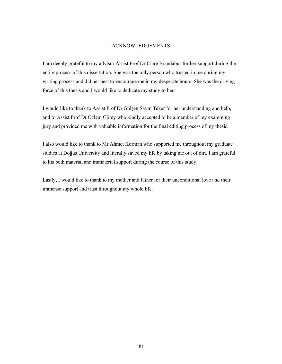## ACKNOWLEDGEMENTS

I am deeply grateful to my advisor Assist Prof Dr Clare Brandabur for her support during the entire process of this dissertation. She was the only person who trusted in me during my writing process and did her best to encourage me in my desperate hours. She was the driving force of this thesis and I would like to dedicate my study to her.

I would like to thank to Assist Prof Dr Gülşen Sayın Teker for her understanding and help, and to Assist Prof Dr Özlem Görey who kindly accepted to be a member of my examining jury and provided me with valuable information for the final editing process of my thesis.

I also would like to thank to Mr Ahmet Korman who supported me throughout my graduate studies at Doğuş University and literally saved my life by taking me out of dirt. I am grateful to his both material and immaterial support during the course of this study.

Lastly, I would like to thank to my mother and father for their unconditional love and their immense support and trust throughout my whole life.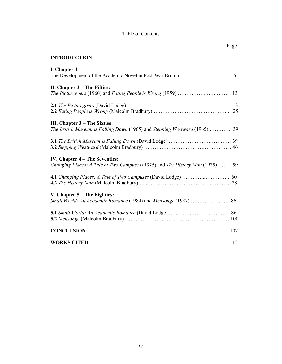## Table of Contents

|                                                                                                                 | Page |
|-----------------------------------------------------------------------------------------------------------------|------|
|                                                                                                                 |      |
| I. Chapter 1                                                                                                    |      |
| II. Chapter 2 – The Fifties:                                                                                    |      |
|                                                                                                                 |      |
| III. Chapter 3 - The Sixties:<br>The British Museum is Falling Down (1965) and Stepping Westward (1965)  39     |      |
|                                                                                                                 |      |
| IV. Chapter 4 – The Seventies:<br>Changing Places: A Tale of Two Campuses (1975) and The History Man (1975)  59 |      |
|                                                                                                                 |      |
| V. Chapter 5 – The Eighties:<br>Small World: An Academic Romance (1984) and Mensonge (1987)  86                 |      |
|                                                                                                                 |      |
|                                                                                                                 |      |
|                                                                                                                 |      |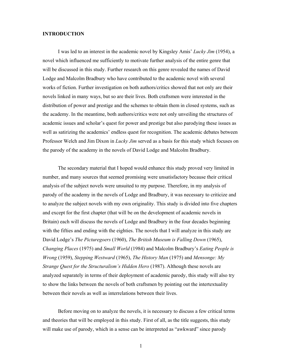## INTRODUCTION

I was led to an interest in the academic novel by Kingsley Amis' Lucky Jim (1954), a novel which influenced me sufficiently to motivate further analysis of the entire genre that will be discussed in this study. Further research on this genre revealed the names of David Lodge and Malcolm Bradbury who have contributed to the academic novel with several works of fiction. Further investigation on both authors/critics showed that not only are their novels linked in many ways, but so are their lives. Both craftsmen were interested in the distribution of power and prestige and the schemes to obtain them in closed systems, such as the academy. In the meantime, both authors/critics were not only unveiling the structures of academic issues and scholar's quest for power and prestige but also parodying these issues as well as satirizing the academics' endless quest for recognition. The academic debates between Professor Welch and Jim Dixon in *Lucky Jim* served as a basis for this study which focuses on the parody of the academy in the novels of David Lodge and Malcolm Bradbury.

The secondary material that I hoped would enhance this study proved very limited in number, and many sources that seemed promising were unsatisfactory because their critical analysis of the subject novels were unsuited to my purpose. Therefore, in my analysis of parody of the academy in the novels of Lodge and Bradbury, it was necessary to criticize and to analyze the subject novels with my own originality. This study is divided into five chapters and except for the first chapter (that will be on the development of academic novels in Britain) each will discuss the novels of Lodge and Bradbury in the four decades beginning with the fifties and ending with the eighties. The novels that I will analyze in this study are David Lodge's The Picturegoers (1960), The British Museum is Falling Down (1965), Changing Places (1975) and Small World (1984) and Malcolm Bradbury's Eating People is Wrong (1959), Stepping Westward (1965), The History Man (1975) and Mensonge: My Strange Quest for the Structuralism's Hidden Hero (1987). Although these novels are analyzed separately in terms of their deployment of academic parody, this study will also try to show the links between the novels of both craftsmen by pointing out the intertextuality between their novels as well as interrelations between their lives.

Before moving on to analyze the novels, it is necessary to discuss a few critical terms and theories that will be employed in this study. First of all, as the title suggests, this study will make use of parody, which in a sense can be interpreted as "awkward" since parody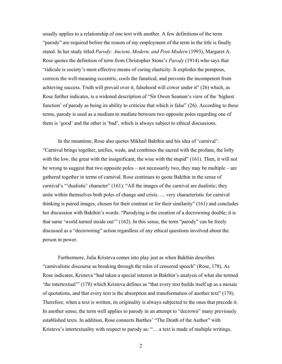usually applies to a relationship of one text with another. A few definitions of the term "parody" are required before the reason of my employment of the term in the title is finally stated. In her study titled Parody: Ancient, Modern, and Post-Modern (1993), Margaret A. Rose quotes the definition of term from Christopher Stone's Parody (1914) who says that "ridicule is society's most effective means of curing elasticity. It explodes the pompous, corrects the well-meaning eccentric, cools the fanatical, and prevents the incompetent from achieving success. Truth will prevail over it, falsehood will cower under it" (26) which, as Rose further indicates, is a widened description of "Sir Owen Seaman's view of the 'highest function' of parody as being its ability to criticize that which is false" (26). According to these terms, parody is used as a medium to mediate between two opposite poles regarding one of them is 'good' and the other is 'bad', which is always subject to ethical discussions.

In the meantime, Rose also quotes Mikhail Bakthin and his idea of 'carnival': "Carnival brings together, unifies, weds, and combines the sacred with the profane, the lofty with the low, the great with the insignificant, the wise with the stupid" (161). Then, it will not be wrong to suggest that two opposite poles – not necessarily two, they may be multiple – are gathered together in terms of carnival. Rose continues to quote Bakthin in the sense of carnival's "'dualistic' character" (161): "All the images of the carnival are dualistic; they unite within themselves both poles of change and crisis. … very characteristic for carnival thinking is paired images, chosen for their contrast or for their similarity" (161) and concludes her discussion with Bakthin's words: "Parodying is the creation of a decrowning double; it is that same 'world turned inside out'" (162). In this sense, the term "parody" can be freely discussed as a "decrowning" action regardless of any ethical questions involved about the person in power.

Furthermore, Julia Kristeva comes into play just as when Bakthin describes "carnivalistic discourse as breaking through the rules of censored speech" (Rose, 178). As Rose indicates, Kristeva "had taken a special interest in Bakthin's analysis of what she termed 'the intertextual'" (178) which Kristeva defines as "that every text builds itself up as a mosaic of quotations, and that every text is the absorption and transformation of another text" (178). Therefore, when a text is written, its originality is always subjected to the ones that precede it. In another sense, the term well applies to parody in an attempt to "decrown" many previously established texts. In addition, Rose connects Barthes' "The Death of the Author" with Kristeva's intertextuality with respect to parody as: "… a text is made of multiple writings,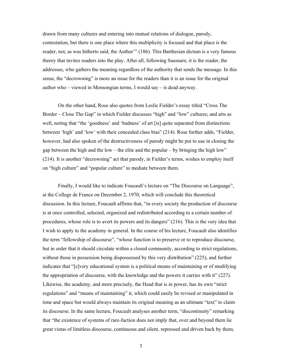drawn from many cultures and entering into mutual relations of dialogue, parody, contestation, but there is one place where this multiplicity is focused and that place is the reader, not, as was hitherto said, the Author'" (186). This Barthesian dictum is a very famous theory that invites readers into the play. After all, following Saussure, it is the reader, the addressee, who gathers the meaning regardless of the authority that sends the message. In this sense, the "decrowning" is more an issue for the readers than it is an issue for the original author who – viewed in Mensongian terms, I would say – is dead anyway.

On the other hand, Rose also quotes from Leslie Fielder's essay titled "Cross The Border – Close The Gap" in which Fielder discusses "high" and "low" cultures; and arts as well, noting that "the 'goodness' and 'badness' of art [is] quite separated from distinctions between 'high' and 'low' with their concealed class bias" (214). Rose further adds, "Fielder, however, had also spoken of the destructiveness of parody might be put to use in closing the gap between the high and the low – the elite and the popular – by bringing the high low" (214). It is another "decrowning" act that parody, in Fielder's terms, wishes to employ itself on "high culture" and "popular culture" to mediate between them.

Finally, I would like to indicate Foucault's lecture on "The Discourse on Language", at the College de France on December 2, 1970, which will conclude this theoretical discussion. In this lecture, Foucault affirms that, "in every society the production of discourse is at once controlled, selected, organized and redistributed according to a certain number of procedures, whose role is to avert its powers and its dangers" (216). This is the very idea that I wish to apply to the academy in general. In the course of his lecture, Foucault also identifies the term "fellowship of discourse", "whose function is to preserve or to reproduce discourse, but in order that it should circulate within a closed community, according to strict regulations, without those in possession being dispossessed by this very distribution" (225), and further indicates that "[e]very educational system is a political means of maintaining or of modifying the appropriation of discourse, with the knowledge and the powers it carries with it" (227). Likewise, the academy, and more precisely, the Head that is in power, has its own "strict regulations" and "means of maintaining" it, which could easily be revised or manipulated in time and space but would always maintain its original meaning as an ultimate "text" to claim its discourse. In the same lecture, Foucault analyses another term, "discontinuity" remarking that "the existence of systems of rare-faction does not imply that, over and beyond them lie great vistas of limitless discourse, continuous and silent, repressed and driven back by them,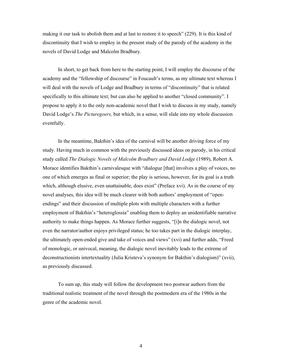making it our task to abolish them and at last to restore it to speech" (229). It is this kind of discontinuity that I wish to employ in the present study of the parody of the academy in the novels of David Lodge and Malcolm Bradbury.

In short, to get back from here to the starting point, I will employ the discourse of the academy and the "fellowship of discourse" in Foucault's terms, as my ultimate text whereas I will deal with the novels of Lodge and Bradbury in terms of "discontinuity" that is related specifically to this ultimate text; but can also be applied to another "closed community". I propose to apply it to the only non-academic novel that I wish to discuss in my study, namely David Lodge's *The Picturegoers*, but which, in a sense, will slide into my whole discussion eventfully.

In the meantime, Bakthin's idea of the carnival will be another driving force of my study. Having much in common with the previously discussed ideas on parody, in his critical study called The Dialogic Novels of Malcolm Bradbury and David Lodge (1989), Robert A. Morace identifies Bakthin's carnivalesque with "dialogue [that] involves a play of voices, no one of which emerges as final or superior; the play is serious, however, for its goal is a truth which, although elusive, even unattainable, does exist" (Preface xvi). As in the course of my novel analyses, this idea will be much clearer with both authors' employment of "openendings" and their discussion of multiple plots with multiple characters with a further employment of Bakthin's "heteroglossia" enabling them to deploy an unidentifiable narrative authority to make things happen. As Morace further suggests, "[i]n the dialogic novel, not even the narrator/author enjoys privileged status; he too takes part in the dialogic interplay, the ultimately open-ended give and take of voices and views" (xvi) and further adds, "Freed of monologic, or univocal, meaning, the dialogic novel inevitably leads to the extreme of deconstructionists intertextuality (Julia Kristeva's synonym for Bakthin's dialogism)" (xvii), as previously discussed.

To sum up, this study will follow the development two postwar authors from the traditional realistic treatment of the novel through the postmodern era of the 1980s in the genre of the academic novel.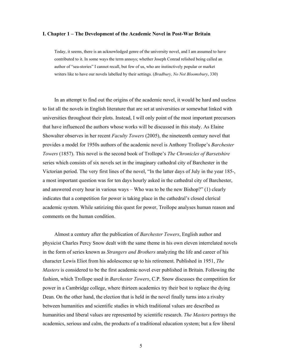#### I. Chapter 1 – The Development of the Academic Novel in Post-War Britain

Today, it seems, there is an acknowledged genre of the university novel, and I am assumed to have contributed to it. In some ways the term annoys; whether Joseph Conrad relished being called an author of "sea-stories" I cannot recall, but few of us, who are instinctively popular or market writers like to have our novels labelled by their settings. (Bradbury, No Not Bloomsbury, 330)

In an attempt to find out the origins of the academic novel, it would be hard and useless to list all the novels in English literature that are set at universities or somewhat linked with universities throughout their plots. Instead, I will only point of the most important precursors that have influenced the authors whose works will be discussed in this study. As Elaine Showalter observes in her recent *Faculty Towers* (2005), the nineteenth century novel that provides a model for 1950s authors of the academic novel is Anthony Trollope's Barchester Towers (1857). This novel is the second book of Trollope's *The Chronicles of Barsetshire* series which consists of six novels set in the imaginary cathedral city of Barchester in the Victorian period. The very first lines of the novel, "In the latter days of July in the year 185-, a most important question was for ten days hourly asked in the cathedral city of Barchester, and answered every hour in various ways – Who was to be the new Bishop?" (1) clearly indicates that a competition for power is taking place in the cathedral's closed clerical academic system. While satirizing this quest for power, Trollope analyses human reason and comments on the human condition.

Almost a century after the publication of *Barchester Towers*, English author and physicist Charles Percy Snow dealt with the same theme in his own eleven interrelated novels in the form of series known as Strangers and Brothers analyzing the life and career of his character Lewis Eliot from his adolescence up to his retirement. Published in 1951, The Masters is considered to be the first academic novel ever published in Britain. Following the fashion, which Trollope used in *Barchester Towers*, C.P. Snow discusses the competition for power in a Cambridge college, where thirteen academics try their best to replace the dying Dean. On the other hand, the election that is held in the novel finally turns into a rivalry between humanities and scientific studies in which traditional values are described as humanities and liberal values are represented by scientific research. The Masters portrays the academics, serious and calm, the products of a traditional education system; but a few liberal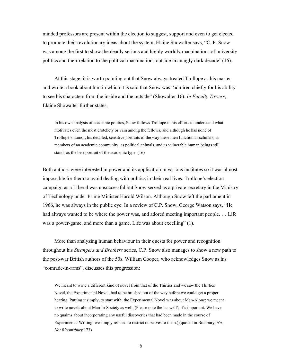minded professors are present within the election to suggest, support and even to get elected to promote their revolutionary ideas about the system. Elaine Showalter says, "C. P. Snow was among the first to show the deadly serious and highly worldly machinations of university politics and their relation to the political machinations outside in an ugly dark decade" (16).

At this stage, it is worth pointing out that Snow always treated Trollope as his master and wrote a book about him in which it is said that Snow was "admired chiefly for his ability to see his characters from the inside and the outside" (Showalter 16). In Faculty Towers, Elaine Showalter further states,

In his own analysis of academic politics, Snow follows Trollope in his efforts to understand what motivates even the most crotchety or vain among the fellows, and although he has none of Trollope's humor, his detailed, sensitive portraits of the way these men function as scholars, as members of an academic community, as political animals, and as vulnerable human beings still stands as the best portrait of the academic type. (16)

Both authors were interested in power and its application in various institutes so it was almost impossible for them to avoid dealing with politics in their real lives. Trollope's election campaign as a Liberal was unsuccessful but Snow served as a private secretary in the Ministry of Technology under Prime Minister Harold Wilson. Although Snow left the parliament in 1966, he was always in the public eye. In a review of C.P. Snow, George Watson says, "He had always wanted to be where the power was, and adored meeting important people. … Life was a power-game, and more than a game. Life was about excelling" (1).

More than analyzing human behaviour in their quests for power and recognition throughout his Strangers and Brothers series, C.P. Snow also manages to show a new path to the post-war British authors of the 50s. William Cooper, who acknowledges Snow as his "comrade-in-arms", discusses this progression:

We meant to write a different kind of novel from that of the Thirties and we saw the Thirties Novel, the Experimental Novel, had to be brushed out of the way before we could get a proper hearing. Putting it simply, to start with: the Experimental Novel was about Man-Alone; we meant to write novels about Man-in-Society as well. (Please note the 'as well'; it's important. We have no qualms about incorporating any useful discoveries that had been made in the course of Experimental Writing; we simply refused to restrict ourselves to them.) (quoted in Bradbury, No, Not Bloomsbury 173)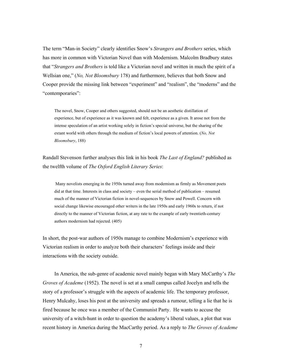The term "Man-in Society" clearly identifies Snow's Strangers and Brothers series, which has more in common with Victorian Novel than with Modernism. Malcolm Bradbury states that "Strangers and Brothers is told like a Victorian novel and written in much the spirit of a Wellsian one," (No, Not Bloomsbury 178) and furthermore, believes that both Snow and Cooper provide the missing link between "experiment" and "realism", the "moderns" and the "contemporaries":

The novel, Snow, Cooper and others suggested, should not be an aesthetic distillation of experience, but of experience as it was known and felt, experience as a given. It arose not from the intense speculation of an artist working solely in fiction's special universe, but the sharing of the extant world with others through the medium of fiction's local powers of attention. (No, Not Bloomsbury, 188)

Randall Stevenson further analyses this link in his book The Last of England? published as the twelfth volume of The Oxford English Literary Series:

 Many novelists emerging in the 1950s turned away from modernism as firmly as Movement poets did at that time. Interests in class and society – even the serial method of publication – resumed much of the manner of Victorian fiction in novel-sequences by Snow and Powell. Concern with social change likewise encouraged other writers in the late 1950s and early 1960s to return, if not directly to the manner of Victorian fiction, at any rate to the example of early twentieth-century authors modernism had rejected. (405)

In short, the post-war authors of 1950s manage to combine Modernism's experience with Victorian realism in order to analyze both their characters' feelings inside and their interactions with the society outside.

In America, the sub-genre of academic novel mainly began with Mary McCarthy's The Groves of Academe (1952). The novel is set at a small campus called Jocelyn and tells the story of a professor's struggle with the aspects of academic life. The temporary professor, Henry Mulcahy, loses his post at the university and spreads a rumour, telling a lie that he is fired because he once was a member of the Communist Party. He wants to accuse the university of a witch-hunt in order to question the academy's liberal values, a plot that was recent history in America during the MacCarthy period. As a reply to *The Groves of Academe*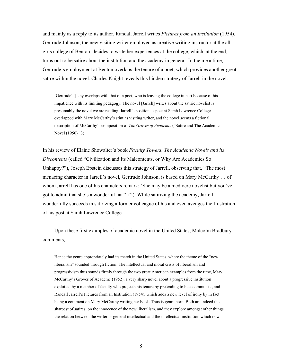and mainly as a reply to its author, Randall Jarrell writes Pictures from an Institution (1954). Gertrude Johnson, the new visiting writer employed as creative writing instructor at the allgirls college of Benton, decides to write her experiences at the college, which, at the end, turns out to be satire about the institution and the academy in general. In the meantime, Gertrude's employment at Benton overlaps the tenure of a poet, which provides another great satire within the novel. Charles Knight reveals this hidden strategy of Jarrell in the novel:

[Gertrude's] stay overlaps with that of a poet, who is leaving the college in part because of his impatience with its limiting pedagogy. The novel [Jarrell] writes about the satiric novelist is presumably the novel we are reading. Jarrell's position as poet at Sarah Lawrence College overlapped with Mary McCarthy's stint as visiting writer, and the novel seems a fictional description of McCarthy's composition of The Groves of Academe. ("Satire and The Academic Novel (1950)" 3)

In his review of Elaine Showalter's book Faculty Towers, The Academic Novels and its Discontents (called "Civilization and Its Malcontents, or Why Are Academics So Unhappy?"), Joseph Epstein discusses this strategy of Jarrell, observing that, "The most menacing character in Jarrell's novel, Gertrude Johnson, is based on Mary McCarthy … of whom Jarrell has one of his characters remark: 'She may be a mediocre novelist but you've got to admit that she's a wonderful liar'" (2). While satirizing the academy, Jarrell wonderfully succeeds in satirizing a former colleague of his and even avenges the frustration of his post at Sarah Lawrence College.

Upon these first examples of academic novel in the United States, Malcolm Bradbury comments,

Hence the genre appropriately had its match in the United States, where the theme of the "new liberalism" sounded through fiction. The intellectual and moral crisis of liberalism and progressivism thus sounds firmly through the two great American examples from the time, Mary McCarthy's Groves of Academe (1952), a very sharp novel about a progressive institution exploited by a member of faculty who projects his tenure by pretending to be a communist, and Randall Jarrell's Pictures from an Institution (1954), which adds a new level of irony by in fact being a comment on Mary McCarthy writing her book. Thus is genre born. Both are indeed the sharpest of satires, on the innocence of the new liberalism, and they explore amongst other things the relation between the writer or general intellectual and the intellectual institution which now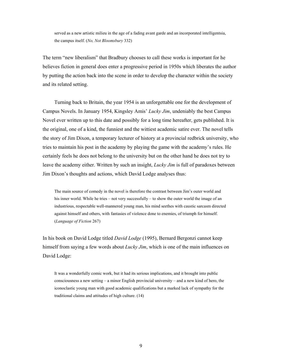served as a new artistic milieu in the age of a fading avant garde and an incorporated intelligentsia, the campus itself. (No, Not Bloomsbury 332)

The term "new liberalism" that Bradbury chooses to call these works is important for he believes fiction in general does enter a progressive period in 1950s which liberates the author by putting the action back into the scene in order to develop the character within the society and its related setting.

Turning back to Britain, the year 1954 is an unforgettable one for the development of Campus Novels. In January 1954, Kingsley Amis' Lucky Jim, undeniably the best Campus Novel ever written up to this date and possibly for a long time hereafter, gets published. It is the original, one of a kind, the funniest and the wittiest academic satire ever. The novel tells the story of Jim Dixon, a temporary lecturer of history at a provincial redbrick university, who tries to maintain his post in the academy by playing the game with the academy's rules. He certainly feels he does not belong to the university but on the other hand he does not try to leave the academy either. Written by such an insight, *Lucky Jim* is full of paradoxes between Jim Dixon's thoughts and actions, which David Lodge analyses thus:

The main source of comedy in the novel is therefore the contrast between Jim's outer world and his inner world. While he tries – not very successfully – to show the outer world the image of an industrious, respectable well-mannered young man, his mind seethes with caustic sarcasm directed against himself and others, with fantasies of violence done to enemies, of triumph for himself. (Language of Fiction 267)

In his book on David Lodge titled David Lodge (1995), Bernard Bergonzi cannot keep himself from saying a few words about *Lucky Jim*, which is one of the main influences on David Lodge:

It was a wonderfully comic work, but it had its serious implications, and it brought into public consciousness a new setting – a minor English provincial university – and a new kind of hero, the iconoclastic young man with good academic qualifications but a marked lack of sympathy for the traditional claims and attitudes of high culture. (14)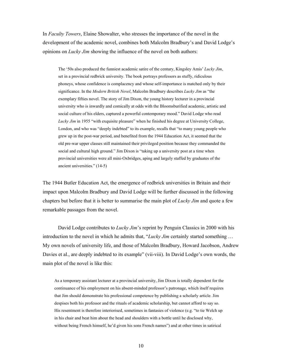In Faculty Towers, Elaine Showalter, who stresses the importance of the novel in the development of the academic novel, combines both Malcolm Bradbury's and David Lodge's opinions on Lucky Jim showing the influence of the novel on both authors:

The '50s also produced the funniest academic satire of the century, Kingsley Amis' Lucky Jim, set in a provincial redbrick university. The book portrays professors as stuffy, ridiculous phoneys, whose confidence is complacency and whose self-importance is matched only by their significance. In the Modern British Novel, Malcolm Bradbury describes Lucky Jim as "the exemplary fifties novel. The story of Jim Dixon, the young history lecturer in a provincial university who is inwardly and comically at odds with the Bloomsburified academic, artistic and social culture of his elders, captured a powerful contemporary mood." David Lodge who read Lucky Jim in 1955 "with exquisite pleasure" when he finished his degree at University College, London, and who was "deeply indebted" to its example, recalls that "to many young people who grew up in the post-war period, and benefited from the 1944 Education Act, it seemed that the old pre-war upper classes still maintained their privileged position because they commanded the social and cultural high ground." Jim Dixon is "taking up a university post at a time when provincial universities were all mini-Oxbridges, aping and largely staffed by graduates of the ancient universities." (14-5)

The 1944 Butler Education Act, the emergence of redbrick universities in Britain and their impact upon Malcolm Bradbury and David Lodge will be further discussed in the following chapters but before that it is better to summarise the main plot of *Lucky Jim* and quote a few remarkable passages from the novel.

David Lodge contributes to *Lucky Jim*'s reprint by Penguin Classics in 2000 with his introduction to the novel in which he admits that, "Lucky Jim certainly started something  $\dots$ My own novels of university life, and those of Malcolm Bradbury, Howard Jacobson, Andrew Davies et al., are deeply indebted to its example" (vii-viii). In David Lodge's own words, the main plot of the novel is like this:

As a temporary assistant lecturer at a provincial university, Jim Dixon is totally dependent for the continuance of his employment on his absent-minded professor's patronage, which itself requires that Jim should demonstrate his professional competence by publishing a scholarly article. Jim despises both his professor and the rituals of academic scholarship, but cannot afford to say so. His resentment is therefore interiorised, sometimes in fantasies of violence (e.g. "to tie Welch up in his chair and beat him about the head and shoulders with a bottle until he disclosed why, without being French himself, he'd given his sons French names") and at other times in satirical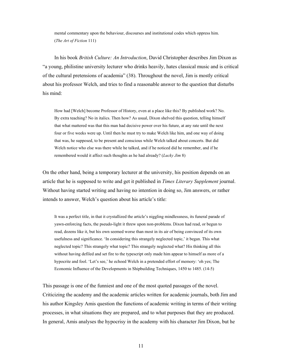mental commentary upon the behaviour, discourses and institutional codes which oppress him. (The Art of Fiction 111)

In his book British Culture: An Introduction, David Christopher describes Jim Dixon as "a young, philistine university lecturer who drinks heavily, hates classical music and is critical of the cultural pretensions of academia" (38). Throughout the novel, Jim is mostly critical about his professor Welch, and tries to find a reasonable answer to the question that disturbs his mind:

How had [Welch] become Professor of History, even at a place like this? By published work? No. By extra teaching? No in italics. Then how? As usual, Dixon shelved this question, telling himself that what mattered was that this man had decisive power over his future, at any rate until the next four or five weeks were up. Until then he must try to make Welch like him, and one way of doing that was, he supposed, to be present and conscious while Welch talked about concerts. But did Welch notice who else was there while he talked, and if he noticed did he remember, and if he remembered would it affect such thoughts as he had already? (Lucky Jim 8)

On the other hand, being a temporary lecturer at the university, his position depends on an article that he is supposed to write and get it published in Times Literary Supplement journal. Without having started writing and having no intention in doing so, Jim answers, or rather intends to answer, Welch's question about his article's title:

It was a perfect title, in that it crystallized the article's niggling mindlessness, its funeral parade of yawn-enforcing facts, the pseudo-light it threw upon non-problems. Dixon had read, or begun to read, dozens like it, but his own seemed worse than most in its air of being convinced of its own usefulness and significance. 'In considering this strangely neglected topic,' it began. This what neglected topic? This strangely what topic? This strangely neglected what? His thinking all this without having defiled and set fire to the typescript only made him appear to himself as more of a hypocrite and fool. 'Let's see,' he echoed Welch in a pretended effort of memory: 'oh yes; The Economic Influence of the Developments in Shipbuilding Techniques, 1450 to 1485. (14-5)

This passage is one of the funniest and one of the most quoted passages of the novel. Criticizing the academy and the academic articles written for academic journals, both Jim and his author Kingsley Amis question the functions of academic writing in terms of their writing processes, in what situations they are prepared, and to what purposes that they are produced. In general, Amis analyses the hypocrisy in the academy with his character Jim Dixon, but he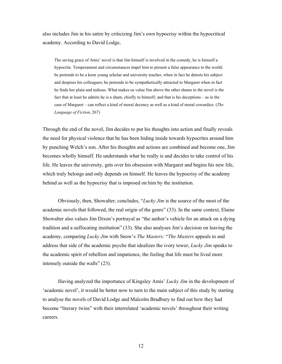also includes Jim in his satire by criticizing Jim's own hypocrisy within the hypocritical academy. According to David Lodge,

The saving grace of Amis' novel is that Jim himself is involved in the comedy, he is himself a hypocrite. Temperament and circumstances impel him to present a false appearance to the world: he pretends to be a keen young scholar and university teacher, when in fact he detests his subject and despises his colleagues; he pretends to be sympathetically attracted to Margaret when in fact he finds her plain and tedious. What makes us value Jim above the other shams in the novel is the fact that at least he admits he is a sham, chiefly to himself; and that is his deceptions – as in the case of Margaret – can reflect a kind of moral decency as well as a kind of moral cowardice. (The Language of Fiction, 267)

Through the end of the novel, Jim decides to put his thoughts into action and finally reveals the need for physical violence that he has been hiding inside towards hypocrites around him by punching Welch's son. After his thoughts and actions are combined and become one, Jim becomes wholly himself. He understands what he really is and decides to take control of his life. He leaves the university, gets over his obsession with Margaret and begins his new life, which truly belongs and only depends on himself. He leaves the hypocrisy of the academy behind as well as the hypocrisy that is imposed on him by the institution.

Obviously, then, Showalter, concludes, "Lucky Jim is the source of the most of the academic novels that followed, the real origin of the genre" (33). In the same context, Elaine Showalter also values Jim Dixon's portrayal as "the author's vehicle for an attack on a dying tradition and a suffocating institution" (33). She also analyses Jim's decision on leaving the academy, comparing Lucky Jim with Snow's The Masters: "The Masters appeals to and address that side of the academic psyche that idealizes the ivory tower, *Lucky Jim* speaks to the academic spirit of rebellion and impatience, the feeling that life must be lived more intensely outside the walls" (23).

Having analyzed the importance of Kingsley Amis' Lucky Jim in the development of 'academic novel', it would be better now to turn to the main subject of this study by starting to analyse the novels of David Lodge and Malcolm Bradbury to find out how they had become "literary twins" with their interrelated 'academic novels' throughout their writing careers.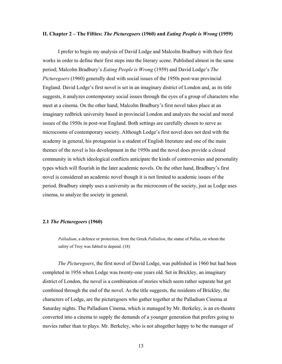## II. Chapter 2 – The Fifties: The Picturegoers (1960) and Eating People is Wrong (1959)

I prefer to begin my analysis of David Lodge and Malcolm Bradbury with their first works in order to define their first steps into the literary scene. Published almost in the same period; Malcolm Bradbury's Eating People is Wrong (1959) and David Lodge's The Picturegoers (1960) generally deal with social issues of the 1950s post-war provincial England. David Lodge's first novel is set in an imaginary district of London and, as its title suggests, it analyzes contemporary social issues through the eyes of a group of characters who meet at a cinema. On the other hand, Malcolm Bradbury's first novel takes place at an imaginary redbrick university based in provincial London and analyzes the social and moral issues of the 1950s in post-war England. Both settings are carefully chosen to serve as microcosms of contemporary society. Although Lodge's first novel does not deal with the academy in general, his protagonist is a student of English literature and one of the main themes of the novel is his development in the 1950s and the novel does provide a closed community in which ideological conflicts anticipate the kinds of controversies and personality types which will flourish in the later academic novels. On the other hand, Bradbury's first novel is considered an academic novel though it is not limited to academic issues of the period. Bradbury simply uses a university as the microcosm of the society, just as Lodge uses cinema, to analyze the society in general.

#### 2.1 The Picturegoers (1960)

Palladium, a defence or protection, from the Greek *Palladion*, the statue of Pallas, on whom the safety of Troy was fabled to depend. (18)

The Picturegoers, the first novel of David Lodge, was published in 1960 but had been completed in 1956 when Lodge was twenty-one years old. Set in Brickley, an imaginary district of London, the novel is a combination of stories which seem rather separate but get combined through the end of the novel. As the title suggests, the residents of Brickley, the characters of Lodge, are the picturegoers who gather together at the Palladium Cinema at Saturday nights. The Palladium Cinema, which is managed by Mr. Berkeley, is an ex-theatre converted into a cinema to supply the demands of a younger generation that prefers going to movies rather than to plays. Mr. Berkeley, who is not altogether happy to be the manager of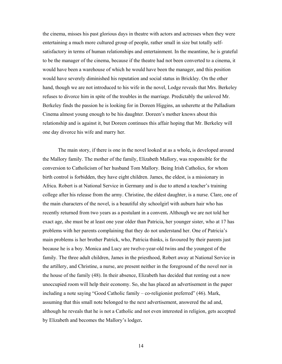the cinema, misses his past glorious days in theatre with actors and actresses when they were entertaining a much more cultured group of people, rather small in size but totally selfsatisfactory in terms of human relationships and entertainment. In the meantime, he is grateful to be the manager of the cinema, because if the theatre had not been converted to a cinema, it would have been a warehouse of which he would have been the manager, and this position would have severely diminished his reputation and social status in Brickley. On the other hand, though we are not introduced to his wife in the novel, Lodge reveals that Mrs. Berkeley refuses to divorce him in spite of the troubles in the marriage. Predictably the unloved Mr. Berkeley finds the passion he is looking for in Doreen Higgins, an usherette at the Palladium Cinema almost young enough to be his daughter. Doreen's mother knows about this relationship and is against it, but Doreen continues this affair hoping that Mr. Berkeley will one day divorce his wife and marry her.

The main story, if there is one in the novel looked at as a whole, is developed around the Mallory family. The mother of the family, Elizabeth Mallory, was responsible for the conversion to Catholicism of her husband Tom Mallory. Being Irish Catholics, for whom birth control is forbidden, they have eight children. James, the eldest, is a missionary in Africa. Robert is at National Service in Germany and is due to attend a teacher's training college after his release from the army. Christine, the eldest daughter, is a nurse. Clare, one of the main characters of the novel, is a beautiful shy schoolgirl with auburn hair who has recently returned from two years as a postulant in a convent. Although we are not told her exact age, she must be at least one year older than Patricia, her younger sister, who at 17 has problems with her parents complaining that they do not understand her. One of Patricia's main problems is her brother Patrick, who, Patricia thinks, is favoured by their parents just because he is a boy. Monica and Lucy are twelve-year-old twins and the youngest of the family. The three adult children, James in the priesthood, Robert away at National Service in the artillery, and Christine, a nurse, are present neither in the foreground of the novel nor in the house of the family (48). In their absence, Elizabeth has decided that renting out a now unoccupied room will help their economy. So, she has placed an advertisement in the paper including a note saying "Good Catholic family – co-religionist preferred" (46). Mark, assuming that this small note belonged to the next advertisement, answered the ad and, although he reveals that he is not a Catholic and not even interested in religion, gets accepted by Elizabeth and becomes the Mallory's lodger.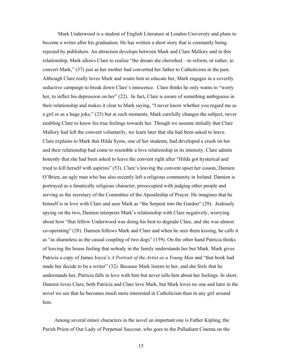Mark Underwood is a student of English Literature at London University and plans to become a writer after his graduation. He has written a short story that is constantly being rejected by publishers. An attraction develops between Mark and Clare Mallory and in this relationship, Mark allows Clare to realize "the dream she cherished – to reform, or rather, to convert Mark," (37) just as her mother had converted her father to Catholicism in the past. Although Clare really loves Mark and wants him to educate her, Mark engages in a covertly seductive campaign to break down Clare's innocence. Clare thinks he only wants to "worry her, to inflict his depression on her" (22). In fact, Clare is aware of something ambiguous in their relationship and makes it clear to Mark saying, "I never know whether you regard me as a girl or as a huge joke," (25) but at such moments, Mark carefully changes the subject, never enabling Clare to know his true feelings towards her. Though we assume initially that Clare Mallory had left the convent voluntarily, we learn later that she had been asked to leave. Clare explains to Mark that Hilda Syms, one of her students, had developed a crush on her and their relationship had come to resemble a love relationship in its intensity. Clare admits honestly that she had been asked to leave the convent right after "Hilda got hysterical and tried to kill herself with aspirins" (53). Clare's leaving the convent upset her cousin, Damien O'Brien, an ugly man who has also recently left a religious community in Ireland. Damien is portrayed as a fanatically religious character, preoccupied with judging other people and serving as the secretary of the Committee of the Apostleship of Prayer. He imagines that he himself is in love with Clare and sees Mark as "the Serpent into the Garden" (29). Jealously spying on the two, Damien interprets Mark's relationship with Clare negatively, worrying about how "that fellow Underwood was doing his best to degrade Clare, and she was almost co-operating" (28). Damien follows Mark and Clare and when he sees them kissing, he calls it as "as shameless as the casual coupling of two dogs" (159). On the other hand Patricia thinks of leaving the house feeling that nobody in the family understands her but Mark. Mark gives Patricia a copy of James Joyce's A Portrait of the Artist as a Young Man and "that book had made her decide to be a writer" (32). Because Mark listens to her, and she feels that he understands her, Patricia falls in love with him but never tells him about her feelings. In short, Damien loves Clare, both Patricia and Clare love Mark, but Mark loves no one and later in the novel we see that he becomes much more interested in Catholicism than in any girl around him.

Among several minor characters in the novel an important one is Father Kipling, the Parish Priest of Our Lady of Perpetual Succour, who goes to the Palladium Cinema on the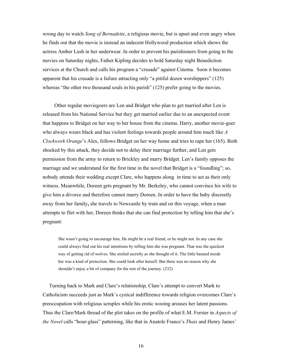wrong day to watch *Song of Bernadette*, a religious movie, but is upset and even angry when he finds out that the movie is instead an indecent Hollywood production which shows the actress Amber Lush in her underwear. In order to prevent his parishioners from going to the movies on Saturday nights, Father Kipling decides to hold Saturday night Benediction services at the Church and calls his program a "crusade" against Cinema. Soon it becomes apparent that his crusade is a failure attracting only "a pitiful dozen worshippers" (125) whereas "the other two thousand souls in his parish" (125) prefer going to the movies.

Other regular moviegoers are Len and Bridget who plan to get married after Len is released from his National Service but they get married earlier due to an unexpected event that happens to Bridget on her way to her house from the cinema. Harry, another movie-goer who always wears black and has violent feelings towards people around him much like A Clockwork Orange's Alex, follows Bridget on her way home and tries to rape her (165). Both shocked by this attack, they decide not to delay their marriage further, and Len gets permission from the army to return to Brickley and marry Bridget. Len's family opposes the marriage and we understand for the first time in the novel that Bridget is a "foundling"; so, nobody attends their wedding except Clare, who happens along in time to act as their only witness. Meanwhile, Doreen gets pregnant by Mr. Berkeley, who cannot convince his wife to give him a divorce and therefore cannot marry Doreen. In order to have the baby discreetly away from her family, she travels to Newcastle by train and on this voyage, when a man attempts to flirt with her, Doreen thinks that she can find protection by telling him that she's pregnant:

She wasn't going to encourage him. He might be a real friend, or he might not. In any case she could always find out his real intentions by telling him she was pregnant. That was the quickest way of getting rid of wolves. She smiled secretly as she thought of it. The little bastard inside her was a kind of protection. She could look after herself. But there was no reason why she shouldn't enjoy a bit of company for the rest of the journey. (232)

 Turning back to Mark and Clare's relationship, Clare's attempt to convert Mark to Catholicism succeeds just as Mark's cynical indifference towards religion overcomes Clare's preoccupation with religious scruples while his erotic wooing arouses her latent passions. Thus the Clare/Mark thread of the plot takes on the profile of what E.M. Forster in Aspects of the Novel calls "hour-glass" patterning, like that in Anatole France's Thais and Henry James'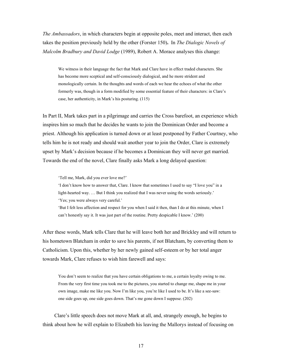The Ambassadors, in which characters begin at opposite poles, meet and interact, then each takes the position previously held by the other (Forster 150). In The Dialogic Novels of Malcolm Bradbury and David Lodge (1989), Robert A. Morace analyses this change:

We witness in their language the fact that Mark and Clare have in effect traded characters. She has become more sceptical and self-consciously dialogical, and he more strident and monologically certain. In the thoughts and words of each we hear the echoes of what the other formerly was, though in a form modified by some essential feature of their characters: in Clare's case, her authenticity, in Mark's his posturing. (115)

In Part II, Mark takes part in a pilgrimage and carries the Cross barefoot, an experience which inspires him so much that he decides he wants to join the Dominican Order and become a priest. Although his application is turned down or at least postponed by Father Courtney, who tells him he is not ready and should wait another year to join the Order, Clare is extremely upset by Mark's decision because if he becomes a Dominican they will never get married. Towards the end of the novel, Clare finally asks Mark a long delayed question:

'Tell me, Mark, did you ever love me?'

'I don't know how to answer that, Clare. I know that sometimes I used to say "I love you" in a light-hearted way. … But I think you realized that I was never using the words seriously.' 'Yes; you were always very careful.'

'But I felt less affection and respect for you when I said it then, than I do at this minute, when I can't honestly say it. It was just part of the routine. Pretty despicable I know.' (200)

After these words, Mark tells Clare that he will leave both her and Brickley and will return to his hometown Blatcham in order to save his parents, if not Blatcham, by converting them to Catholicism. Upon this, whether by her newly gained self-esteem or by her total anger towards Mark, Clare refuses to wish him farewell and says:

You don't seem to realize that you have certain obligations to me, a certain loyalty owing to me. From the very first time you took me to the pictures, you started to change me, shape me in your own image, make me like you. Now I'm like you, you're like I used to be. It's like a see-saw: one side goes up, one side goes down. That's me gone down I suppose. (202)

Clare's little speech does not move Mark at all, and, strangely enough, he begins to think about how he will explain to Elizabeth his leaving the Mallorys instead of focusing on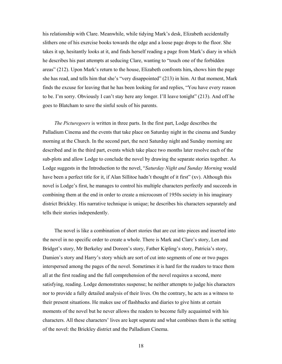his relationship with Clare. Meanwhile, while tidying Mark's desk, Elizabeth accidentally slithers one of his exercise books towards the edge and a loose page drops to the floor. She takes it up, hesitantly looks at it, and finds herself reading a page from Mark's diary in which he describes his past attempts at seducing Clare, wanting to "touch one of the forbidden areas" (212). Upon Mark's return to the house, Elizabeth confronts him, shows him the page she has read, and tells him that she's "very disappointed" (213) in him. At that moment, Mark finds the excuse for leaving that he has been looking for and replies, "You have every reason to be. I'm sorry. Obviously I can't stay here any longer. I'll leave tonight" (213). And off he goes to Blatcham to save the sinful souls of his parents.

The Picturegoers is written in three parts. In the first part, Lodge describes the Palladium Cinema and the events that take place on Saturday night in the cinema and Sunday morning at the Church. In the second part, the next Saturday night and Sunday morning are described and in the third part, events which take place two months later resolve each of the sub-plots and allow Lodge to conclude the novel by drawing the separate stories together. As Lodge suggests in the Introduction to the novel, "Saturday Night and Sunday Morning would have been a perfect title for it, if Alan Sillitoe hadn't thought of it first" (xv). Although this novel is Lodge's first, he manages to control his multiple characters perfectly and succeeds in combining them at the end in order to create a microcosm of 1950s society in his imaginary district Brickley. His narrative technique is unique; he describes his characters separately and tells their stories independently.

The novel is like a combination of short stories that are cut into pieces and inserted into the novel in no specific order to create a whole. There is Mark and Clare's story, Len and Bridget's story, Mr Berkeley and Doreen's story, Father Kipling's story, Patricia's story, Damien's story and Harry's story which are sort of cut into segments of one or two pages interspersed among the pages of the novel. Sometimes it is hard for the readers to trace them all at the first reading and the full comprehension of the novel requires a second, more satisfying, reading. Lodge demonstrates suspense; he neither attempts to judge his characters nor to provide a fully detailed analysis of their lives. On the contrary, he acts as a witness to their present situations. He makes use of flashbacks and diaries to give hints at certain moments of the novel but he never allows the readers to become fully acquainted with his characters. All these characters' lives are kept separate and what combines them is the setting of the novel: the Brickley district and the Palladium Cinema.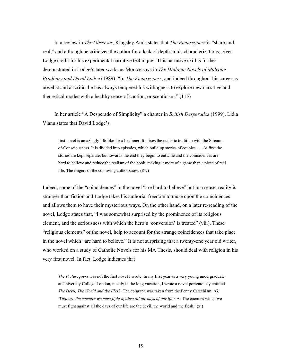In a review in The Observer, Kingsley Amis states that The Picturegoers is "sharp and real," and although he criticizes the author for a lack of depth in his characterizations, gives Lodge credit for his experimental narrative technique. This narrative skill is further demonstrated in Lodge's later works as Morace says in The Dialogic Novels of Malcolm Bradbury and David Lodge (1989): "In The Picturegoers, and indeed throughout his career as novelist and as critic, he has always tempered his willingness to explore new narrative and theoretical modes with a healthy sense of caution, or scepticism." (115)

In her article "A Desperado of Simplicity" a chapter in British Desperados (1999), Lidia Vianu states that David Lodge's

first novel is amazingly life-like for a beginner. It mixes the realistic tradition with the Streamof-Consciousness. It is divided into episodes, which build up stories of couples. … At first the stories are kept separate, but towards the end they begin to entwine and the coincidences are hard to believe and reduce the realism of the book, making it more of a game than a piece of real life. The fingers of the conniving author show. (8-9)

Indeed, some of the "coincidences" in the novel "are hard to believe" but in a sense, reality is stranger than fiction and Lodge takes his authorial freedom to muse upon the coincidences and allows them to have their mysterious ways. On the other hand, on a later re-reading of the novel, Lodge states that, "I was somewhat surprised by the prominence of its religious element, and the seriousness with which the hero's 'conversion' is treated" (viii). These "religious elements" of the novel, help to account for the strange coincidences that take place in the novel which "are hard to believe." It is not surprising that a twenty-one year old writer, who worked on a study of Catholic Novels for his MA Thesis, should deal with religion in his very first novel. In fact, Lodge indicates that

The Picturegoers was not the first novel I wrote. In my first year as a very young undergraduate at University College London, mostly in the long vacation, I wrote a novel portentously entitled The Devil, The World and the Flesh. The epigraph was taken from the Penny Catechism: 'Q: What are the enemies we must fight against all the days of our life? A: The enemies which we must fight against all the days of our life are the devil, the world and the flesh.' (xi)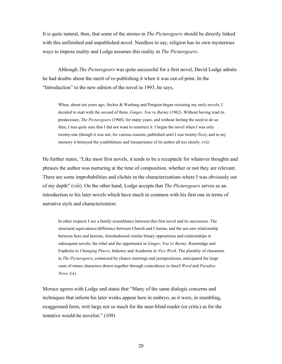It is quite natural, then, that some of the stories in The Picturegoers should be directly linked with this unfinished and unpublished novel. Needless to say, religion has its own mysterious ways to impose reality and Lodge assumes this reality in The Picturegoers.

Although *The Picturegoers* was quite successful for a first novel, David Lodge admits he had doubts about the merit of re-publishing it when it was out-of-print. In the "Introduction" to the new edition of the novel in 1993, he says,

When, about ten years ago, Secker & Warburg and Penguin began reissuing my early novels, I decided to start with the second of them, *Ginger, You're Barmy* (1962). Without having read its predecessor, The Picturegoers (1960), for many years, and without feeling the need to do so then, I was quite sure that I did not want to resurrect it. I began the novel when I was only twenty-one (though it was not, for various reasons, published until I was twenty-five), and in my memory it betrayed the youthfulness and inexperience of its author all too clearly. (vii)

He further states, "Like most first novels, it tends to be a receptacle for whatever thoughts and phrases the author was nurturing at the time of composition, whether or not they are relevant. There are some improbabilities and clichés in the characterizations where I was obviously out of my depth" (viii). On the other hand, Lodge accepts that *The Picturegoers* serves as an introduction to his later novels which have much in common with his first one in terms of narrative style and characterization:

In other respects I see a family resemblance between this first novel and its successors. The structural equivalence/difference between Church and Cinema, and the see-saw relationship between hero and heroine, foreshadowed similar binary oppositions and relationships in subsequent novels: the rebel and the opportunist in *Ginger, You're Barmy*, Rummidge and Euphoria in Changing Places, Industry and Academia in Nice Work. The plurality of characters in The Picturegoers, connected by chance meetings and juxtapositions, anticipated the large casts of minor characters drawn together through coincidence in Small Word and Paradise News. (ix)

Morace agrees with Lodge and states that "Many of the same dialogic concerns and techniques that inform his later works appear here in embryo, as it were, in stumbling, exaggerated form, writ large not so much for the near-blind reader (or critic) as for the tentative would-be novelist." (109)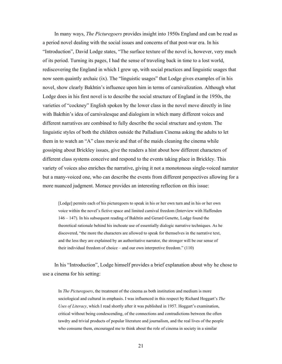In many ways, *The Picturegoers* provides insight into 1950s England and can be read as a period novel dealing with the social issues and concerns of that post-war era. In his "Introduction", David Lodge states, "The surface texture of the novel is, however, very much of its period. Turning its pages, I had the sense of traveling back in time to a lost world, rediscovering the England in which I grew up, with social practices and linguistic usages that now seem quaintly archaic (ix). The "linguistic usages" that Lodge gives examples of in his novel, show clearly Bakhtin's influence upon him in terms of carnivalization. Although what Lodge does in his first novel is to describe the social structure of England in the 1950s, the varieties of "cockney" English spoken by the lower class in the novel move directly in line with Bakthin's idea of carnivalesque and dialogism in which many different voices and different narratives are combined to fully describe the social structure and system. The linguistic styles of both the children outside the Palladium Cinema asking the adults to let them in to watch an "A" class movie and that of the maids cleaning the cinema while gossiping about Brickley issues, give the readers a hint about how different characters of different class systems conceive and respond to the events taking place in Brickley. This variety of voices also enriches the narrative, giving it not a monotonous single-voiced narrator but a many-voiced one, who can describe the events from different perspectives allowing for a more nuanced judgment. Morace provides an interesting reflection on this issue:

[Lodge] permits each of his picturegoers to speak in his or her own turn and in his or her own voice within the novel's fictive space and limited carnival freedom (Interview with Haffenden 146 – 147). In his subsequent reading of Bakhtin and Gerard Genette, Lodge found the theoretical rationale behind his inchoate use of essentially dialogic narrative techniques. As he discovered, "the more the characters are allowed to speak for themselves in the narrative text, and the less they are explained by an authoritative narrator, the stronger will be our sense of their individual freedom of choice – and our own interpretive freedom." (110)

In his "Introduction", Lodge himself provides a brief explanation about why he chose to use a cinema for his setting:

In *The Picturegoers*, the treatment of the cinema as both institution and medium is more sociological and cultural in emphasis. I was influenced in this respect by Richard Hoggart's The Uses of Literacy, which I read shortly after it was published in 1957. Hoggart's examination, critical without being condescending, of the connections and contradictions between the often tawdry and trivial products of popular literature and journalism, and the real lives of the people who consume them, encouraged me to think about the role of cinema in society in a similar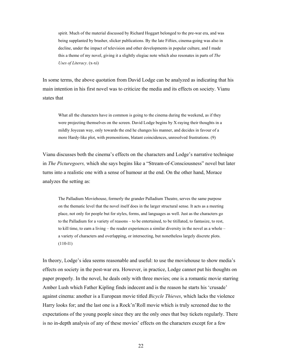spirit. Much of the material discussed by Richard Hoggart belonged to the pre-war era, and was being supplanted by brasher, slicker publications. By the late Fifties, cinema-going was also in decline, under the impact of television and other developments in popular culture, and I made this a theme of my novel, giving it a slightly elegiac note which also resonates in parts of The Uses of Literacy. (x-xi)

In some terms, the above quotation from David Lodge can be analyzed as indicating that his main intention in his first novel was to criticize the media and its effects on society. Vianu states that

What all the characters have in common is going to the cinema during the weekend, as if they were projecting themselves on the screen. David Lodge begins by X-raying their thoughts in a mildly Joycean way, only towards the end he changes his manner, and decides in favour of a more Hardy-like plot, with premonitions, blatant coincidences, unresolved frustrations. (9)

Vianu discusses both the cinema's effects on the characters and Lodge's narrative technique in The Picturegoers, which she says begins like a "Stream-of-Consciousness" novel but later turns into a realistic one with a sense of humour at the end. On the other hand, Morace analyzes the setting as:

The Palladium Moviehouse, formerly the grander Palladium Theatre, serves the same purpose on the thematic level that the novel itself does in the larger structural sense. It acts as a meeting place, not only for people but for styles, forms, and languages as well. Just as the characters go to the Palladium for a variety of reasons – to be entertained, to be titillated, to fantasize, to rest, to kill time, to earn a living – the reader experiences a similar diversity in the novel as a whole – a variety of characters and overlapping, or intersecting, but nonetheless largely discrete plots. (110-l1)

In theory, Lodge's idea seems reasonable and useful: to use the moviehouse to show media's effects on society in the post-war era. However, in practice, Lodge cannot put his thoughts on paper properly. In the novel, he deals only with three movies; one is a romantic movie starring Amber Lush which Father Kipling finds indecent and is the reason he starts his 'crusade' against cinema: another is a European movie titled Bicycle Thieves, which lacks the violence Harry looks for; and the last one is a Rock'n'Roll movie which is truly screened due to the expectations of the young people since they are the only ones that buy tickets regularly. There is no in-depth analysis of any of these movies' effects on the characters except for a few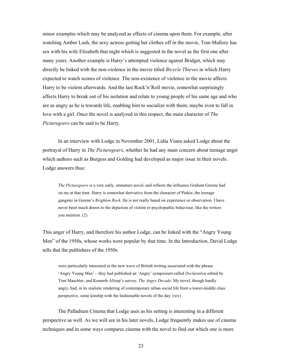minor examples which may be analyzed as effects of cinema upon them. For example, after watching Amber Lush, the sexy actress getting her clothes off in the movie, Tom Mallory has sex with his wife Elizabeth that night which is suggested in the novel as the first one after many years. Another example is Harry's attempted violence against Bridget, which may directly be linked with the non-violence in the movie titled *Bicycle Thieves* in which Harry expected to watch scenes of violence. The non-existence of violence in the movie affects Harry to be violent afterwards. And the last Rock'n'Roll movie, somewhat surprisingly affects Harry to break out of his isolation and relate to young people of his same age and who are as angry as he is towards life, enabling him to socialize with them; maybe even to fall in love with a girl. Once the novel is analyzed in this respect, the main character of The Picturegoers can be said to be Harry.

In an interview with Lodge in November 2001, Lidia Vianu asked Lodge about the portrayal of Harry in The Picturegoers, whether he had any main concern about teenage angst which authors such as Burgess and Golding had developed as major issue in their novels. Lodge answers thus:

The Picturegoers is a very early, immature novel, and reflects the influence Graham Greene had on me at that time. Harry is somewhat derivative from the character of Pinkie, the teenage gangster in Greene's Brighton Rock. He is not really based on experience or observation. I have never been much drawn to the depiction of violent or psychopathic behaviour, like the writers you mention. (2)

This anger of Harry, and therefore his author Lodge, can be linked with the "Angry Young Men" of the 1950s, whose works were popular by that time. In the Introduction, David Lodge tells that the publishers of the 1950s

were particularly interested in the new wave of British writing associated with the phrase 'Angry Young Men' – they had published an 'Angry' symposium called Declaration edited by Tom Maschler, and Kenneth Allsop's survey, The Angry Decade. My novel, though hardly angry, had, in its realistic rendering of contemporary urban social life from a lower-middle class perspective, some kinship with the fashionable novels of the day. (xiv)

The Palladium Cinema that Lodge uses as his setting is interesting in a different perspective as well. As we will see in his later novels, Lodge frequently makes use of cinema techniques and in some ways compares cinema with the novel to find out which one is more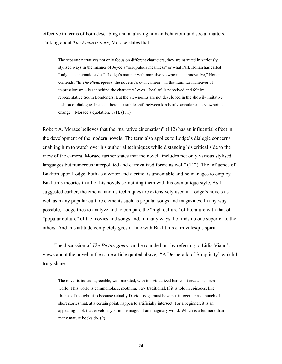effective in terms of both describing and analyzing human behaviour and social matters. Talking about The Picturegoers, Morace states that,

The separate narratives not only focus on different characters, they are narrated in variously stylised ways in the manner of Joyce's "scrupulous meanness" or what Park Honan has called Lodge's "cinematic style." "Lodge's manner with narrative viewpoints is innovative," Honan contends. "In *The Picturegoers*, the novelist's own camera – in that familiar maneuver of impressionism – is set behind the characters' eyes. 'Reality' is perceived and felt by representative South Londoners. But the viewpoints are not developed in the showily imitative fashion of dialogue. Instead, there is a subtle shift between kinds of vocabularies as viewpoints change" (Morace's quotation, 171). (111)

Robert A. Morace believes that the "narrative cinematism" (112) has an influential effect in the development of the modern novels. The term also applies to Lodge's dialogic concerns enabling him to watch over his authorial techniques while distancing his critical side to the view of the camera. Morace further states that the novel "includes not only various stylised languages but numerous interpolated and carnivalized forms as well" (112). The influence of Bakhtin upon Lodge, both as a writer and a critic, is undeniable and he manages to employ Bakhtin's theories in all of his novels combining them with his own unique style. As I suggested earlier, the cinema and its techniques are extensively used in Lodge's novels as well as many popular culture elements such as popular songs and magazines. In any way possible, Lodge tries to analyze and to compare the "high culture" of literature with that of "popular culture" of the movies and songs and, in many ways, he finds no one superior to the others. And this attitude completely goes in line with Bakhtin's carnivalesque spirit.

The discussion of *The Picturegoers* can be rounded out by referring to Lidia Vianu's views about the novel in the same article quoted above, "A Desperado of Simplicity" which I truly share:

The novel is indeed agreeable, well narrated, with individualized heroes. It creates its own world. This world is commonplace, soothing, very traditional. If it is told in episodes, like flashes of thought, it is because actually David Lodge must have put it together as a bunch of short stories that, at a certain point, happen to artificially intersect. For a beginner, it is an appealing book that envelops you in the magic of an imaginary world. Which is a lot more than many mature books do. (9)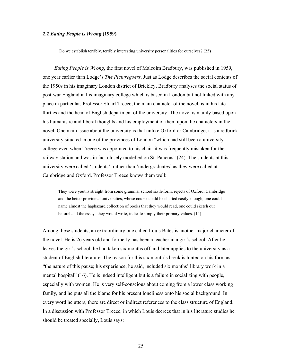## 2.2 Eating People is Wrong (1959)

Do we establish terribly, terribly interesting university personalities for ourselves? (25)

Eating People is Wrong, the first novel of Malcolm Bradbury, was published in 1959, one year earlier than Lodge's The Picturegoers. Just as Lodge describes the social contents of the 1950s in his imaginary London district of Brickley, Bradbury analyses the social status of post-war England in his imaginary college which is based in London but not linked with any place in particular. Professor Stuart Treece, the main character of the novel, is in his latethirties and the head of English department of the university. The novel is mainly based upon his humanistic and liberal thoughts and his employment of them upon the characters in the novel. One main issue about the university is that unlike Oxford or Cambridge, it is a redbrick university situated in one of the provinces of London "which had still been a university college even when Treece was appointed to his chair, it was frequently mistaken for the railway station and was in fact closely modelled on St. Pancras" (24). The students at this university were called 'students', rather than 'undergraduates' as they were called at Cambridge and Oxford. Professor Treece knows them well:

They were youths straight from some grammar school sixth-form, rejects of Oxford, Cambridge and the better provincial universities, whose course could be charted easily enough; one could name almost the haphazard collection of books that they would read, one could sketch out beforehand the essays they would write, indicate simply their primary values. (14)

Among these students, an extraordinary one called Louis Bates is another major character of the novel. He is 26 years old and formerly has been a teacher in a girl's school. After he leaves the girl's school, he had taken six months off and later applies to the university as a student of English literature. The reason for this six month's break is hinted on his form as "the nature of this pause; his experience, he said, included six months' library work in a mental hospital" (16). He is indeed intelligent but is a failure in socializing with people, especially with women. He is very self-conscious about coming from a lower class working family, and he puts all the blame for his present loneliness onto his social background. In every word he utters, there are direct or indirect references to the class structure of England. In a discussion with Professor Treece, in which Louis decrees that in his literature studies he should be treated specially, Louis says: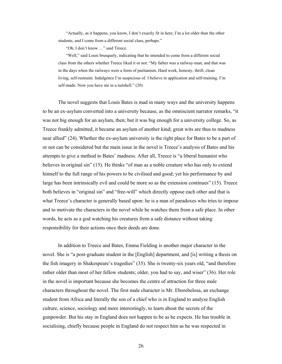"Actually, as it happens, you know, I don't exactly fit in here; I'm a lot older than the other students, and I come from a different social class, perhaps."

"Oh, I don't know …" said Treece.

"Well," said Louis brusquely, indicating that he intended to come from a different social class from the others whether Treece liked it or not. "My father was a railway-man, and that was in the days when the railways were a form of puritanism. Hard work, honesty, thrift, clean living, self-restraint. Indulgence I'm suspicious of. I believe in application and self-training. I'm self-made. Now you have me in a nutshell." (20)

The novel suggests that Louis Bates is mad in many ways and the university happens to be an ex-asylum converted into a university because, as the omniscient narrator remarks, "it was not big enough for an asylum, then; but it was big enough for a university college. So, as Treece frankly admitted, it became an asylum of another kind; great wits are thus to madness near allied" (24). Whether the ex-asylum university is the right place for Bates to be a part of or not can be considered but the main issue in the novel is Treece's analysis of Bates and his attempts to give a method to Bates' madness. After all, Treece is "a liberal humanist who believes in original sin" (15). He thinks "of man as a noble creature who has only to extend himself to the full range of his powers to be civilised and good; yet his performance by and large has been intrinsically evil and could be more so as the extension continues" (15). Treece both believes in "original sin" and "free-will" which directly oppose each other and that is what Treece's character is generally based upon: he is a man of paradoxes who tries to impose and to motivate the characters in the novel while he watches them from a safe place. In other words, he acts as a god watching his creatures from a safe distance without taking responsibility for their actions once their deeds are done.

In addition to Treece and Bates, Emma Fielding is another major character in the novel. She is "a post-graduate student in the [English] department, and [is] writing a thesis on the fish imagery in Shakespeare's tragedies" (35). She is twenty-six years old, "and therefore rather older than most of her fellow students; older, you had to say, and wiser" (36). Her role in the novel is important because she becomes the centre of attraction for three male characters throughout the novel. The first male character is Mr. Eborebelosa, an exchange student from Africa and literally the son of a chief who is in England to analyse English culture, science, sociology and more interestingly, to learn about the secrets of the gunpowder. But his stay in England does not happen to be as he expects. He has trouble in socialising, chiefly because people in England do not respect him as he was respected in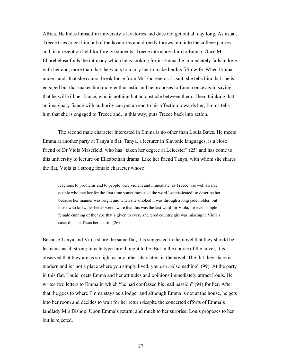Africa. He hides himself in university's lavatories and does not get out all day long. As usual, Treece tries to get him out of the lavatories and directly throws him into the college parties and, in a reception held for foreign students, Treece introduces him to Emma. Once Mr Eborebelosa finds the intimacy which he is looking for in Emma, he immediately falls in love with her and, more than that, he wants to marry her to make her his fifth wife. When Emma understands that she cannot break loose from Mr Eborebelosa's suit, she tells him that she is engaged but that makes him more enthusiastic and he proposes to Emma once again saying that he will kill her fiancé, who is nothing but an obstacle between them. Then, thinking that an imaginary fiancé with authority can put an end to his affection towards her, Emma tells him that she is engaged to Treece and, in this way, puts Treece back into action.

 The second male character interested in Emma is no other than Louis Bates. He meets Emma at another party at Tanya's flat. Tanya, a lecturer in Slavonic languages, is a close friend of Dr Viola Masefield, who has "taken her degree at Leicester" (25) and has come to this university to lecture on Elizabethan drama. Like her friend Tanya, with whom she shares the flat, Viola is a strong female character whose

reactions to problems and to people were violent and immediate, as Treece was well aware; people who met her for the first time sometimes used the word 'sophisticated' to describe her, because her manner was bright and when she smoked it was through a long jade holder, but those who knew her better were aware that this was the last word for Viola, for even simple female cunning of the type that's given to every sheltered country girl was missing in Viola's case; this itself was her charm. (26)

Because Tanya and Viola share the same flat, it is suggested in the novel that they should be lesbians, as all strong female types are thought to be. But in the course of the novel, it is observed that they are as straight as any other characters in the novel. The flat they share is modern and is "not a place where you simply lived; you *proved* something" (99). At the party in this flat, Louis meets Emma and her attitudes and opinions immediately attract Louis. He writes two letters to Emma in which "he had confessed his mad passion" (94) for her. After that, he goes to where Emma stays as a lodger and although Emma is not at the house, he gets into her room and decides to wait for her return despite the concerted efforts of Emma's landlady Mrs Bishop. Upon Emma's return, and much to her surprise, Louis proposes to her but is rejected.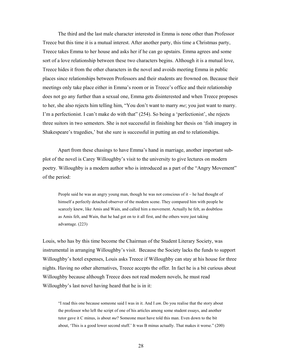The third and the last male character interested in Emma is none other than Professor Treece but this time it is a mutual interest. After another party, this time a Christmas party, Treece takes Emma to her house and asks her if he can go upstairs. Emma agrees and some sort of a love relationship between these two characters begins. Although it is a mutual love, Treece hides it from the other characters in the novel and avoids meeting Emma in public places since relationships between Professors and their students are frowned on. Because their meetings only take place either in Emma's room or in Treece's office and their relationship does not go any further than a sexual one, Emma gets disinterested and when Treece proposes to her, she also rejects him telling him, "You don't want to marry me; you just want to marry. I'm a perfectionist. I can't make do with that" (254). So being a 'perfectionist', she rejects three suitors in two semesters. She is not successful in finishing her thesis on 'fish imagery in Shakespeare's tragedies,' but she sure is successful in putting an end to relationships.

Apart from these chasings to have Emma's hand in marriage, another important subplot of the novel is Carey Willoughby's visit to the university to give lectures on modern poetry. Willoughby is a modern author who is introduced as a part of the "Angry Movement" of the period:

People said he was an angry young man, though he was not conscious of it – he had thought of himself a perfectly detached observer of the modern scene. They compared him with people he scarcely knew, like Amis and Wain, and called him a movement. Actually he felt, as doubtless as Amis felt, and Wain, that he had got on to it all first, and the others were just taking advantage. (223)

Louis, who has by this time become the Chairman of the Student Literary Society, was instrumental in arranging Willoughby's visit. Because the Society lacks the funds to support Willoughby's hotel expenses, Louis asks Treece if Willoughby can stay at his house for three nights. Having no other alternatives, Treece accepts the offer. In fact he is a bit curious about Willoughby because although Treece does not read modern novels, he must read Willoughby's last novel having heard that he is in it:

"I read this one because someone said I was in it. And I am. Do you realise that the story about the professor who left the script of one of his articles among some student essays, and another tutor gave it C minus, is about me? Someone must have told this man. Even down to the bit about, 'This is a good lower second stuff.' It was B minus actually. That makes it worse." (200)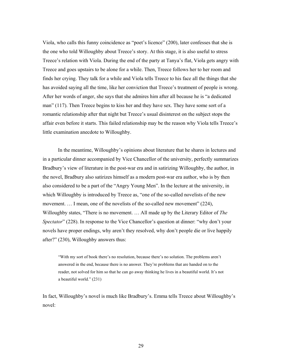Viola, who calls this funny coincidence as "poet's licence" (200), later confesses that she is the one who told Willoughby about Treece's story. At this stage, it is also useful to stress Treece's relation with Viola. During the end of the party at Tanya's flat, Viola gets angry with Treece and goes upstairs to be alone for a while. Then, Treece follows her to her room and finds her crying. They talk for a while and Viola tells Treece to his face all the things that she has avoided saying all the time, like her conviction that Treece's treatment of people is wrong. After her words of anger, she says that she admires him after all because he is "a dedicated man" (117). Then Treece begins to kiss her and they have sex. They have some sort of a romantic relationship after that night but Treece's usual disinterest on the subject stops the affair even before it starts. This failed relationship may be the reason why Viola tells Treece's little examination anecdote to Willoughby.

In the meantime, Willoughby's opinions about literature that he shares in lectures and in a particular dinner accompanied by Vice Chancellor of the university, perfectly summarizes Bradbury's view of literature in the post-war era and in satirizing Willoughby, the author, in the novel, Bradbury also satirizes himself as a modern post-war era author, who is by then also considered to be a part of the "Angry Young Men". In the lecture at the university, in which Willoughby is introduced by Treece as, "one of the so-called novelists of the new movement. ... I mean, one of the novelists of the so-called new movement" (224), Willoughby states, "There is no movement. ... All made up by the Literary Editor of The Spectator" (228). In response to the Vice Chancellor's question at dinner: "why don't your novels have proper endings, why aren't they resolved, why don't people die or live happily after?" (230), Willoughby answers thus:

"With my sort of book there's no resolution, because there's no solution. The problems aren't answered in the end, because there is no answer. They're problems that are handed on to the reader, not solved for him so that he can go away thinking he lives in a beautiful world. It's not a beautiful world." (231)

In fact, Willoughby's novel is much like Bradbury's. Emma tells Treece about Willoughby's novel: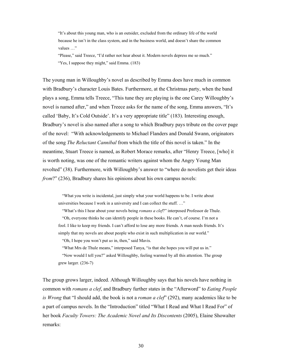"It's about this young man, who is an outsider, excluded from the ordinary life of the world because he isn't in the class system, and in the business world, and doesn't share the common values …"

"Please," said Treece, "I'd rather not hear about it. Modern novels depress me so much." "Yes, I suppose they might," said Emma. (183)

The young man in Willoughby's novel as described by Emma does have much in common with Bradbury's character Louis Bates. Furthermore, at the Christmas party, when the band plays a song, Emma tells Treece, "This tune they are playing is the one Carey Willoughby's novel is named after," and when Treece asks for the name of the song, Emma answers, "It's called 'Baby, It's Cold Outside'. It's a very appropriate title" (183). Interesting enough, Bradbury's novel is also named after a song to which Bradbury pays tribute on the cover page of the novel: "With acknowledgements to Michael Flanders and Donald Swann, originators of the song The Reluctant Cannibal from which the title of this novel is taken." In the meantime, Stuart Treece is named, as Robert Morace remarks, after "Henry Treece, [who] it is worth noting, was one of the romantic writers against whom the Angry Young Man revolted" (38). Furthermore, with Willoughby's answer to "where do novelists get their ideas from?" (236), Bradbury shares his opinions about his own campus novels:

"What you write is incidental, just simply what your world happens to be. I write about universities because I work in a university and I can collect the stuff. …"

"What's this I hear about your novels being *romans a clef?*" interposed Professor de Thule.

"Oh, everyone thinks he can identify people in these books. He can't, of course. I'm not a fool. I like to keep my friends. I can't afford to lose any more friends. A man needs friends. It's simply that my novels are about people who exist in such multiplication in our world."

"Oh, I hope you won't put us in, then," said Mavis.

"What Mrs de Thule means," interposed Tanya, "is that she hopes you will put us in."

"Now would I tell you?" asked Willoughby, feeling warmed by all this attention. The group grew larger. (236-7)

The group grows larger, indeed. Although Willoughby says that his novels have nothing in common with romans a clef, and Bradbury further states in the "Afterword" to Eating People is Wrong that "I should add, the book is not a *roman a clef"* (292), many academics like to be a part of campus novels. In the "Introduction" titled "What I Read and What I Read For" of her book Faculty Towers: The Academic Novel and Its Discontents (2005), Elaine Showalter remarks: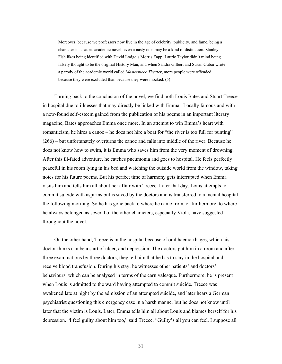Moreover, because we professors now live in the age of celebrity, publicity, and fame, being a character in a satiric academic novel, even a nasty one, may be a kind of distinction. Stanley Fish likes being identified with David Lodge's Morris Zapp; Laurie Taylor didn't mind being falsely thought to be the original History Man; and when Sandra Gilbert and Susan Gubar wrote a parody of the academic world called Masterpiece Theater, more people were offended because they were excluded than because they were mocked. (5)

Turning back to the conclusion of the novel, we find both Louis Bates and Stuart Treece in hospital due to illnesses that may directly be linked with Emma. Locally famous and with a new-found self-esteem gained from the publication of his poems in an important literary magazine, Bates approaches Emma once more. In an attempt to win Emma's heart with romanticism, he hires a canoe – he does not hire a boat for "the river is too full for punting" (266) – but unfortunately overturns the canoe and falls into middle of the river. Because he does not know how to swim, it is Emma who saves him from the very moment of drowning. After this ill-fated adventure, he catches pneumonia and goes to hospital. He feels perfectly peaceful in his room lying in his bed and watching the outside world from the window, taking notes for his future poems. But his perfect time of harmony gets interrupted when Emma visits him and tells him all about her affair with Treece. Later that day, Louis attempts to commit suicide with aspirins but is saved by the doctors and is transferred to a mental hospital the following morning. So he has gone back to where he came from, or furthermore, to where he always belonged as several of the other characters, especially Viola, have suggested throughout the novel.

On the other hand, Treece is in the hospital because of oral haemorrhages, which his doctor thinks can be a start of ulcer, and depression. The doctors put him in a room and after three examinations by three doctors, they tell him that he has to stay in the hospital and receive blood transfusion. During his stay, he witnesses other patients' and doctors' behaviours, which can be analysed in terms of the carnivalesque. Furthermore, he is present when Louis is admitted to the ward having attempted to commit suicide. Treece was awakened late at night by the admission of an attempted suicide, and later hears a German psychiatrist questioning this emergency case in a harsh manner but he does not know until later that the victim is Louis. Later, Emma tells him all about Louis and blames herself for his depression. "I feel guilty about him too," said Treece. "Guilty's all you can feel. I suppose all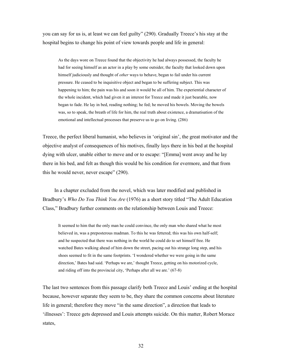you can say for us is, at least we can feel guilty" (290). Gradually Treece's his stay at the hospital begins to change his point of view towards people and life in general:

As the days wore on Treece found that the objectivity he had always possessed, the faculty he had for seeing himself as an actor in a play by some outsider, the faculty that looked down upon himself judiciously and thought of *other* ways to behave, began to fail under his current pressure. He ceased to be inquisitive object and began to be suffering subject. This was happening to him; the pain was his and soon it would be all of him. The experiential character of the whole incident, which had given it an interest for Treece and made it just bearable, now began to fade. He lay in bed, reading nothing; he fed; he moved his bowels. Moving the bowels was, so to speak, the breath of life for him, the real truth about existence, a dramatisation of the emotional and intellectual processes that preserve us to go on living. (286)

Treece, the perfect liberal humanist, who believes in 'original sin', the great motivator and the objective analyst of consequences of his motives, finally lays there in his bed at the hospital dying with ulcer, unable either to move and or to escape: "[Emma] went away and he lay there in his bed, and felt as though this would be his condition for evermore, and that from this he would never, never escape" (290).

In a chapter excluded from the novel, which was later modified and published in Bradbury's Who Do You Think You Are (1976) as a short story titled "The Adult Education Class," Bradbury further comments on the relationship between Louis and Treece:

It seemed to him that the only man he could convince, the only man who shared what he most believed in, was a preposterous madman. To this he was fettered; this was his own half-self; and he suspected that there was nothing in the world he could do to set himself free. He watched Bates walking ahead of him down the street, pacing out his strange long step, and his shoes seemed to fit in the same footprints. 'I wondered whether we were going in the same direction,' Bates had said. 'Perhaps we are,' thought Treece, getting on his motorized cycle, and riding off into the provincial city, 'Perhaps after all we are.' (67-8)

The last two sentences from this passage clarify both Treece and Louis' ending at the hospital because, however separate they seem to be, they share the common concerns about literature life in general; therefore they move "in the same direction", a direction that leads to 'illnesses': Treece gets depressed and Louis attempts suicide. On this matter, Robert Morace states,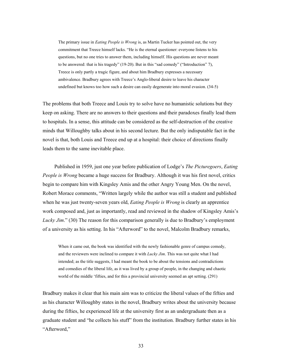The primary issue in *Eating People is Wrong* is, as Martin Tucker has pointed out, the very commitment that Treece himself lacks. "He is the eternal questioner: everyone listens to his questions, but no one tries to answer them, including himself. His questions are never meant to be answered: that is his tragedy" (19-20). But in this "sad comedy" ("Introduction" 7), Treece is only partly a tragic figure, and about him Bradbury expresses a necessary ambivalence. Bradbury agrees with Treece's Anglo-liberal desire to leave his character undefined but knows too how such a desire can easily degenerate into moral evasion. (34-5)

The problems that both Treece and Louis try to solve have no humanistic solutions but they keep on asking. There are no answers to their questions and their paradoxes finally lead them to hospitals. In a sense, this attitude can be considered as the self-destruction of the creative minds that Willoughby talks about in his second lecture. But the only indisputable fact in the novel is that, both Louis and Treece end up at a hospital: their choice of directions finally leads them to the same inevitable place.

Published in 1959, just one year before publication of Lodge's The Picturegoers, Eating People is Wrong became a huge success for Bradbury. Although it was his first novel, critics begin to compare him with Kingsley Amis and the other Angry Young Men. On the novel, Robert Morace comments, "Written largely while the author was still a student and published when he was just twenty-seven years old, *Eating People is Wrong* is clearly an apprentice work composed and, just as importantly, read and reviewed in the shadow of Kingsley Amis's Lucky Jim." (30) The reason for this comparison generally is due to Bradbury's employment of a university as his setting. In his "Afterword" to the novel, Malcolm Bradbury remarks,

When it came out, the book was identified with the newly fashionable genre of campus comedy, and the reviewers were inclined to compare it with  $Lucky Jim$ . This was not quite what I had intended; as the title suggests, I had meant the book to be about the tensions and contradictions and comedies of the liberal life, as it was lived by a group of people, in the changing and chaotic world of the middle 'fifties, and for this a provincial university seemed an apt setting. (291)

Bradbury makes it clear that his main aim was to criticize the liberal values of the fifties and as his character Willoughby states in the novel, Bradbury writes about the university because during the fifties, he experienced life at the university first as an undergraduate then as a graduate student and "he collects his stuff" from the institution. Bradbury further states in his "Afterword,"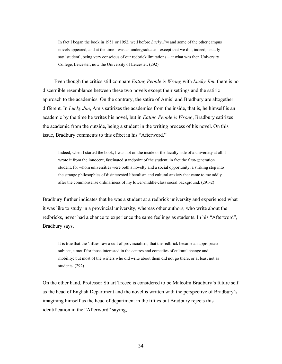In fact I began the book in 1951 or 1952, well before *Lucky Jim* and some of the other campus novels appeared, and at the time I was an undergraduate – except that we did, indeed, usually say 'student', being very conscious of our redbrick limitations – at what was then University College, Leicester, now the University of Leicester. (292)

Even though the critics still compare *Eating People is Wrong* with *Lucky Jim*, there is no discernible resemblance between these two novels except their settings and the satiric approach to the academics. On the contrary, the satire of Amis' and Bradbury are altogether different. In *Lucky Jim*, Amis satirizes the academics from the inside, that is, he himself is an academic by the time he writes his novel, but in Eating People is Wrong, Bradbury satirizes the academic from the outside, being a student in the writing process of his novel. On this issue, Bradbury comments to this effect in his "Afterword,"

Indeed, when I started the book, I was not on the inside or the faculty side of a university at all. I wrote it from the innocent, fascinated standpoint of the student, in fact the first-generation student, for whom universities were both a novelty and a social opportunity, a striking step into the strange philosophies of disinterested liberalism and cultural anxiety that came to me oddly after the commonsense ordinariness of my lower-middle-class social background. (291-2)

Bradbury further indicates that he was a student at a redbrick university and experienced what it was like to study in a provincial university, whereas other authors, who write about the redbricks, never had a chance to experience the same feelings as students. In his "Afterword", Bradbury says,

It is true that the 'fifties saw a cult of provincialism, that the redbrick became an appropriate subject, a motif for those interested in the centres and comedies of cultural change and mobility; but most of the writers who did write about them did not go there, or at least not as students. (292)

On the other hand, Professor Stuart Treece is considered to be Malcolm Bradbury's future self as the head of English Department and the novel is written with the perspective of Bradbury's imagining himself as the head of department in the fifties but Bradbury rejects this identification in the "Afterword" saying,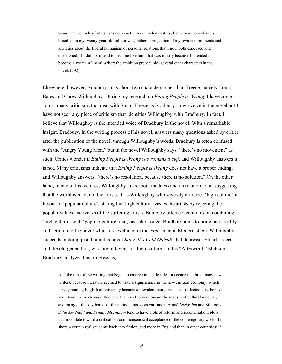Stuart Treece, in his forties, was not exactly my intended destiny, but he was considerably based upon my twenty-year-old self, or was, rather, a projection of my own commitments and anxieties about the liberal humanism of personal relations that I now both espoused and questioned. If I did not intend to become like him, that was mostly because I intended to become a writer, a liberal writer: the ambition preoccupies several other characters in the novel. (292)

Elsewhere, however, Bradbury talks about two characters other than Treece, namely Louis Bates and Carey Willoughby. During my research on Eating People is Wrong, I have come across many criticisms that deal with Stuart Treece as Bradbury's own voice in the novel but I have not seen any piece of criticism that identifies Willoughby with Bradbury. In fact, I believe that Willoughby is the intended voice of Bradbury in the novel. With a remarkable insight, Bradbury, in the writing process of his novel, answers many questions asked by critics after the publication of the novel, through Willoughby's words. Bradbury is often confused with the "Angry Young Men," but in the novel Willoughby says, "there's no movement" as such. Critics wonder if *Eating People is Wrong* is a *romans a clef*, and Willoughby answers it is not. Many criticisms indicate that Eating People is Wrong does not have a proper ending, and Willoughby answers, "there's no resolution, because there is no solution." On the other hand, in one of his lectures, Willoughby talks about madness and its relation to art suggesting that the world is mad, not the artists. It is Willoughby who severely criticizes 'high culture' in favour of 'popular culture', stating the 'high culture' wastes the artists by rejecting the popular values and works of the suffering artists. Bradbury often concentrates on combining 'high culture' with 'popular culture' and, just like Lodge, Bradbury aims to bring back reality and action into the novel which are excluded in the experimental Modernist era. Willoughby succeeds in doing just that in his novel *Baby, It's Cold Outside* that depresses Stuart Treece and the old generation, who are in favour of 'high culture'. In his "Afterword," Malcolm Bradbury analyzes this progress as,

And the tone of the writing that began to emerge in the decade  $-$  a decade that bred many new writers, because literature seemed to have a significance in the new cultural economy, which is why reading English at university became a prevalent moral passion – reflected this. Forster and Orwell were strong influences, the novel turned toward the realism of cultural renewal, and many of the key books of the period – books as various as Amis' Lucky Jim and Sillitoe's Saturday Night and Sunday Morning – tend to have plots of reform and reconciliation, plots that modulate toward a critical but commonsensical acceptance of the contemporary world. In short, a certain realism came back into fiction, and more in England than in other countries; if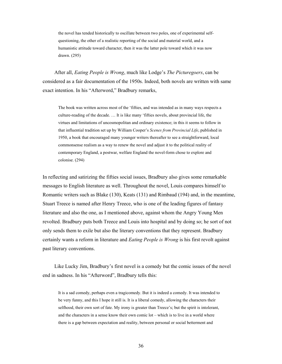the novel has tended historically to oscillate between two poles, one of experimental selfquestioning, the other of a realistic reporting of the social and material world, and a humanistic attitude toward character, then it was the latter pole toward which it was now drawn. (295)

After all, *Eating People is Wrong*, much like Lodge's *The Picturegoers*, can be considered as a fair documentation of the 1950s. Indeed, both novels are written with same exact intention. In his "Afterword," Bradbury remarks,

The book was written across most of the 'fifties, and was intended as in many ways respects a culture-reading of the decade. … It is like many 'fifties novels, about provincial life, the virtues and limitations of uncosmopolitan and ordinary existence; in this it seems to follow in that influential tradition set up by William Cooper's Scenes from Provincial Life, published in 1950, a book that encouraged many younger writers thereafter to see a straightforward, local commonsense realism as a way to renew the novel and adjust it to the political reality of contemporary England, a postwar, welfare England the novel-form chose to explore and colonise. (294)

In reflecting and satirizing the fifties social issues, Bradbury also gives some remarkable messages to English literature as well. Throughout the novel, Louis compares himself to Romantic writers such as Blake (130), Keats (131) and Rimbaud (194) and, in the meantime, Stuart Treece is named after Henry Treece, who is one of the leading figures of fantasy literature and also the one, as I mentioned above, against whom the Angry Young Men revolted. Bradbury puts both Treece and Louis into hospital and by doing so; he sort of not only sends them to exile but also the literary conventions that they represent. Bradbury certainly wants a reform in literature and *Eating People is Wrong* is his first revolt against past literary conventions.

Like Lucky Jim, Bradbury's first novel is a comedy but the comic issues of the novel end in sadness. In his "Afterword", Bradbury tells this:

It is a sad comedy, perhaps even a tragicomedy. But it is indeed a comedy. It was intended to be very funny, and this I hope it still is. It is a liberal comedy, allowing the characters their selfhood, their own sort of fate. My irony is greater than Treece's; but the spirit is intolerant, and the characters in a sense know their own comic lot – which is to live in a world where there is a gap between expectation and reality, between personal or social betterment and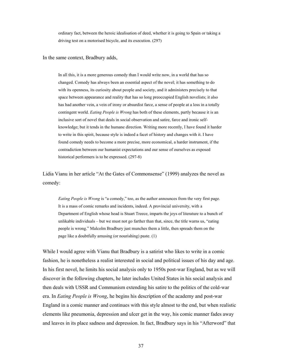ordinary fact, between the heroic idealisation of deed, whether it is going to Spain or taking a driving test on a motorised bicycle, and its execution. (297)

In the same context, Bradbury adds,

In all this, it is a more generous comedy than I would write now, in a world that has so changed. Comedy has always been an essential aspect of the novel; it has something to do with its openness, its curiosity about people and society, and it administers precisely to that space between appearance and reality that has so long preoccupied English novelists; it also has had another vein, a vein of irony or absurdist farce, a sense of people at a loss in a totally contingent world. *Eating People is Wrong* has both of these elements, partly because it is an inclusive sort of novel that deals in social observation and satire, farce and ironic selfknowledge; but it tends in the humane direction. Writing more recently, I have found it harder to write in this spirit, because style is indeed a facet of history and changes with it. I have found comedy needs to become a more precise, more economical, a harder instrument, if the contradiction between our humanist expectations and our sense of ourselves as exposed historical performers is to be expressed. (297-8)

Lidia Vianu in her article "At the Gates of Commonsense" (1999) analyzes the novel as comedy:

Eating People is Wrong is "a comedy," too, as the author announces from the very first page. It is a mass of comic remarks and incidents, indeed. A provincial university, with a Department of English whose head is Stuart Treece, imparts the joys of literature to a bunch of unlikable individuals – but we must not go farther than that, since, the title warns us, "eating people is wrong." Malcolm Bradbury just munches them a little, then spreads them on the page like a doubtfully amusing (or nourishing) paste. (1)

While I would agree with Vianu that Bradbury is a satirist who likes to write in a comic fashion, he is nonetheless a realist interested in social and political issues of his day and age. In his first novel, he limits his social analysis only to 1950s post-war England, but as we will discover in the following chapters, he later includes United States in his social analysis and then deals with USSR and Communism extending his satire to the politics of the cold-war era. In Eating People is Wrong, he begins his description of the academy and post-war England in a comic manner and continues with this style almost to the end, but when realistic elements like pneumonia, depression and ulcer get in the way, his comic manner fades away and leaves in its place sadness and depression. In fact, Bradbury says in his "Afterword" that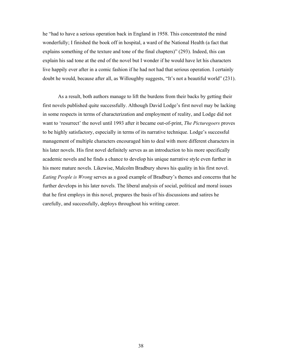he "had to have a serious operation back in England in 1958. This concentrated the mind wonderfully; I finished the book off in hospital, a ward of the National Health (a fact that explains something of the texture and tone of the final chapters)" (293). Indeed, this can explain his sad tone at the end of the novel but I wonder if he would have let his characters live happily ever after in a comic fashion if he had not had that serious operation. I certainly doubt he would, because after all, as Willoughby suggests, "It's not a beautiful world" (231).

As a result, both authors manage to lift the burdens from their backs by getting their first novels published quite successfully. Although David Lodge's first novel may be lacking in some respects in terms of characterization and employment of reality, and Lodge did not want to 'resurrect' the novel until 1993 after it became out-of-print, *The Picturegoers* proves to be highly satisfactory, especially in terms of its narrative technique. Lodge's successful management of multiple characters encouraged him to deal with more different characters in his later novels. His first novel definitely serves as an introduction to his more specifically academic novels and he finds a chance to develop his unique narrative style even further in his more mature novels. Likewise, Malcolm Bradbury shows his quality in his first novel. Eating People is Wrong serves as a good example of Bradbury's themes and concerns that he further develops in his later novels. The liberal analysis of social, political and moral issues that he first employs in this novel, prepares the basis of his discussions and satires he carefully, and successfully, deploys throughout his writing career.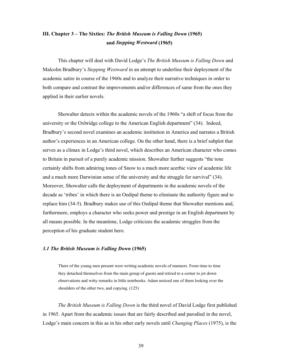# III. Chapter 3 – The Sixties: The British Museum is Falling Down (1965) and Stepping Westward (1965)

This chapter will deal with David Lodge's *The British Museum is Falling Down* and Malcolm Bradbury's *Stepping Westward* in an attempt to underline their deployment of the academic satire in course of the 1960s and to analyze their narrative techniques in order to both compare and contrast the improvements and/or differences of same from the ones they applied in their earlier novels.

 Showalter detects within the academic novels of the 1960s "a shift of focus from the university or the Oxbridge college to the American English department" (34). Indeed, Bradbury's second novel examines an academic institution in America and narrates a British author's experiences in an American college. On the other hand, there is a brief subplot that serves as a climax in Lodge's third novel, which describes an American character who comes to Britain in pursuit of a purely academic mission. Showalter further suggests "the tone certainly shifts from admiring tones of Snow to a much more acerbic view of academic life and a much more Darwinian sense of the university and the struggle for survival" (34). Moreover, Showalter calls the deployment of departments in the academic novels of the decade as 'tribes' in which there is an Oedipal theme to eliminate the authority figure and to replace him (34-5). Bradbury makes use of this Oedipal theme that Showalter mentions and, furthermore, employs a character who seeks power and prestige in an English department by all means possible. In the meantime, Lodge criticizes the academic struggles from the perception of his graduate student hero.

### 3.1 The British Museum is Falling Down (1965)

There of the young men present were writing academic novels of manners. From time to time they detached themselves from the main group of guests and retired to a corner to jot down observations and witty remarks in little notebooks. Adam noticed one of them looking over the shoulders of the other two, and copying. (125)

The British Museum is Falling Down is the third novel of David Lodge first published in 1965. Apart from the academic issues that are fairly described and parodied in the novel, Lodge's main concern in this as in his other early novels until *Changing Places* (1975), is the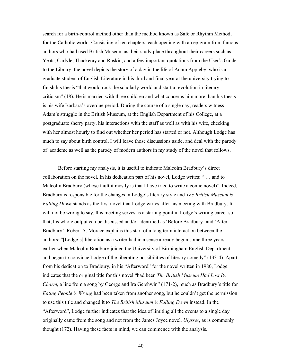search for a birth-control method other than the method known as Safe or Rhythm Method, for the Catholic world. Consisting of ten chapters, each opening with an epigram from famous authors who had used British Museum as their study place throughout their careers such as Yeats, Carlyle, Thackeray and Ruskin, and a few important quotations from the User's Guide to the Library, the novel depicts the story of a day in the life of Adam Appleby, who is a graduate student of English Literature in his third and final year at the university trying to finish his thesis "that would rock the scholarly world and start a revolution in literary criticism" (18). He is married with three children and what concerns him more than his thesis is his wife Barbara's overdue period. During the course of a single day, readers witness Adam's struggle in the British Museum, at the English Department of his College, at a postgraduate sherry party, his interactions with the staff as well as with his wife, checking with her almost hourly to find out whether her period has started or not. Although Lodge has much to say about birth control, I will leave those discussions aside, and deal with the parody of academe as well as the parody of modern authors in my study of the novel that follows.

Before starting my analysis, it is useful to indicate Malcolm Bradbury's direct collaboration on the novel. In his dedication part of his novel, Lodge writes: " … and to Malcolm Bradbury (whose fault it mostly is that I have tried to write a comic novel)". Indeed, Bradbury is responsible for the changes in Lodge's literary style and The British Museum is Falling Down stands as the first novel that Lodge writes after his meeting with Bradbury. It will not be wrong to say, this meeting serves as a starting point in Lodge's writing career so that, his whole output can be discussed and/or identified as 'Before Bradbury' and 'After Bradbury'. Robert A. Morace explains this start of a long term interaction between the authors: "[Lodge's] liberation as a writer had in a sense already begun some three years earlier when Malcolm Bradbury joined the University of Birmingham English Department and began to convince Lodge of the liberating possibilities of literary comedy" (133-4). Apart from his dedication to Bradbury, in his "Afterword" for the novel written in 1980, Lodge indicates that the original title for this novel "had been The British Museum Had Lost Its Charm, a line from a song by George and Ira Gershwin" (171-2), much as Bradbury's title for Eating People is Wrong had been taken from another song, but he couldn't get the permission to use this title and changed it to The British Museum is Falling Down instead. In the "Afterword", Lodge further indicates that the idea of limiting all the events to a single day originally came from the song and not from the James Joyce novel, *Ulysses*, as is commonly thought (172). Having these facts in mind, we can commence with the analysis.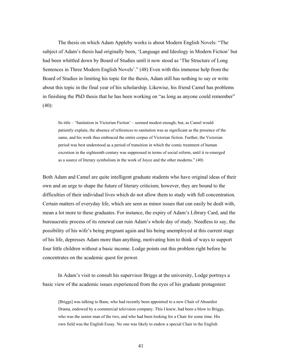The thesis on which Adam Appleby works is about Modern English Novels: "The subject of Adam's thesis had originally been, 'Language and Ideology in Modern Fiction' but had been whittled down by Board of Studies until it now stood as 'The Structure of Long Sentences in Three Modern English Novels'." (48) Even with this immense help from the Board of Studies in limiting his topic for the thesis, Adam still has nothing to say or write about this topic in the final year of his scholarship. Likewise, his friend Camel has problems in finishing the PhD thesis that he has been working on "as long as anyone could remember"  $(40)$ :

Its title – 'Sanitation in Victorian Fiction' – seemed modest enough; but, as Camel would patiently explain, the absence of references to sanitation was as significant as the presence of the same, and his work thus embraced the entire corpus of Victorian fiction. Further, the Victorian period was best understood as a period of transition in which the comic treatment of human excretion in the eighteenth century was suppressed in terms of social reform, until it re-emerged as a source of literary symbolism in the work of Joyce and the other moderns." (40)

Both Adam and Camel are quite intelligent graduate students who have original ideas of their own and an urge to shape the future of literary criticism; however, they are bound to the difficulties of their individual lives which do not allow them to study with full concentration. Certain matters of everyday life, which are seen as minor issues that can easily be dealt with, mean a lot more to these graduates. For instance, the expiry of Adam's Library Card, and the bureaucratic process of its renewal can ruin Adam's whole day of study. Needless to say, the possibility of his wife's being pregnant again and his being unemployed at this current stage of his life, depresses Adam more than anything, motivating him to think of ways to support four little children without a basic income. Lodge points out this problem right before he concentrates on the academic quest for power.

In Adam's visit to consult his supervisor Briggs at the university, Lodge portrays a basic view of the academic issues experienced from the eyes of his graduate protagonist:

[Briggs] was talking to Bane, who had recently been appointed to a new Chair of Absurdist Drama, endowed by a commercial television company. This I knew, had been a blow to Briggs, who was the senior man of the two, and who had been looking for a Chair for some time. His own field was the English Essay. No one was likely to endow a special Chair in the English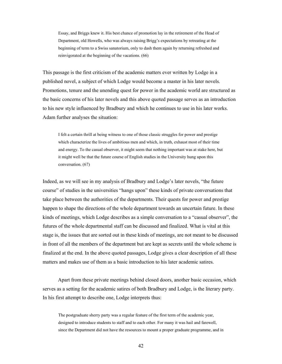Essay, and Briggs knew it. His best chance of promotion lay in the retirement of the Head of Department, old Howells, who was always raising Brigg's expectations by retreating at the beginning of term to a Swiss sanatorium, only to dash them again by returning refreshed and reinvigorated at the beginning of the vacations. (66)

This passage is the first criticism of the academic matters ever written by Lodge in a published novel, a subject of which Lodge would become a master in his later novels. Promotions, tenure and the unending quest for power in the academic world are structured as the basic concerns of his later novels and this above quoted passage serves as an introduction to his new style influenced by Bradbury and which he continues to use in his later works. Adam further analyses the situation:

I felt a certain thrill at being witness to one of those classic struggles for power and prestige which characterize the lives of ambitious men and which, in truth, exhaust most of their time and energy. To the casual observer, it might seem that nothing important was at stake here, but it might well be that the future course of English studies in the University hung upon this conversation. (67)

Indeed, as we will see in my analysis of Bradbury and Lodge's later novels, "the future course" of studies in the universities "hangs upon" these kinds of private conversations that take place between the authorities of the departments. Their quests for power and prestige happen to shape the directions of the whole department towards an uncertain future. In these kinds of meetings, which Lodge describes as a simple conversation to a "casual observer", the futures of the whole departmental staff can be discussed and finalized. What is vital at this stage is, the issues that are sorted out in these kinds of meetings, are not meant to be discussed in front of all the members of the department but are kept as secrets until the whole scheme is finalized at the end. In the above quoted passages, Lodge gives a clear description of all these matters and makes use of them as a basic introduction to his later academic satires.

Apart from these private meetings behind closed doors, another basic occasion, which serves as a setting for the academic satires of both Bradbury and Lodge, is the literary party. In his first attempt to describe one, Lodge interprets thus:

The postgraduate sherry party was a regular feature of the first term of the academic year, designed to introduce students to staff and to each other. For many it was hail and farewell, since the Department did not have the resources to mount a proper graduate programme, and in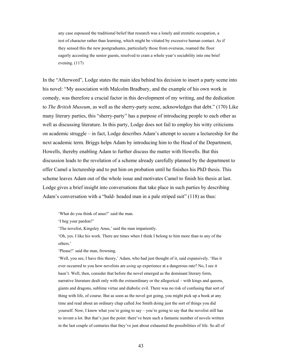any case espoused the traditional belief that research was a lonely and eremitic occupation, a test of character rather than learning, which might be vitiated by excessive human contact. As if they sensed this the new postgraduates, particularly those from overseas, roamed the floor eagerly accosting the senior guests, resolved to cram a whole year's sociability into one brief evening. (117)

In the "Afterword", Lodge states the main idea behind his decision to insert a party scene into his novel: "My association with Malcolm Bradbury, and the example of his own work in comedy, was therefore a crucial factor in this development of my writing, and the dedication to The British Museum, as well as the sherry-party scene, acknowledges that debt." (170) Like many literary parties, this "sherry-party" has a purpose of introducing people to each other as well as discussing literature. In this party, Lodge does not fail to employ his witty criticisms on academic struggle – in fact, Lodge describes Adam's attempt to secure a lectureship for the next academic term. Briggs helps Adam by introducing him to the Head of the Department, Howells, thereby enabling Adam to further discuss the matter with Howells. But this discussion leads to the revelation of a scheme already carefully planned by the department to offer Camel a lectureship and to put him on probation until he finishes his PhD thesis. This scheme leaves Adam out of the whole issue and motivates Camel to finish his thesis at last. Lodge gives a brief insight into conversations that take place in such parties by describing Adam's conversation with a "bald- headed man in a pale striped suit" (118) as thus:

'What do you think of anus?' said the man.

'I beg your pardon?'

'The novelist, Kingsley Anus,' said the man impatiently.

'Oh, yes. I like his work. There are times when I think I belong to him more than to any of the others.'

'Please?' said the man, frowning.

'Well, you see, I have this theory,' Adam, who had just thought of it, said expansively. 'Has it ever occurred to you how novelists are using up experience at a dangerous rate? No, I see it hasn't. Well, then, consider that before the novel emerged as the dominant literary form, narrative literature dealt only with the extraordinary or the allegorical – with kings and queens, giants and dragons, sublime virtue and diabolic evil. There was no risk of confusing that sort of thing with life, of course. But as soon as the novel got going, you might pick up a book at any time and read about an ordinary chap called Joe Smith doing just the sort of things you did yourself. Now, I know what you're going to say – you're going to say that the novelist still has to invent a lot. But that's just the point: there've been such a fantastic number of novels written in the last couple of centuries that they've just about exhausted the possibilities of life. So all of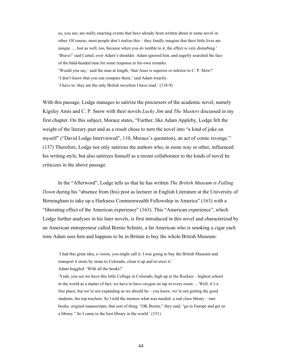us, you see, are really enacting events that have already been written about in some novel or other. Of course, most people don't realize this – they fondly imagine that their little lives are unique ... Just as well, too, because when you *do* tumble to it, the effect is very disturbing.' 'Bravo!' said Camel, over Adam's shoulder. Adam ignored him, and eagerly searched the face of the bald-headed man for some response to his own remarks.

'Would you say,' said the man at length, 'that Anus is superior or inferior to C. P. Slow?'

'I don't know that you can compare them,' said Adam wearily.

'I have to: they are the only British novelists I have read.' (118-9)

With this passage, Lodge manages to satirize the precursors of the academic novel, namely Kigsley Amis and C. P. Snow with their novels *Lucky Jim* and *The Masters* discussed in my first chapter. On this subject, Morace states, "Further, like Adam Appleby, Lodge felt the weight of the literary past and as a result chose to turn the novel into "a kind of joke on myself" ("David Lodge Interviewed", 110, Morace's quotation), an act of comic revenge." (137) Therefore, Lodge not only satirizes the authors who, in some way or other, influenced his writing style, but also satirizes himself as a recent collaborator to the kinds of novel he criticizes in the above passage.

In the "Afterword", Lodge tells us that he has written The British Museum is Falling Down during his "absence from (his) post as lecturer in English Literature at the University of Birmingham to take up a Harkness Commonwealth Fellowship in America" (163) with a "liberating effect of the American experience" (163). This "American experience", which Lodge further analyses in his later novels, is first introduced in this novel and characterized by an American entrepreneur called Bernie Schnitz, a fat American who is smoking a cigar each time Adam sees him and happens to be in Britain to buy the whole British Museum:

Adam boggled. 'With all the books?'

'Yeah, you see we have this little College in Colorado, high up in the Rockies – highest school in the world as a matter of fact, we have to have oxygen on tap in every room … Well, it's a fine place, but we're not expanding as we should be  $-$  you know, we're not getting the good students, the top teachers. So I told the trustees what was needed: a real class library – rare books, original manuscripts, that sort of thing. "OK Bernie," they said, "go to Europe and get us a library." So I came to the best library in the world.' (151)

<sup>&#</sup>x27;I had this great idea, a vision, you might call it. I was going to buy the British Museum and transport it stone by stone to Colorado, clean it up and re-erect it.'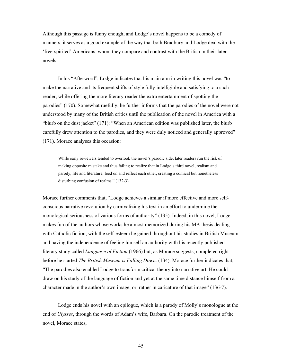Although this passage is funny enough, and Lodge's novel happens to be a comedy of manners, it serves as a good example of the way that both Bradbury and Lodge deal with the 'free-spirited' Americans, whom they compare and contrast with the British in their later novels.

In his "Afterword", Lodge indicates that his main aim in writing this novel was "to make the narrative and its frequent shifts of style fully intelligible and satisfying to a such reader, while offering the more literary reader the extra entertainment of spotting the parodies" (170). Somewhat ruefully, he further informs that the parodies of the novel were not understood by many of the British critics until the publication of the novel in America with a "blurb on the dust jacket" (171): "When an American edition was published later, the blurb carefully drew attention to the parodies, and they were duly noticed and generally approved" (171). Morace analyses this occasion:

While early reviewers tended to overlook the novel's parodic side, later readers run the risk of making opposite mistake and thus failing to realize that in Lodge's third novel, realism and parody, life and literature, feed on and reflect each other, creating a comical but nonetheless disturbing confusion of realms." (132-3)

Morace further comments that, "Lodge achieves a similar if more effective and more selfconscious narrative revolution by carnivalizing his text in an effort to undermine the monological seriousness of various forms of authority" (135). Indeed, in this novel, Lodge makes fun of the authors whose works he almost memorized during his MA thesis dealing with Catholic fiction, with the self-esteem he gained throughout his studies in British Museum and having the independence of feeling himself an authority with his recently published literary study called Language of Fiction (1966) but, as Morace suggests, completed right before he started The British Museum is Falling Down. (134). Morace further indicates that, "The parodies also enabled Lodge to transform critical theory into narrative art. He could draw on his study of the language of fiction and yet at the same time distance himself from a character made in the author's own image, or, rather in caricature of that image" (136-7).

 Lodge ends his novel with an epilogue, which is a parody of Molly's monologue at the end of Ulysses, through the words of Adam's wife, Barbara. On the parodic treatment of the novel, Morace states,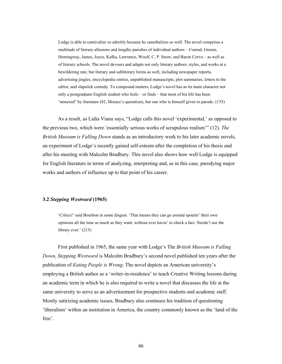Lodge is able to carnivalize so adroitly because he cannibalizes so well. The novel comprises a multitude of literary allusions and lengthy parodies of individual authors – Conrad, Greene, Hemingway, James, Joyce, Kafka, Lawrence, Woolf, C. P. Snow, and Baron Corvo – as well as of literary schools. The novel devours and adapts not only literary authors, styles, and works at a bewildering rate, but literary and subliterary forms as well, including newspaper reports, advertising jingles, encyclopedia entries, unpublished manuscripts, plot summaries, letters to the editor, and slapstick comedy. To compound matters, Lodge's novel has as its main character not only a postgraduate English student who feels – or finds – that most of his life has been "annexed" by literature (82, Morace's quotation), but one who is himself given to parody. (135)

As a result, as Lidia Vianu says, "Lodge calls this novel 'experimental,' as opposed to the previous two, which were 'essentially serious works of scrupulous realism'" (12). The British Museum is Falling Down stands as an introductory work to his later academic novels, an experiment of Lodge's recently gained self-esteem after the completion of his thesis and after his meeting with Malcolm Bradbury. This novel also shows how well Lodge is equipped for English literature in terms of analyzing, interpreting and, as in this case, parodying major works and authors of influence up to that point of his career.

## 3.2 Stepping Westward (1965)

'Critics!' said Bourbon in some disgust. 'That means they can go around spoutin' their own opinions all the time as much as they want, without ever havin' to check a fact. Needn't use the library ever.' (215)

First published in 1965, the same year with Lodge's The *British Museum is Falling* Down, Stepping Westward is Malcolm Bradbury's second novel published ten years after the publication of Eating People is Wrong. The novel depicts an American university's employing a British author as a 'writer-in-residence' to teach Creative Writing lessons during an academic term in which he is also required to write a novel that discusses the life at the same university to serve as an advertisement for prospective students and academic staff. Mostly satirizing academic issues, Bradbury also continues his tradition of questioning 'liberalism' within an institution in America, the country commonly known as the 'land of the free'.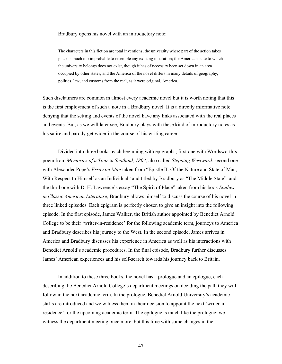Bradbury opens his novel with an introductory note:

The characters in this fiction are total inventions; the university where part of the action takes place is much too improbable to resemble any existing institution; the American state to which the university belongs does not exist, though it has of necessity been set down in an area occupied by other states; and the America of the novel differs in many details of geography, politics, law, and customs from the real, as it were original, America.

Such disclaimers are common in almost every academic novel but it is worth noting that this is the first employment of such a note in a Bradbury novel. It is a directly informative note denying that the setting and events of the novel have any links associated with the real places and events. But, as we will later see, Bradbury plays with these kind of introductory notes as his satire and parody get wider in the course of his writing career.

Divided into three books, each beginning with epigraphs; first one with Wordsworth's poem from Memories of a Tour in Scotland, 1803, also called Stepping Westward, second one with Alexander Pope's *Essay on Man* taken from "Epistle II: Of the Nature and State of Man, With Respect to Himself as an Individual" and titled by Bradbury as "The Middle State", and the third one with D. H. Lawrence's essay "The Spirit of Place" taken from his book Studies in Classic American Literature, Bradbury allows himself to discuss the course of his novel in three linked episodes. Each epigram is perfectly chosen to give an insight into the following episode. In the first episode, James Walker, the British author appointed by Benedict Arnold College to be their 'writer-in-residence' for the following academic term, journeys to America and Bradbury describes his journey to the West. In the second episode, James arrives in America and Bradbury discusses his experience in America as well as his interactions with Benedict Arnold's academic procedures. In the final episode, Bradbury further discusses James' American experiences and his self-search towards his journey back to Britain.

In addition to these three books, the novel has a prologue and an epilogue, each describing the Benedict Arnold College's department meetings on deciding the path they will follow in the next academic term. In the prologue, Benedict Arnold University's academic staffs are introduced and we witness them in their decision to appoint the next 'writer-inresidence' for the upcoming academic term. The epilogue is much like the prologue; we witness the department meeting once more, but this time with some changes in the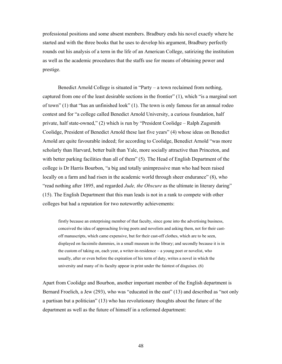professional positions and some absent members. Bradbury ends his novel exactly where he started and with the three books that he uses to develop his argument, Bradbury perfectly rounds out his analysis of a term in the life of an American College, satirizing the institution as well as the academic procedures that the staffs use for means of obtaining power and prestige.

Benedict Arnold College is situated in "Party – a town reclaimed from nothing, captured from one of the least desirable sections in the frontier" (1), which "is a marginal sort of town" (1) that "has an unfinished look" (1). The town is only famous for an annual rodeo contest and for "a college called Benedict Arnold University, a curious foundation, half private, half state-owned," (2) which is run by "President Coolidge – Ralph Zugsmith Coolidge, President of Benedict Arnold these last five years" (4) whose ideas on Benedict Arnold are quite favourable indeed; for according to Coolidge, Benedict Arnold "was more scholarly than Harvard, better built than Yale, more socially attractive than Princeton, and with better parking facilities than all of them" (5). The Head of English Department of the college is Dr Harris Bourbon, "a big and totally unimpressive man who had been raised locally on a farm and had risen in the academic world through sheer endurance" (8), who "read nothing after 1895, and regarded Jude, the Obscure as the ultimate in literary daring" (15). The English Department that this man leads is not in a rank to compete with other colleges but had a reputation for two noteworthy achievements:

firstly because an enterprising member of that faculty, since gone into the advertising business, conceived the idea of approaching living poets and novelists and asking them, not for their castoff manuscripts, which came expensive, but for their cast-off clothes, which are to be seen, displayed on facsimile dummies, in a small museum in the library; and secondly because it is in the custom of taking on, each year, a writer-in-residence – a young poet or novelist, who usually, after or even before the expiration of his term of duty, writes a novel in which the university and many of its faculty appear in print under the faintest of disguises. (6)

Apart from Coolidge and Bourbon, another important member of the English department is Bernard Froelich, a Jew (293), who was "educated in the east" (13) and described as "not only a partisan but a politician" (13) who has revolutionary thoughts about the future of the department as well as the future of himself in a reformed department: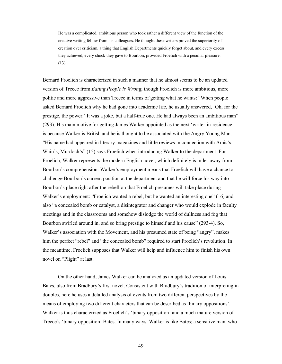He was a complicated, ambitious person who took rather a different view of the function of the creative writing fellow from his colleagues. He thought these writers proved the superiority of creation over criticism, a thing that English Departments quickly forget about, and every excess they achieved, every shock they gave to Bourbon, provided Froelich with a peculiar pleasure. (13)

Bernard Froelich is characterized in such a manner that he almost seems to be an updated version of Treece from *Eating People is Wrong*, though Froelich is more ambitious, more politic and more aggressive than Treece in terms of getting what he wants: "When people asked Bernard Froelich why he had gone into academic life, he usually answered, 'Oh, for the prestige, the power.' It was a joke, but a half-true one. He had always been an ambitious man" (293). His main motive for getting James Walker appointed as the next 'writer-in-residence' is because Walker is British and he is thought to be associated with the Angry Young Man. "His name had appeared in literary magazines and little reviews in connection with Amis's, Wain's, Murdoch's" (15) says Froelich when introducing Walker to the department. For Froelich, Walker represents the modern English novel, which definitely is miles away from Bourbon's comprehension. Walker's employment means that Froelich will have a chance to challenge Bourbon's current position at the department and that he will force his way into Bourbon's place right after the rebellion that Froelich presumes will take place during Walker's employment: "Froelich wanted a rebel, but he wanted an interesting one" (16) and also "a concealed bomb or catalyst, a disintegrator and changer who would explode in faculty meetings and in the classrooms and somehow dislodge the world of dullness and fog that Bourbon swirled around in, and so bring prestige to himself and his cause" (293-4). So, Walker's association with the Movement, and his presumed state of being "angry", makes him the perfect "rebel" and "the concealed bomb" required to start Froelich's revolution. In the meantime, Froelich supposes that Walker will help and influence him to finish his own novel on "Plight" at last.

On the other hand, James Walker can be analyzed as an updated version of Louis Bates, also from Bradbury's first novel. Consistent with Bradbury's tradition of interpreting in doubles, here he uses a detailed analysis of events from two different perspectives by the means of employing two different characters that can be described as 'binary oppositions'. Walker is thus characterized as Froelich's 'binary opposition' and a much mature version of Treece's 'binary opposition' Bates. In many ways, Walker is like Bates; a sensitive man, who

49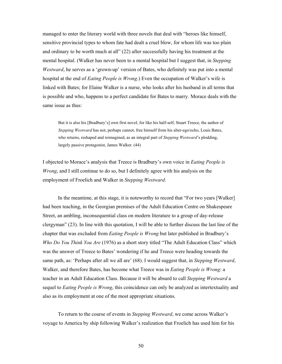managed to enter the literary world with three novels that deal with "heroes like himself, sensitive provincial types to whom fate had dealt a cruel blow, for whom life was too plain and ordinary to be worth much at all" (22) after successfully having his treatment at the mental hospital. (Walker has never been to a mental hospital but I suggest that, in *Stepping* Westward, he serves as a 'grown-up' version of Bates, who definitely was put into a mental hospital at the end of *Eating People is Wrong*.) Even the occupation of Walker's wife is linked with Bates; for Elaine Walker is a nurse, who looks after his husband in all terms that is possible and who, happens to a perfect candidate for Bates to marry. Morace deals with the same issue as thus:

But it is also his [Bradbury's] own first novel, for like his half-self, Stuart Treece, the author of Stepping Westward has not, perhaps cannot, free himself from his alter-ego/echo, Louis Bates, who returns, reshaped and reimagined, as an integral part of *Stepping Westward's* plodding, largely passive protagonist, James Walker. (44)

I objected to Morace's analysis that Treece is Bradbury's own voice in Eating People is Wrong, and I still continue to do so, but I definitely agree with his analysis on the employment of Froelich and Walker in Stepping Westward.

In the meantime, at this stage, it is noteworthy to record that "For two years [Walker] had been teaching, in the Georgian premises of the Adult Education Centre on Shakespeare Street, an ambling, inconsequential class on modern literature to a group of day-release clergyman" (23). In line with this quotation, I will be able to further discuss the last line of the chapter that was excluded from Eating People is Wrong but later published in Bradbury's Who Do You Think You Are (1976) as a short story titled "The Adult Education Class" which was the answer of Treece to Bates' wondering if he and Treece were heading towards the same path, as: 'Perhaps after all we all are' (68). I would suggest that, in Stepping Westward, Walker, and therefore Bates, has become what Treece was in *Eating People is Wrong*: a teacher in an Adult Education Class. Because it will be absurd to call Stepping Westward a sequel to *Eating People is Wrong*, this coincidence can only be analyzed as intertextuality and also as its employment at one of the most appropriate situations.

To return to the course of events in Stepping Westward, we come across Walker's voyage to America by ship following Walker's realization that Froelich has used him for his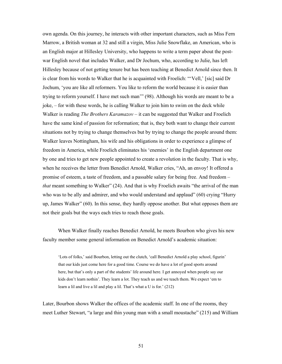own agenda. On this journey, he interacts with other important characters, such as Miss Fern Marrow, a British woman at 32 and still a virgin, Miss Julie Snowflake, an American, who is an English major at Hillesley University, who happens to write a term paper about the postwar English novel that includes Walker, and Dr Jochum, who, according to Julie, has left Hillesley because of not getting tenure but has been teaching at Benedict Arnold since then. It is clear from his words to Walker that he is acquainted with Froelich: "'Vell,' [sic] said Dr Jochum, 'you are like all reformers. You like to reform the world because it is easier than trying to reform yourself. I have met such man'" (98). Although his words are meant to be a joke, – for with these words, he is calling Walker to join him to swim on the deck while Walker is reading *The Brothers Karamazov* – it can be suggested that Walker and Froelich have the same kind of passion for reformation; that is, they both want to change their current situations not by trying to change themselves but by trying to change the people around them: Walker leaves Nottingham, his wife and his obligations in order to experience a glimpse of freedom in America, while Froelich eliminates his 'enemies' in the English department one by one and tries to get new people appointed to create a revolution in the faculty. That is why, when he receives the letter from Benedict Arnold, Walker cries, "Ah, an envoy! It offered a promise of esteem, a taste of freedom, and a passable salary for being free. And freedom – that meant something to Walker" (24). And that is why Froelich awaits "the arrival of the man who was to be ally and admirer, and who would understand and applaud" (60) crying "Hurry up, James Walker" (60). In this sense, they hardly oppose another. But what opposes them are not their goals but the ways each tries to reach those goals.

When Walker finally reaches Benedict Arnold, he meets Bourbon who gives his new faculty member some general information on Benedict Arnold's academic situation:

'Lots of folks,' said Bourbon, letting out the clutch, 'call Benedict Arnold a play school, figurin' that our kids just come here for a good time. Course we do have a lot of good sports around here, but that's only a part of the students' life around here. I get annoyed when people say our kids don't learn nothin'. They learn a lot. They teach us and we teach them. We expect 'em to learn a lil and live a lil and play a lil. That's what a U is for.' (212)

Later, Bourbon shows Walker the offices of the academic staff. In one of the rooms, they meet Luther Stewart, "a large and thin young man with a small moustache" (215) and William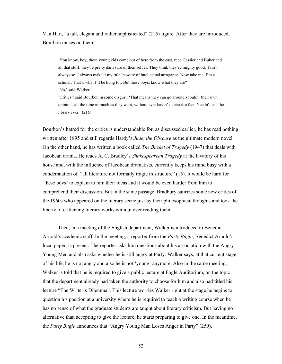Van Hart, "a tall, elegant and rather sophisticated" (215) figure. After they are introduced, Bourbon muses on them:

'You know, boy, these young kids come out of here from the east, read Cassier and Buber and all that stuff, they're pretty darn sure of themselves. They think they're mighty good. Tain't always so. I always make it my rule, beware of intellectual arrogance. Now take me, I'm a scholar. That's what I'll be hung for. But these boys, know what they are?' 'No,' said Walker.

'Critics!' said Bourbon in some disgust. 'That means they can go around spoutin' their own opinions all the time as much as they want, without ever havin' to check a fact. Needn't use the library ever.' (215)

Bourbon's hatred for the critics is understandable for, as discussed earlier, he has read nothing written after 1895 and still regards Hardy's *Jude, the Obscure* as the ultimate modern novel. On the other hand, he has written a book called The Bucket of Tragedy (1947) that deals with Jacobean drama. He reads A. C. Bradley's Shakespearean Tragedy at the lavatory of his house and, with the influence of Jacobean dramatists, currently keeps his mind busy with a condemnation of "all literature not formally tragic in structure" (15). It would be hard for 'these boys' to explain to him their ideas and it would be even harder from him to comprehend their discussion. But in the same passage, Bradbury satirizes some new critics of the 1960s who appeared on the literary scene just by their philosophical thoughts and took the liberty of criticizing literary works without ever reading them.

Then, in a meeting of the English department, Walker is introduced to Benedict Arnold's academic staff. In the meeting, a reporter from the Party Bugle, Benedict Arnold's local paper, is present. The reporter asks him questions about his association with the Angry Young Men and also asks whether he is still angry at Party. Walker says, at that current stage of his life, he is not angry and also he is not 'young' anymore. Also in the same meeting, Walker is told that he is required to give a public lecture at Fogle Auditorium, on the topic that the department already had taken the authority to choose for him and also had titled his lecture "The Writer's Dilemma". This lecture worries Walker right at the stage he begins to question his position at a university where he is required to teach a writing course when he has no sense of what the graduate students are taught about literary criticism. But having no alternative than accepting to give the lecture, he starts preparing to give one. In the meantime, the Party Bugle announces that "Angry Young Man Loses Anger in Party" (259).

52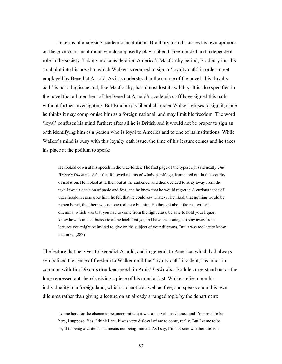In terms of analyzing academic institutions, Bradbury also discusses his own opinions on these kinds of institutions which supposedly play a liberal, free-minded and independent role in the society. Taking into consideration America's MacCarthy period, Bradbury installs a subplot into his novel in which Walker is required to sign a 'loyalty oath' in order to get employed by Benedict Arnold. As it is understood in the course of the novel, this 'loyalty oath' is not a big issue and, like MacCarthy, has almost lost its validity. It is also specified in the novel that all members of the Benedict Arnold's academic staff have signed this oath without further investigating. But Bradbury's liberal character Walker refuses to sign it, since he thinks it may compromise him as a foreign national, and may limit his freedom. The word 'loyal' confuses his mind further: after all he is British and it would not be proper to sign an oath identifying him as a person who is loyal to America and to one of its institutions. While Walker's mind is busy with this loyalty oath issue, the time of his lecture comes and he takes his place at the podium to speak:

He looked down at his speech in the blue folder. The first page of the typescript said neatly The Writer's Dilemma. After that followed realms of windy persiflage, hammered out in the security of isolation. He looked at it, then out at the audience, and then decided to stray away from the text. It was a decision of panic and fear, and he knew that he would regret it. A curious sense of utter freedom came over him; he felt that he could say whatever he liked, that nothing would be remembered, that there was no one real here but him. He thought about the real writer's dilemma, which was that you had to come from the right class, be able to hold your liquor, know how to undo a brasserie at the back first go, and have the courage to stay away from lectures you might be invited to give on the subject of your dilemma. But it was too late to know that now. (287)

The lecture that he gives to Benedict Arnold, and in general, to America, which had always symbolized the sense of freedom to Walker until the 'loyalty oath' incident, has much in common with Jim Dixon's drunken speech in Amis' Lucky Jim. Both lectures stand out as the long repressed anti-hero's giving a piece of his mind at last. Walker relies upon his individuality in a foreign land, which is chaotic as well as free, and speaks about his own dilemma rather than giving a lecture on an already arranged topic by the department:

I came here for the chance to be uncommitted; it was a marvellous chance, and I'm proud to be here, I suppose. Yes, I think I am. It was very disloyal of me to come, really. But I came to be loyal to being a writer. That means not being limited. As I say, I'm not sure whether this is a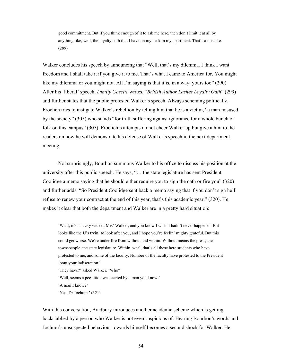good commitment. But if you think enough of it to ask me here, then don't limit it at all by anything like, well, the loyalty oath that I have on my desk in my apartment. That's a mistake. (289)

Walker concludes his speech by announcing that "Well, that's my dilemma. I think I want freedom and I shall take it if you give it to me. That's what I came to America for. You might like my dilemma or you might not. All I'm saying is that it is, in a way, yours too" (290). After his 'liberal' speech, *Dimity Gazette writes, "British Author Lashes Loyalty Oath"* (299) and further states that the public protested Walker's speech. Always scheming politically, Froelich tries to instigate Walker's rebellion by telling him that he is a victim, "a man misused by the society" (305) who stands "for truth suffering against ignorance for a whole bunch of folk on this campus" (305). Froelich's attempts do not cheer Walker up but give a hint to the readers on how he will demonstrate his defense of Walker's speech in the next department meeting.

Not surprisingly, Bourbon summons Walker to his office to discuss his position at the university after this public speech. He says, "… the state legislature has sent President Coolidge a memo saying that he should either require you to sign the oath or fire you" (320) and further adds, "So President Coolidge sent back a memo saying that if you don't sign he'll refuse to renew your contract at the end of this year, that's this academic year." (320). He makes it clear that both the department and Walker are in a pretty hard situation:

'Waal, it's a sticky wicket, Mis' Walker, and you know I wish it hadn't never happened. But looks like the U's tryin' to look after you, and I hope you're feelin' mighty grateful. But this could get worse. We're under fire from without and within. Without means the press, the townspeople, the state legislature. Within, waal, that's all these here students who have protested to me, and some of the faculty. Number of the faculty have protested to the President 'bout your indiscretion.'

'They have?' asked Walker. 'Who?'

'Well, seems a pee-tition was started by a man you know.'

'A man I know?'

'Yes, Dr Jochum.' (321)

With this conversation, Bradbury introduces another academic scheme which is getting backstabbed by a person who Walker is not even suspicious of. Hearing Bourbon's words and Jochum's unsuspected behaviour towards himself becomes a second shock for Walker. He

54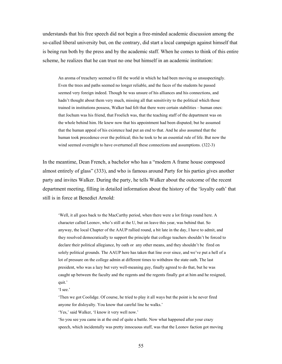understands that his free speech did not begin a free-minded academic discussion among the so-called liberal university but, on the contrary, did start a local campaign against himself that is being run both by the press and by the academic staff. When he comes to think of this entire scheme, he realizes that he can trust no one but himself in an academic institution:

An aroma of treachery seemed to fill the world in which he had been moving so unsuspectingly. Even the trees and paths seemed no longer reliable, and the faces of the students he passed seemed very foreign indeed. Though he was unsure of his alliances and his connections, and hadn't thought about them very much, missing all that sensitivity to the political which those trained in institutions possess, Walker had felt that there were certain stabilities – human ones: that Jochum was his friend, that Froelich was, that the teaching staff of the department was on the whole behind him. He knew now that his appointment had been disputed; but he assumed that the human appeal of his existence had put an end to that. And he also assumed that the human took precedence over the political; this he took to be an essential rule of life. But now the wind seemed overnight to have overturned all these connections and assumptions. (322-3)

In the meantime, Dean French, a bachelor who has a "modern A frame house composed almost entirely of glass" (333), and who is famous around Party for his parties gives another party and invites Walker. During the party, he tells Walker about the outcome of the recent department meeting, filling in detailed information about the history of the 'loyalty oath' that still is in force at Benedict Arnold:

'Well, it all goes back to the MacCarthy period, when there were a lot firings round here. A character called Leonov, who's still at the U, but on leave this year, was behind that. So anyway, the local Chapter of the AAUP rallied round, a bit late in the day, I have to admit, and they resolved democratically to support the principle that college teachers shouldn't be forced to declare their political allegiance, by oath or any other means, and they shouldn't be fired on solely political grounds. The AAUP here has taken that line over since, and we've put a hell of a lot of pressure on the college admin at different times to withdraw the state oath. The last president, who was a lazy but very well-meaning guy, finally agreed to do that, but he was caught up between the faculty and the regents and the regents finally got at him and he resigned, quit.'

'I see.'

'Then we got Coolidge. Of course, he tried to play it all ways but the point is he never fired anyone for disloyalty. You know that careful line he walks.'

'Yes,' said Walker, 'I know it very well now.'

'So you see you came in at the end of quite a battle. Now what happened after your crazy speech, which incidentally was pretty innocuous stuff, was that the Leonov faction got moving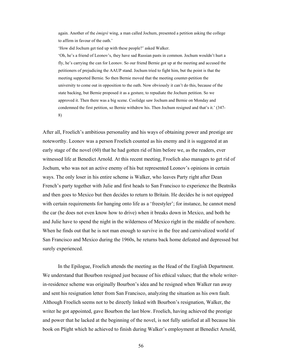again. Another of the émigré wing, a man called Jochum, presented a petition asking the college to affirm in favour of the oath.'

'How did Jochum get tied up with these people?' asked Walker.

'Oh, he's a friend of Leonov's, they have sad Russian pasts in common. Jochum wouldn't hurt a fly, he's carrying the can for Leonov. So our friend Bernie got up at the meeting and accused the petitioners of prejudicing the AAUP stand. Jochum tried to fight him, but the point is that the meeting supported Bernie. So then Bernie moved that the meeting counter-petition the university to come out in opposition to the oath. Now obviously it can't do this, because of the state backing, but Bernie proposed it as a gesture, to repudiate the Jochum petition. So we approved it. Then there was a big scene. Coolidge saw Jochum and Bernie on Monday and condemned the first petition, so Bernie withdrew his. Then Jochum resigned and that's it.' (347- 8)

After all, Froelich's ambitious personality and his ways of obtaining power and prestige are noteworthy. Leonov was a person Froelich counted as his enemy and it is suggested at an early stage of the novel (60) that he had gotten rid of him before we, as the readers, ever witnessed life at Benedict Arnold. At this recent meeting, Froelich also manages to get rid of Jochum, who was not an active enemy of his but represented Leonov's opinions in certain ways. The only loser in his entire scheme is Walker, who leaves Party right after Dean French's party together with Julie and first heads to San Francisco to experience the Beatniks and then goes to Mexico but then decides to return to Britain. He decides he is not equipped with certain requirements for hanging onto life as a 'freestyler'; for instance, he cannot mend the car (he does not even know how to drive) when it breaks down in Mexico, and both he and Julie have to spend the night in the wilderness of Mexico right in the middle of nowhere. When he finds out that he is not man enough to survive in the free and carnivalized world of San Francisco and Mexico during the 1960s, he returns back home defeated and depressed but surely experienced.

In the Epilogue, Froelich attends the meeting as the Head of the English Department. We understand that Bourbon resigned just because of his ethical values; that the whole writerin-residence scheme was originally Bourbon's idea and he resigned when Walker ran away and sent his resignation letter from San Francisco, analyzing the situation as his own fault. Although Froelich seems not to be directly linked with Bourbon's resignation, Walker, the writer he got appointed, gave Bourbon the last blow. Froelich, having achieved the prestige and power that he lacked at the beginning of the novel, is not fully satisfied at all because his book on Plight which he achieved to finish during Walker's employment at Benedict Arnold,

56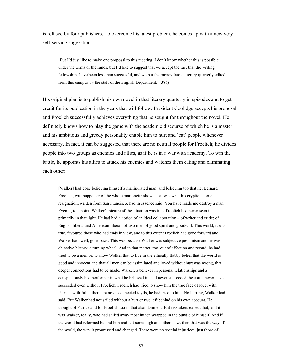is refused by four publishers. To overcome his latest problem, he comes up with a new very self-serving suggestion:

'But I'd just like to make one proposal to this meeting. I don't know whether this is possible under the terms of the funds, but I'd like to suggest that we accept the fact that the writing fellowships have been less than successful, and we put the money into a literary quarterly edited from this campus by the staff of the English Department.' (386)

His original plan is to publish his own novel in that literary quarterly in episodes and to get credit for its publication in the years that will follow. President Coolidge accepts his proposal and Froelich successfully achieves everything that he sought for throughout the novel. He definitely knows how to play the game with the academic discourse of which he is a master and his ambitious and greedy personality enable him to hurt and 'eat' people whenever necessary. In fact, it can be suggested that there are no neutral people for Froelich; he divides people into two groups as enemies and allies, as if he is in a war with academy. To win the battle, he appoints his allies to attack his enemies and watches them eating and eliminating each other:

[Walker] had gone believing himself a manipulated man, and believing too that he, Bernard Froelich, was puppeteer of the whole marionette show. That was what his cryptic letter of resignation, written from San Francisco, had in essence said: You have made me destroy a man. Even if, to a point, Walker's picture of the situation was true, Froelich had never seen it primarily in that light. He had had a notion of an ideal collaboration – of writer and critic; of English liberal and American liberal; of two men of good spirit and goodwill. This world, it was true, favoured those who had ends in view, and to this extent Froelich had gone forward and Walker had, well, gone back. This was because Walker was subjective pessimism and he was objective history, a turning wheel. And in that matter, too, out of affection and regard, he had tried to be a mentor, to show Walker that to live in the ethically flabby belief that the world is good and innocent and that all men can be assimilated and loved without hurt was wrong, that deeper connections had to be made. Walker, a believer in personal relationships and a conspicuously bad performer in what he believed in, had never succeeded; he could never have succeeded even without Froelich. Froelich had tried to show him the true face of love, with Patrice, with Julie; there are no disconnected idylls, he had tried to hint. No hurting, Walker had said. But Walker had not sailed without a hurt or two left behind on his own account. He thought of Patrice and for Froelich too in that abandonment. But risktakers expect that; and it was Walker, really, who had sailed away most intact, wrapped in the bundle of himself. And if the world had reformed behind him and left some high and others low, then that was the way of the world, the way it progressed and changed. There were no special injustices, just those of

57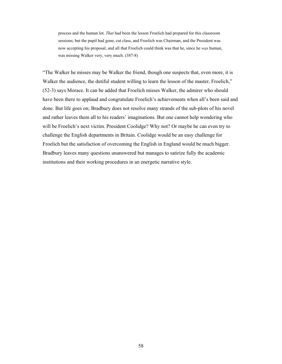process and the human lot. That had been the lesson Froelich had prepared for this classroom sessions; but the pupil had gone, cut class, and Froelich was Chairman, and the President was now accepting his proposal, and all that Froelich could think was that he, since he was human, was missing Walker very, very much. (387-8)

"The Walker he misses may be Walker the friend, though one suspects that, even more, it is Walker the audience, the dutiful student willing to learn the lesson of the master, Froelich," (52-3) says Morace. It can be added that Froelich misses Walker, the admirer who should have been there to applaud and congratulate Froelich's achievements when all's been said and done. But life goes on; Bradbury does not resolve many strands of the sub-plots of his novel and rather leaves them all to his readers' imaginations. But one cannot help wondering who will be Froelich's next victim. President Coolidge? Why not? Or maybe he can even try to challenge the English departments in Britain. Coolidge would be an easy challenge for Froelich but the satisfaction of overcoming the English in England would be much bigger. Bradbury leaves many questions unanswered but manages to satirize fully the academic institutions and their working procedures in an energetic narrative style.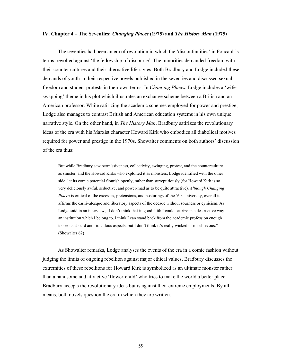#### IV. Chapter 4 – The Seventies: Changing Places (1975) and The History Man (1975)

The seventies had been an era of revolution in which the 'discontinuities' in Foucault's terms, revolted against 'the fellowship of discourse'. The minorities demanded freedom with their counter cultures and their alternative life-styles. Both Bradbury and Lodge included these demands of youth in their respective novels published in the seventies and discussed sexual freedom and student protests in their own terms. In Changing Places, Lodge includes a 'wifeswapping' theme in his plot which illustrates an exchange scheme between a British and an American professor. While satirizing the academic schemes employed for power and prestige, Lodge also manages to contrast British and American education systems in his own unique narrative style. On the other hand, in *The History Man*, Bradbury satirizes the revolutionary ideas of the era with his Marxist character Howard Kirk who embodies all diabolical motives required for power and prestige in the 1970s. Showalter comments on both authors' discussion of the era thus:

But while Bradbury saw permissiveness, collectivity, swinging, protest, and the counterculture as sinister, and the Howard Kirks who exploited it as monsters, Lodge identified with the other side, let its comic potential flourish openly, rather than surreptitiously (for Howard Kirk is so very deliciously awful, seductive, and power-mad as to be quite attractive). Although Changing Places is critical of the excesses, pretensions, and posturings of the '60s university, overall it affirms the carnivalesque and liberatory aspects of the decade without sourness or cynicism. As Lodge said in an interview, "I don't think that in good faith I could satirize in a destructive way an institution which I belong to. I think I can stand back from the academic profession enough to see its absurd and ridiculous aspects, but I don't think it's really wicked or mischievous." (Showalter 62)

As Showalter remarks, Lodge analyses the events of the era in a comic fashion without judging the limits of ongoing rebellion against major ethical values, Bradbury discusses the extremities of these rebellions for Howard Kirk is symbolized as an ultimate monster rather than a handsome and attractive 'flower-child' who tries to make the world a better place. Bradbury accepts the revolutionary ideas but is against their extreme employments. By all means, both novels question the era in which they are written.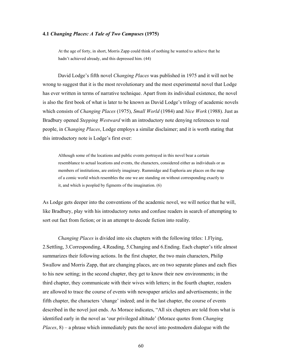#### 4.1 Changing Places: A Tale of Two Campuses (1975)

At the age of forty, in short, Morris Zapp could think of nothing he wanted to achieve that he hadn't achieved already, and this depressed him. (44)

David Lodge's fifth novel Changing Places was published in 1975 and it will not be wrong to suggest that it is the most revolutionary and the most experimental novel that Lodge has ever written in terms of narrative technique. Apart from its individual existence, the novel is also the first book of what is later to be known as David Lodge's trilogy of academic novels which consists of Changing Places (1975), Small World (1984) and Nice Work (1988). Just as Bradbury opened *Stepping Westward* with an introductory note denying references to real people, in Changing Places, Lodge employs a similar disclaimer; and it is worth stating that this introductory note is Lodge's first ever:

Although some of the locations and public events portrayed in this novel bear a certain resemblance to actual locations and events, the characters, considered either as individuals or as members of institutions, are entirely imaginary. Rummidge and Euphoria are places on the map of a comic world which resembles the one we are standing on without corresponding exactly to it, and which is peopled by figments of the imagination. (6)

As Lodge gets deeper into the conventions of the academic novel, we will notice that he will, like Bradbury, play with his introductory notes and confuse readers in search of attempting to sort out fact from fiction; or in an attempt to decode fiction into reality.

Changing Places is divided into six chapters with the following titles: 1.Flying, 2.Settling, 3.Corresponding, 4.Reading, 5.Changing and 6.Ending. Each chapter's title almost summarizes their following actions. In the first chapter, the two main characters, Philip Swallow and Morris Zapp, that are changing places, are on two separate planes and each flies to his new setting; in the second chapter, they get to know their new environments; in the third chapter, they communicate with their wives with letters; in the fourth chapter, readers are allowed to trace the course of events with newspaper articles and advertisements; in the fifth chapter, the characters 'change' indeed; and in the last chapter, the course of events described in the novel just ends. As Morace indicates, "All six chapters are told from what is identified early in the novel as 'our privileged altitude' (Morace quotes from Changing *Places*,  $8$ ) – a phrase which immediately puts the novel into postmodern dialogue with the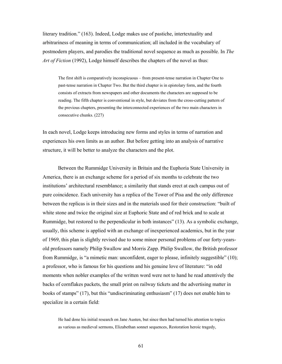literary tradition." (163). Indeed, Lodge makes use of pastiche, intertextuality and arbitrariness of meaning in terms of communication; all included in the vocabulary of postmodern players, and parodies the traditional novel sequence as much as possible. In The Art of Fiction (1992), Lodge himself describes the chapters of the novel as thus:

The first shift is comparatively inconspicuous – from present-tense narration in Chapter One to past-tense narration in Chapter Two. But the third chapter is in epistolary form, and the fourth consists of extracts from newspapers and other documents the characters are supposed to be reading. The fifth chapter is conventional in style, but deviates from the cross-cutting pattern of the previous chapters, presenting the interconnected experiences of the two main characters in consecutive chunks. (227)

In each novel, Lodge keeps introducing new forms and styles in terms of narration and experiences his own limits as an author. But before getting into an analysis of narrative structure, it will be better to analyze the characters and the plot.

Between the Rummidge University in Britain and the Euphoria State University in America, there is an exchange scheme for a period of six months to celebrate the two institutions' architectural resemblance; a similarity that stands erect at each campus out of pure coincidence. Each university has a replica of the Tower of Pisa and the only difference between the replicas is in their sizes and in the materials used for their construction: "built of white stone and twice the original size at Euphoric State and of red brick and to scale at Rummidge, but restored to the perpendicular in both instances" (13). As a symbolic exchange, usually, this scheme is applied with an exchange of inexperienced academics, but in the year of 1969, this plan is slightly revised due to some minor personal problems of our forty-yearsold professors namely Philip Swallow and Morris Zapp. Philip Swallow, the British professor from Rummidge, is "a mimetic man: unconfident, eager to please, infinitely suggestible" (10); a professor, who is famous for his questions and his genuine love of literature: "in odd moments when nobler examples of the written word were not to hand he read attentively the backs of cornflakes packets, the small print on railway tickets and the advertising matter in books of stamps" (17), but this "undiscriminating enthusiasm" (17) does not enable him to specialize in a certain field:

He had done his initial research on Jane Austen, but since then had turned his attention to topics as various as medieval sermons, Elizabethan sonnet sequences, Restoration heroic tragedy,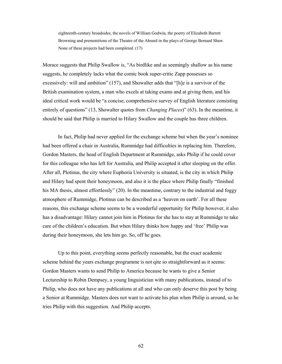eighteenth-century broadsides, the novels of William Godwin, the poetry of Elizabeth Barrett Browning and premonitions of the Theatre of the Absurd in the plays of George Bernard Shaw. None of these projects had been completed. (17)

Morace suggests that Philip Swallow is, "As birdlike and as seemingly shallow as his name suggests, he completely lacks what the comic book super-critic Zapp possesses so excessively: will and ambition" (157), and Showalter adds that "[h]e is a survivor of the British examination system, a man who excels at taking exams and at giving them, and his ideal critical work would be "a concise, comprehensive survey of English literature consisting entirely of questions" (13, Showalter quotes from *Changing Places*)" (63). In the meantime, it should be said that Philip is married to Hilary Swallow and the couple has three children.

In fact, Philip had never applied for the exchange scheme but when the year's nominee had been offered a chair in Australia, Rummidge had difficulties in replacing him. Therefore, Gordon Masters, the head of English Department at Rummidge, asks Philip if he could cover for this colleague who has left for Australia, and Philip accepted it after sleeping on the offer. After all, Plotinus, the city where Euphoria University is situated, is the city in which Philip and Hilary had spent their honeymoon, and also it is the place where Philip finally "finished his MA thesis, almost effortlessly" (20). In the meantime, contrary to the industrial and foggy atmosphere of Rummidge, Plotinus can be described as a 'heaven on earth'. For all these reasons, this exchange scheme seems to be a wonderful opportunity for Philip however, it also has a disadvantage: Hilary cannot join him in Plotinus for she has to stay at Rummidge to take care of the children's education. But when Hilary thinks how happy and 'free' Philip was during their honeymoon, she lets him go. So, off he goes.

Up to this point, everything seems perfectly reasonable, but the exact academic scheme behind the years exchange programme is not qite so straightforward as it seems: Gordon Masters wants to send Philip to America because he wants to give a Senior Lectureship to Robin Dempsey, a young linguistician with many publications, instead of to Philip, who does not have any publications at all and who can only deserve this post by being a Senior at Rummidge. Masters does not want to activate his plan when Philip is around, so he tries Philip with this suggestion. And Philip accepts.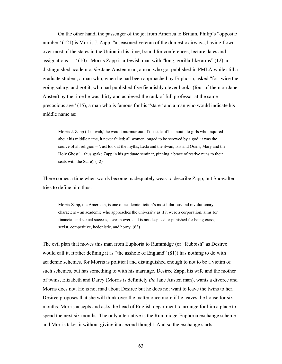On the other hand, the passenger of the jet from America to Britain, Philip's "opposite number" (121) is Morris J. Zapp, "a seasoned veteran of the domestic airways, having flown over most of the states in the Union in his time, bound for conferences, lecture dates and assignations …" (10). Morris Zapp is a Jewish man with "long, gorilla-like arms" (12), a distinguished academic, the Jane Austen man, a man who got published in PMLA while still a graduate student, a man who, when he had been approached by Euphoria, asked "for twice the going salary, and got it; who had published five fiendishly clever books (four of them on Jane Austen) by the time he was thirty and achieved the rank of full professor at the same precocious age" (15), a man who is famous for his "stare" and a man who would indicate his middle name as:

Morris J. Zapp ('Jehovah,' he would murmur out of the side of his mouth to girls who inquired about his middle name, it never failed; all women longed to be screwed by a god, it was the source of all religion – 'Just look at the myths, Leda and the Swan, Isis and Osiris, Mary and the Holy Ghost' – thus spake Zapp in his graduate seminar, pinning a brace of restive nuns to their seats with the Stare). (12)

There comes a time when words become inadequately weak to describe Zapp, but Showalter tries to define him thus:

Morris Zapp, the American, is one of academic fiction's most hilarious and revolutionary characters – an academic who approaches the university as if it were a corporation, aims for financial and sexual success, loves power, and is not despised or punished for being crass, sexist, competitive, hedonistic, and horny. (63)

The evil plan that moves this man from Euphoria to Rummidge (or "Rubbish" as Desiree would call it, further defining it as "the asshole of England" (81)) has nothing to do with academic schemes, for Morris is political and distinguished enough to not to be a victim of such schemes, but has something to with his marriage. Desiree Zapp, his wife and the mother of twins, Elizabeth and Darcy (Morris is definitely the Jane Austen man), wants a divorce and Morris does not. He is not mad about Desiree but he does not want to leave the twins to her. Desiree proposes that she will think over the matter once more if he leaves the house for six months. Morris accepts and asks the head of English department to arrange for him a place to spend the next six months. The only alternative is the Rummidge-Euphoria exchange scheme and Morris takes it without giving it a second thought. And so the exchange starts.

63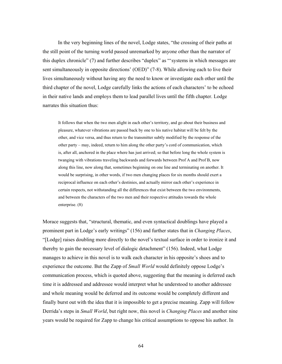In the very beginning lines of the novel, Lodge states, "the crossing of their paths at the still point of the turning world passed unremarked by anyone other than the narrator of this duplex chronicle" (7) and further describes "duplex" as "'systems in which messages are sent simultaneously in opposite directions' (OED)" (7-8). While allowing each to live their lives simultaneously without having any the need to know or investigate each other until the third chapter of the novel, Lodge carefully links the actions of each characters' to be echoed in their native lands and employs them to lead parallel lives until the fifth chapter. Lodge narrates this situation thus:

It follows that when the two men alight in each other's territory, and go about their business and pleasure, whatever vibrations are passed back by one to his native habitat will be felt by the other, and vice versa, and thus return to the transmitter subtly modified by the response of the other party – may, indeed, return to him along the other party's cord of communication, which is, after all, anchored in the place where has just arrived; so that before long the whole system is twanging with vibrations traveling backwards and forwards between Prof A and Prof B, now along this line, now along that, sometimes beginning on one line and terminating on another. It would be surprising, in other words, if two men changing places for six months should exert a reciprocal influence on each other's destinies, and actually mirror each other's experience in certain respects, not withstanding all the differences that exist between the two environments, and between the characters of the two men and their respective attitudes towards the whole enterprise. (8)

Morace suggests that, "structural, thematic, and even syntactical doublings have played a prominent part in Lodge's early writings" (156) and further states that in Changing Places, "[Lodge] raises doubling more directly to the novel's textual surface in order to ironize it and thereby to gain the necessary level of dialogic detachment" (156). Indeed, what Lodge manages to achieve in this novel is to walk each character in his opposite's shoes and to experience the outcome. But the Zapp of *Small World* would definitely oppose Lodge's communication process, which is quoted above, suggesting that the meaning is deferred each time it is addressed and addressee would interpret what he understood to another addressee and whole meaning would be deferred and its outcome would be completely different and finally burst out with the idea that it is impossible to get a precise meaning. Zapp will follow Derrida's steps in Small World, but right now, this novel is Changing Places and another nine years would be required for Zapp to change his critical assumptions to oppose his author. In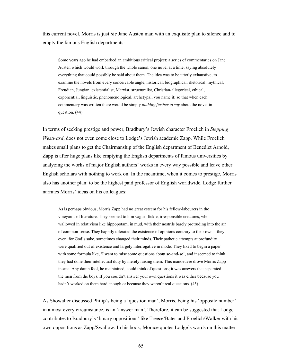this current novel, Morris is just the Jane Austen man with an exquisite plan to silence and to empty the famous English departments:

Some years ago he had embarked an ambitious critical project: a series of commentaries on Jane Austen which would work through the whole canon, one novel at a time, saying absolutely everything that could possibly be said about them. The idea was to be utterly exhaustive, to examine the novels from every conceivable angle, historical, biographical, rhetorical, mythical, Freudian, Jungian, existentialist, Marxist, structuralist, Christian-allegorical, ethical, exponential, linguistic, phenomenological, archetypal, you name it; so that when each commentary was written there would be simply *nothing further to say* about the novel in question. (44)

In terms of seeking prestige and power, Bradbury's Jewish character Froelich in Stepping Westward, does not even come close to Lodge's Jewish academic Zapp. While Froelich makes small plans to get the Chairmanship of the English department of Benedict Arnold, Zapp is after huge plans like emptying the English departments of famous universities by analyzing the works of major English authors' works in every way possible and leave other English scholars with nothing to work on. In the meantime, when it comes to prestige, Morris also has another plan: to be the highest paid professor of English worldwide. Lodge further narrates Morris' ideas on his colleagues:

As is perhaps obvious, Morris Zapp had no great esteem for his fellow-labourers in the vineyards of literature. They seemed to him vague, fickle, irresponsible creatures, who wallowed in relativism like hippopotami in mud, with their nostrils barely protruding into the air of common-sense. They happily tolerated the existence of opinions contrary to their own – they even, for God's sake, sometimes changed their minds. Their pathetic attempts at profundity were qualified out of existence and largely interrogative in mode. They liked to begin a paper with some formula like, 'I want to raise some questions about so-and-so', and it seemed to think they had done their intellectual duty by merely raising them. This manoeuvre drove Morris Zapp insane. Any damn fool, he maintained, could think of questions; it was answers that separated the men from the boys. If you couldn't answer your own questions it was either because you hadn't worked on them hard enough or because they weren't real questions. (45)

As Showalter discussed Philip's being a 'question man', Morris, being his 'opposite number' in almost every circumstance, is an 'answer man'. Therefore, it can be suggested that Lodge contributes to Bradbury's 'binary oppositions' like Treece/Bates and Froelich/Walker with his own oppositions as Zapp/Swallow. In his book, Morace quotes Lodge's words on this matter: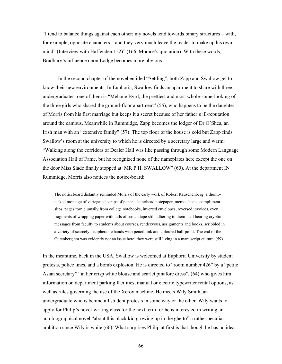"I tend to balance things against each other; my novels tend towards binary structures – with, for example, opposite characters – and they very much leave the reader to make up his own mind" (Interview with Haffenden 152)" (166, Morace's quotation). With these words, Bradbury's influence upon Lodge becomes more obvious.

 In the second chapter of the novel entitled "Settling", both Zapp and Swallow get to know their new environments. In Euphoria, Swallow finds an apartment to share with three undergraduates; one of them is "Melanie Byrd, the prettiest and most whole-some-looking of the three girls who shared the ground-floor apartment" (55), who happens to be the daughter of Morris from his first marriage but keeps it a secret because of her father's ill-reputation around the campus. Meanwhile in Rummidge, Zapp becomes the lodger of Dr O'Shea, an Irish man with an "extensive family" (57). The top floor of the house is cold but Zapp finds Swallow's room at the university to which he is directed by a secretary large and warm: "Walking along the corridors of Dealer Hall was like passing through some Modern Language Association Hall of Fame, but he recognized none of the nameplates here except the one on the door Miss Slade finally stopped at: MR P.H. SWALLOW" (60). At the department İN Rummidge, Morris also notices the notice-board:

The noticeboard distantly reminded Morris of the early work of Robert Rauschenberg: a thumbtacked montage of variegated scraps of paper – letterhead notepaper, memo sheets, compliment slips, pages torn clumsily from college notebooks, inverted envelopes, reversed invoices, even fragments of wrapping paper with tails of scotch tape still adhering to them – all bearing cryptic messages from faculty to students about courses, rendezvous, assignments and books, scribbled in a variety of scarcely decipherable hands with pencil, ink and coloured ball-point. The end of the Gutenberg era was evidently not an issue here: they were still living in a manuscript culture. (59)

In the meantime, back in the USA, Swallow is welcomed at Euphoria University by student protests, police lines, and a bomb explosion. He is directed to "room number 426" by a "petite Asian secretary" "in her crisp white blouse and scarlet pinafore dress", (64) who gives him information on department parking facilities, manual or electric typewriter rental options, as well as rules governing the use of the Xerox machine. He meets Wily Smith, an undergraduate who is behind all student protests in some way or the other. Wily wants to apply for Philip's novel-writing class for the next term for he is interested in writing an autobiographical novel "about this black kid growing up in the ghetto" a rather peculiar ambition since Wily is white (66). What surprises Philip at first is that though he has no idea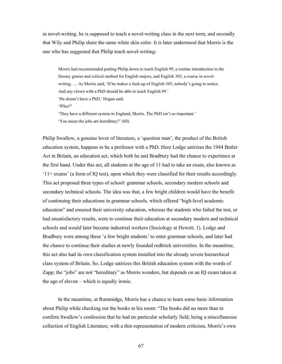in novel-writing, he is supposed to teach a novel-writing class in the next term, and secondly that Wily and Philip share the same white skin color. It is later understood that Morris is the one who has suggested that Philip teach novel-writing:

Morris had recommended putting Philip down to teach English 99, a routine introduction to the literary genres and critical method for English majors, and English 305, a course in novelwriting. … As Morris said, 'If he makes a fuck-up of English 305, nobody's going to notice. And any clown with a PhD should be able to teach English 99.' 'He doesn't have a PhD,' Hogan said. 'What?' 'They have a different system in England, Morris. The PhD isn't so important.' 'You mean the jobs are hereditary?' (60)

Philip Swallow, a genuine lover of literature, a 'question man', the product of the British education system, happens to be a professor with a PhD. Here Lodge satirizes the 1944 Butler Act in Britain, an education act, which both he and Bradbury had the chance to experience at the first hand. Under this act, all students at the age of 11 had to take an exam, also known as '11+ exams' (a form of IQ test), upon which they were classified for their results accordingly. This act proposed three types of school: grammar schools, secondary modern schools and secondary technical schools. The idea was that, a few bright children would have the benefit of continuing their educations in grammar schools, which offered "high-level academic education" and ensured their university education, whereas the students who failed the test, or had unsatisfactory results, were to continue their education at secondary modern and technical schools and would later become industrial workers (Sociology at Hewett, 1). Lodge and Bradbury were among these 'a few bright students' to enter grammar schools, and later had the chance to continue their studies at newly founded redbrick universities. In the meantime, this act also had its own classification system installed into the already severe hierarchical class system of Britain. So, Lodge satirizes this British education system with the words of Zapp; the "jobs" are not "hereditary" as Morris wonders, but depends on an IQ exam taken at the age of eleven – which is equally ironic.

In the meantime, at Rummidge, Morris has a chance to learn some basic information about Philip while checking out the books in his room: "The books did no more than to confirm Swallow's confession that he had no particular scholarly field, being a miscellaneous collection of English Literature, with a thin representation of modern criticism, Morris's own

67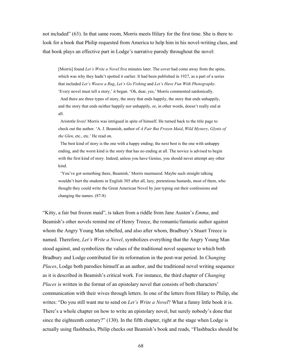not included" (63). In that same room, Morris meets Hilary for the first time. She is there to look for a book that Philip requested from America to help him in his novel-writing class, and that book plays an effective part in Lodge's narrative parody throughout the novel:

[Morris] found Let's Write a Novel five minutes later. The cover had come away from the spine, which was why they hadn't spotted it earlier. It had been published in 1927, as a part of a series that included Let's Weave a Rug, Let's Go Fishing and Let's Have Fun With Photography. 'Every novel must tell a story,' it began. 'Oh, dear, yes,' Morris commented sardonically. And there are three types of story, the story that ends happily, the story that ends unhappily, and the story that ends neither happily nor unhappily, or, in other words, doesn't really end at all.

 Aristotle lives! Morris was intrigued in spite of himself. He turned back to the title page to check out the author. 'A. J. Beamish, author of A Fair But Frozen Maid, Wild Mystery, Glynis of the Glen, etc., etc.' He read on.

 The best kind of story is the one with a happy ending; the next best is the one with unhappy ending, and the worst kind is the story that has no ending at all. The novice is advised to begin with the first kind of story. Indeed, unless you have Genius, you should never attempt any other kind.

 'You've got something there, Beamish,' Morris murmured. Maybe such straight talking wouldn't hurt the students in English 305 after all, lazy, pretentious bastards, most of them, who thought they could write the Great American Novel by just typing out their confessions and changing the names. (87-8)

"Kitty, a fair but frozen maid", is taken from a riddle from Jane Austen's Emma, and Beamish's other novels remind me of Henry Treece, the romantic/fantastic author against whom the Angry Young Man rebelled, and also after whom, Bradbury's Stuart Treece is named. Therefore, Let's Write a Novel, symbolizes everything that the Angry Young Man stood against, and symbolizes the values of the traditional novel sequence to which both Bradbury and Lodge contributed for its reformation in the post-war period. In Changing Places, Lodge both parodies himself as an author, and the traditional novel writing sequence as it is described in Beamish's critical work. For instance, the third chapter of Changing Places is written in the format of an epistolary novel that consists of both characters' communication with their wives through letters. In one of the letters from Hilary to Philip, she writes: "Do you still want me to send on *Let's Write a Novel*? What a funny little book it is. There's a whole chapter on how to write an epistolary novel, but surely nobody's done that since the eighteenth century?" (130). In the fifth chapter, right at the stage when Lodge is actually using flashbacks, Philip checks out Beamish's book and reads, "Flashbacks should be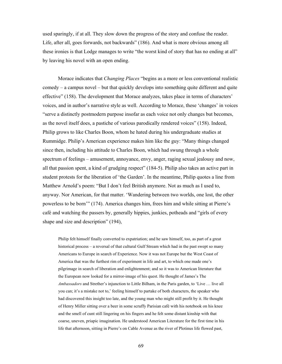used sparingly, if at all. They slow down the progress of the story and confuse the reader. Life, after all, goes forwards, not backwards" (186). And what is more obvious among all these ironies is that Lodge manages to write "the worst kind of story that has no ending at all" by leaving his novel with an open ending.

Morace indicates that *Changing Places* "begins as a more or less conventional realistic comedy – a campus novel – but that quickly develops into something quite different and quite effective" (158). The development that Morace analyzes, takes place in terms of characters' voices, and in author's narrative style as well. According to Morace, these 'changes' in voices "serve a distinctly postmodern purpose insofar as each voice not only changes but becomes, as the novel itself does, a pastiche of various parodically rendered voices" (158). Indeed, Philip grows to like Charles Boon, whom he hated during his undergraduate studies at Rummidge. Philip's American experience makes him like the guy: "Many things changed since then, including his attitude to Charles Boon, which had swung through a whole spectrum of feelings – amusement, annoyance, envy, anger, raging sexual jealousy and now, all that passion spent, a kind of grudging respect" (184-5). Philip also takes an active part in student protests for the liberation of 'the Garden'. In the meantime, Philip quotes a line from Matthew Arnold's poem: "But I don't feel British anymore. Not as much as I used to, anyway. Nor American, for that matter. 'Wandering between two worlds, one lost, the other powerless to be born'" (174). America changes him, frees him and while sitting at Pierre's café and watching the passers by, generally hippies, junkies, potheads and "girls of every shape and size and description" (194),

Philip felt himself finally converted to expatriation; and he saw himself, too, as part of a great historical process – a reversal of that cultural Gulf Stream which had in the past swept so many Americans to Europe in search of Experience. Now it was not Europe but the West Coast of America that was the furthest rim of experiment in life and art, to which one made one's pilgrimage in search of liberation and enlightenment; and so it was to American literature that the European now looked for a mirror-image of his quest. He thought of James's The Ambassadors and Strether's injunction to Little Bilham, in the Paris garden, to 'Live ... live all you can; it's a mistake not to,' feeling himself to partake of both characters, the speaker who had discovered this insight too late, and the young man who might still profit by it. He thought of Henry Miller sitting over a beer in some scruffy Parisian café with his notebook on his knee and the smell of cunt still lingering on his fingers and he felt some distant kinship with that coarse, uneven, priapic imagination. He understood American Literature for the first time in his life that afternoon, sitting in Pierre's on Cable Avenue as the river of Plotinus life flowed past,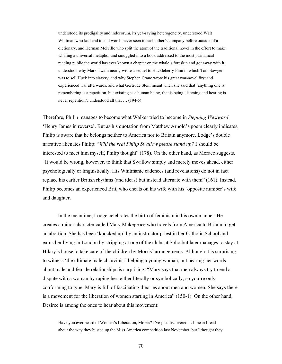understood its prodigality and indecorum, its yea-saying heterogeneity, understood Walt Whitman who laid end to end words never seen in each other's company before outside of a dictionary, and Herman Melville who split the atom of the traditional novel in the effort to make whaling a universal metaphor and smuggled into a book addressed to the most puritanical reading public the world has ever known a chapter on the whale's foreskin and got away with it; understood why Mark Twain nearly wrote a sequel to Huckleberry Finn in which Tom Sawyer was to sell Huck into slavery, and why Stephen Crane wrote his great war-novel first and experienced war afterwards, and what Gertrude Stein meant when she said that 'anything one is remembering is a repetition, but existing as a human being, that is being, listening and hearing is never repetition'; understood all that … (194-5)

Therefore, Philip manages to become what Walker tried to become in Stepping Westward: 'Henry James in reverse'. But as his quotation from Matthew Arnold's poem clearly indicates, Philip is aware that he belongs neither to America nor to Britain anymore. Lodge's double narrative alienates Philip: "Will the real Philip Swallow please stand up? I should be interested to meet him myself, Philip thought" (178). On the other hand, as Morace suggests, "It would be wrong, however, to think that Swallow simply and merely moves ahead, either psychologically or linguistically. His Whitmanic cadences (and revelations) do not in fact replace his earlier British rhythms (and ideas) but instead alternate with them" (161). Instead, Philip becomes an experienced Brit, who cheats on his wife with his 'opposite number's wife and daughter.

In the meantime, Lodge celebrates the birth of feminism in his own manner. He creates a minor character called Mary Makepeace who travels from America to Britain to get an abortion. She has been 'knocked up' by an instructor priest in her Catholic School and earns her living in London by stripping at one of the clubs at Soho but later manages to stay at Hilary's house to take care of the children by Morris' arrangements. Although it is surprising to witness 'the ultimate male chauvinist' helping a young woman, but hearing her words about male and female relationships is surprising: "Mary says that men always try to end a dispute with a woman by raping her, either literally or symbolically, so you're only conforming to type. Mary is full of fascinating theories about men and women. She says there is a movement for the liberation of women starting in America" (150-1). On the other hand, Desiree is among the ones to hear about this movement:

Have you ever heard of Women's Liberation, Morris? I've just discovered it. I mean I read about the way they busted up the Miss America competition last November, but I thought they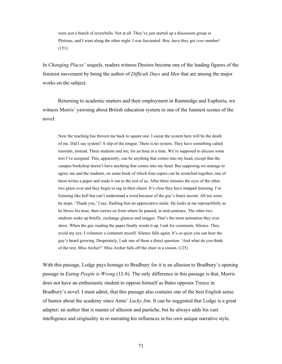were just a bunch of screwballs. Not at all. They've just started up a discussion group in Plotinus, and I went along the other night. I was fascinated. Boy, have they got your number! (151)

In Changing Places' sequels, readers witness Desiree become one of the leading figures of the feminist movement by being the author of Difficult Days and Men that are among the major works on the subject.

 Returning to academic matters and their employment in Rummidge and Euphoria, we witness Morris' yawning about British education system in one of the funniest scenes of the novel:

Now the teaching has thrown me back to square one. I swear the system here will be the death of me. Did I say system? A slip of the tongue. There is no system. They have something called tutorials, instead. Three students and me, for an hour at a time. We're supposed to discuss some text I've assigned. This, apparently, can be anything that comes into my head, except that the campus bookshop doesn't have anything that comes into my head. But supposing we manage to agree, me and the students, on some book of which four copies can be scratched together, one of them writes a paper and reads it out to the rest of us. After three minutes the eyes of the other two glaze over and they begin to sag in their chairs. It's clear they have stopped listening. I'm listening like hell but can't understand a word because of the guy's limey accent. All too soon, he stops. 'Thank you,' I say, flashing him an appreciative smile. He looks at me reproachfully as he blows his nose, then carries on from where he paused, in mid-sentence. The other two students wake up briefly, exchange glances and snigger. That's the most animation they ever show. When the guy reading the paper finally winds it up, I ask for comments. Silence. They avoid my eye. I volunteer a comment myself. Silence falls again. It's so quiet you can hear the guy's beard growing. Desperately, I ask one of them a direct question. 'And what do you think of the text, Miss Archer?' Miss Archer falls off the chair in a swoon. (125)

With this passage, Lodge pays homage to Bradbury for it is an allusion to Bradbury's opening passage in Eating People is Wrong (12-8). The only difference in this passage is that, Morris does not have an enthusiastic student to oppose himself as Bates opposes Treece in Bradbury's novel. I must admit, that this passage also contains one of the best English sense of humor about the academy since Amis' Lucky Jim. It can be suggested that Lodge is a great adapter; an author that is master of allusion and pastiche, but he always adds his vast intelligence and originality in re-narrating his influences in his own unique narrative style.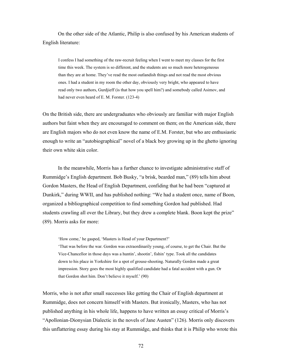On the other side of the Atlantic, Philip is also confused by his American students of English literature:

I confess I had something of the raw-recruit feeling when I went to meet my classes for the first time this week. The system is so different, and the students are so much more heterogeneous than they are at home. They've read the most outlandish things and not read the most obvious ones. I had a student in my room the other day, obviously very bright, who appeared to have read only two authors, Gurdjieff (is that how you spell him?) and somebody called Asimov, and had never even heard of E. M. Forster. (123-4)

On the British side, there are undergraduates who obviously are familiar with major English authors but faint when they are encouraged to comment on them; on the American side, there are English majors who do not even know the name of E.M. Forster, but who are enthusiastic enough to write an "autobiographical" novel of a black boy growing up in the ghetto ignoring their own white skin color.

In the meanwhile, Morris has a further chance to investigate administrative staff of Rummidge's English department. Bob Busky, "a brisk, bearded man," (89) tells him about Gordon Masters, the Head of English Department, confiding that he had been "captured at Dunkirk," during WWII, and has published nothing: "We had a student once, name of Boon, organized a bibliographical competition to find something Gordon had published. Had students crawling all over the Library, but they drew a complete blank. Boon kept the prize" (89). Morris asks for more:

'How come,' he gasped, 'Masters is Head of your Department?'

'That was before the war. Gordon was extraordinarily young, of course, to get the Chair. But the Vice-Chancellor in those days was a huntin', shootin', fishin' type. Took all the candidates down to his place in Yorkshire for a spot of grouse-shooting. Naturally Gordon made a great impression. Story goes the most highly qualified candidate had a fatal accident with a gun. Or that Gordon shot him. Don't believe it myself.' (90)

Morris, who is not after small successes like getting the Chair of English department at Rummidge, does not concern himself with Masters. But ironically, Masters, who has not published anything in his whole life, happens to have written an essay critical of Morris's "Apollonian-Dionysian Dialectic in the novels of Jane Austen" (126). Morris only discovers this unflattering essay during his stay at Rummidge, and thinks that it is Philip who wrote this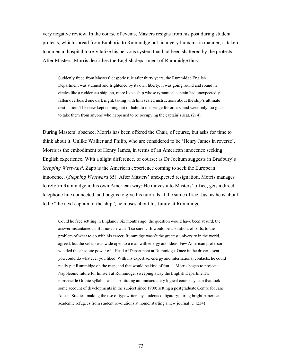very negative review. In the course of events, Masters resigns from his post during student protests, which spread from Euphoria to Rummidge but, in a very humanistic manner, is taken to a mental hospital to re-vitalize his nervous system that had been shattered by the protests. After Masters, Morris describes the English department of Rummidge thus:

Suddenly freed from Masters' despotic rule after thirty years, the Rummidge English Department was stunned and frightened by its own liberty, it was going round and round in circles like a rudderless ship, no, more like a ship whose tyrannical captain had unexpectedly fallen overboard one dark night, taking with him sealed instructions about the ship's ultimate destination. The crew kept coming out of habit to the bridge for orders, and were only too glad to take them from anyone who happened to be occupying the captain's seat. (214)

During Masters' absence, Morris has been offered the Chair, of course, but asks for time to think about it. Unlike Walker and Philip, who are considered to be 'Henry James in reverse', Morris is the embodiment of Henry James, in terms of an American innocence seeking English experience. With a slight difference, of course; as Dr Jochum suggests in Bradbury's Stepping Westward, Zapp is the American experience coming to seek the European innocence. (Stepping Westward 65). After Masters' unexpected resignation, Morris manages to reform Rummidge in his own American way: He moves into Masters' office, gets a direct telephone line connected, and begins to give his tutorials at the same office. Just as he is about to be "the next captain of the ship", he muses about his future at Rummidge:

Could he face settling in England? Six months ago, the question would have been absurd, the answer instantaneous. But now he wasn't so sure … It would be a solution, of sorts, to the problem of what to do with his career. Rummidge wasn't the greatest university in the world, agreed, but the set-up was wide open to a man with energy and ideas. Few American professors wielded the absolute power of a Head of Department at Rummidge. Once in the driver's seat, you could do whatever you liked. With his expertise, energy and international contacts, he could really put Rummidge on the map, and that would be kind of fun … Morris began to project a Napoleonic future for himself at Rummidge: sweeping away the English Department's ramshackle Gothic syllabus and substituting an immaculately logical course-system that took some account of developments in the subject since 1900; setting a postgraduate Centre for Jane Austen Studies; making the use of typewriters by students obligatory; hiring bright American academic refugees from student revolutions at home; starting a new journal … (234)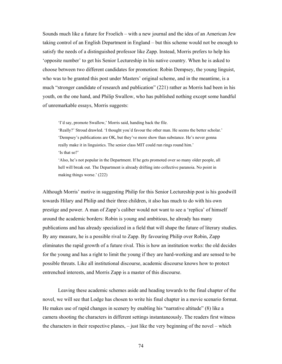Sounds much like a future for Froelich – with a new journal and the idea of an American Jew taking control of an English Department in England – but this scheme would not be enough to satisfy the needs of a distinguished professor like Zapp. Instead, Morris prefers to help his 'opposite number' to get his Senior Lectureship in his native country. When he is asked to choose between two different candidates for promotion: Robin Dempsey, the young linguist, who was to be granted this post under Masters' original scheme, and in the meantime, is a much "stronger candidate of research and publication" (221) rather as Morris had been in his youth, on the one hand, and Philip Swallow, who has published nothing except some handful of unremarkable essays, Morris suggests:

'I'd say, promote Swallow,' Morris said, handing back the file.

'Really?' Stroud drawled. 'I thought you'd favour the other man. He seems the better scholar.' 'Dempsey's publications are OK, but they've more show than substance. He's never gonna really make it in linguistics. The senior class MIT could run rings round him.' 'Is that so?'

'Also, he's not popular in the Department. If he gets promoted over so many older people, all hell will break out. The Department is already drifting into collective paranoia. No point in making things worse.' (222)

Although Morris' motive in suggesting Philip for this Senior Lectureship post is his goodwill towards Hilary and Philip and their three children, it also has much to do with his own prestige and power. A man of Zapp's caliber would not want to see a 'replica' of himself around the academic borders: Robin is young and ambitious, he already has many publications and has already specialized in a field that will shape the future of literary studies. By any measure, he is a possible rival to Zapp. By favouring Philip over Robin, Zapp eliminates the rapid growth of a future rival. This is how an institution works: the old decides for the young and has a right to limit the young if they are hard-working and are sensed to be possible threats. Like all institutional discourse, academic discourse knows how to protect entrenched interests, and Morris Zapp is a master of this discourse.

Leaving these academic schemes aside and heading towards to the final chapter of the novel, we will see that Lodge has chosen to write his final chapter in a movie scenario format. He makes use of rapid changes in scenery by enabling his "narrative altitude" (8) like a camera shooting the characters in different settings instantaneously. The readers first witness the characters in their respective planes, – just like the very beginning of the novel – which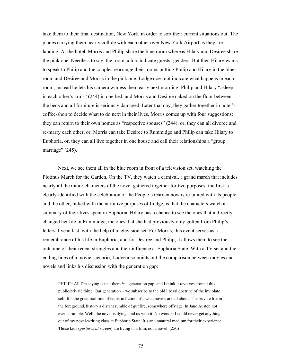take them to their final destination, New York, in order to sort their current situations out. The planes carrying them nearly collide with each other over New York Airport as they are landing. At the hotel, Morris and Philip share the blue room whereas Hilary and Desiree share the pink one. Needless to say, the room colors indicate guests' genders. But then Hilary wants to speak to Philip and the couples rearrange their rooms putting Philip and Hilary in the blue room and Desiree and Morris in the pink one. Lodge does not indicate what happens in each room; instead he lets his camera witness them early next morning: Philip and Hilary "asleep in each other's arms" (244) in one bed, and Morris and Desiree naked on the floor between the beds and all furniture is seriously damaged. Later that day, they gather together in hotel's coffee-shop to decide what to do next in their lives. Morris comes up with four suggestions: they can return to their own homes as "respective spouses" (244), or, they can all divorce and re-marry each other, or, Morris can take Desiree to Rummidge and Philip can take Hilary to Euphoria, or, they can all live together in one house and call their relationships a "group marriage" (245).

Next, we see them all in the blue room in front of a television set, watching the Plotinus March for the Garden. On the TV, they watch a carnival, a grand march that includes nearly all the minor characters of the novel gathered together for two purposes: the first is clearly identified with the celebration of the People's Garden now is re-united with its people, and the other, linked with the narrative purposes of Lodge, is that the characters watch a summary of their lives spent in Euphoria. Hilary has a chance to see the ones that indirectly changed her life in Rummidge, the ones that she had previously only gotten from Philip's letters, live at last, with the help of a television set. For Morris, this event serves as a remembrance of his life in Euphoria, and for Desiree and Philip, it allows them to see the outcome of their recent struggles and their influence at Euphoria State. With a TV set and the ending lines of a movie scenario, Lodge also points out the comparison between movies and novels and links his discussion with the generation gap:

PHILIP: All I'm saying is that there is a generation gap, and I think it revolves around this public/private thing. Our generation – we subscribe to the old liberal doctrine of the inviolate self. It's the great tradition of realistic fiction, it's what novels are all about. The private life in the foreground, history a distant rumble of gunfire, somewhere offstage. In Jane Austen not even a rumble. Well, the novel is dying, and us with it. No wonder I could never get anything out of my novel-writing class at Euphoric State. It's an unnatural medium for their experience. Those kids (gestures at screen) are living in a film, not a novel. (250)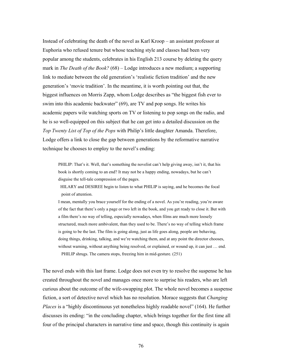Instead of celebrating the death of the novel as Karl Kroop – an assistant professor at Euphoria who refused tenure but whose teaching style and classes had been very popular among the students, celebrates in his English 213 course by deleting the query mark in The Death of the Book? (68) – Lodge introduces a new medium; a supporting link to mediate between the old generation's 'realistic fiction tradition' and the new generation's 'movie tradition'. In the meantime, it is worth pointing out that, the biggest influences on Morris Zapp, whom Lodge describes as "the biggest fish ever to swim into this academic backwater" (69), are TV and pop songs. He writes his academic papers wile watching sports on TV or listening to pop songs on the radio, and he is so well-equipped on this subject that he can get into a detailed discussion on the Top Twenty List of Top of the Pops with Philip's little daughter Amanda. Therefore, Lodge offers a link to close the gap between generations by the reformative narrative technique he chooses to employ to the novel's ending:

PHILIP: That's it. Well, that's something the novelist can't help giving away, isn't it, that his book is shortly coming to an end? It may not be a happy ending, nowadays, but he can't disguise the tell-tale compression of the pages.

 HILARY and DESIREE begin to listen to what PHILIP is saying, and he becomes the focal point of attention.

I mean, mentally you brace yourself for the ending of a novel. As you're reading, you're aware of the fact that there's only a page or two left in the book, and you get ready to close it. But with a film there's no way of telling, especially nowadays, when films are much more loosely structured, much more ambivalent, than they used to be. There's no way of telling which frame is going to be the last. The film is going along, just as life goes along, people are behaving, doing things, drinking, talking, and we're watching them, and at any point the director chooses, without warning, without anything being resolved, or explained, or wound up, it can just ... end. PHILIP shrugs. The camera stops, freezing him in mid-gesture. (251)

The novel ends with this last frame. Lodge does not even try to resolve the suspense he has created throughout the novel and manages once more to surprise his readers, who are left curious about the outcome of the wife-swapping plot. The whole novel becomes a suspense fiction, a sort of detective novel which has no resolution. Morace suggests that Changing Places is a "highly discontinuous yet nonetheless highly readable novel" (164). He further discusses its ending: "in the concluding chapter, which brings together for the first time all four of the principal characters in narrative time and space, though this continuity is again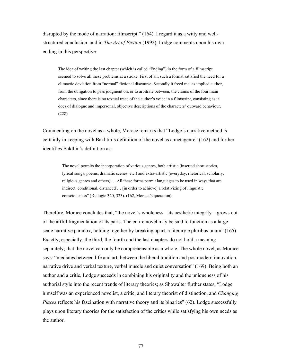disrupted by the mode of narration: filmscript." (164). I regard it as a witty and wellstructured conclusion, and in *The Art of Fiction* (1992), Lodge comments upon his own ending in this perspective:

The idea of writing the last chapter (which is called "Ending") in the form of a filmscript seemed to solve all these problems at a stroke. First of all, such a format satisfied the need for a climactic deviation from "normal" fictional discourse. Secondly it freed me, as implied author, from the obligation to pass judgment on, or to arbitrate between, the claims of the four main characters, since there is no textual trace of the author's voice in a filmscript, consisting as it does of dialogue and impersonal, objective descriptions of the characters' outward behaviour. (228)

Commenting on the novel as a whole, Morace remarks that "Lodge's narrative method is certainly in keeping with Bakhtin's definition of the novel as a metagenre" (162) and further identifies Bakthin's definition as:

> The novel permits the incorporation of various genres, both artistic (inserted short stories, lyrical songs, poems, dramatic scenes, etc.) and extra-artistic (everyday, rhetorical, scholarly, religious genres and others) … All these forms permit languages to be used in ways that are indirect, conditional, distanced … [in order to achieve] a relativizing of linguistic consciousness" (Dialogic 320, 323). (162, Morace's quotation).

Therefore, Morace concludes that, "the novel's wholeness – its aesthetic integrity – grows out of the artful fragmentation of its parts. The entire novel may be said to function as a largescale narrative paradox, holding together by breaking apart, a literary e pluribus unum" (165). Exactly; especially, the third, the fourth and the last chapters do not hold a meaning separately; that the novel can only be comprehensible as a whole. The whole novel, as Morace says: "mediates between life and art, between the liberal tradition and postmodern innovation, narrative drive and verbal texture, verbal muscle and quiet conversation" (169). Being both an author and a critic, Lodge succeeds in combining his originality and the uniqueness of his authorial style into the recent trends of literary theories; as Showalter further states, "Lodge himself was an experienced novelist, a critic, and literary theorist of distinction, and Changing Places reflects his fascination with narrative theory and its binaries" (62). Lodge successfully plays upon literary theories for the satisfaction of the critics while satisfying his own needs as the author.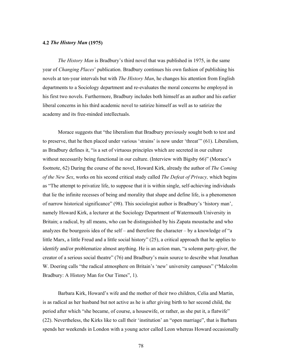## 4.2 The History Man (1975)

The History Man is Bradbury's third novel that was published in 1975, in the same year of Changing Places' publication. Bradbury continues his own fashion of publishing his novels at ten-year intervals but with *The History Man*, he changes his attention from English departments to a Sociology department and re-evaluates the moral concerns he employed in his first two novels. Furthermore, Bradbury includes both himself as an author and his earlier liberal concerns in his third academic novel to satirize himself as well as to satirize the academy and its free-minded intellectuals.

Morace suggests that "the liberalism that Bradbury previously sought both to test and to preserve, that he then placed under various 'strains' is now under 'threat'" (61). Liberalism, as Bradbury defines it, "is a set of virtuous principles which are secreted in our culture without necessarily being functional in our culture. (Interview with Bigsby 66)" (Morace's footnote, 62) During the course of the novel, Howard Kirk, already the author of The Coming of the New Sex, works on his second critical study called The Defeat of Privacy, which begins as "The attempt to privatize life, to suppose that it is within single, self-achieving individuals that lie the infinite recesses of being and morality that shape and define life, is a phenomenon of narrow historical significance" (98). This sociologist author is Bradbury's 'history man', namely Howard Kirk, a lecturer at the Sociology Department of Watermouth University in Britain; a radical, by all means, who can be distinguished by his Zapata moustache and who analyzes the bourgeois idea of the self – and therefore the character – by a knowledge of "a little Marx, a little Freud and a little social history" (25), a critical approach that he applies to identify and/or problematize almost anything. He is an action man, "a solemn party-giver, the creator of a serious social theatre" (76) and Bradbury's main source to describe what Jonathan W. Doering calls "the radical atmosphere on Britain's 'new' university campuses" ("Malcolm Bradbury: A History Man for Our Times", 1).

Barbara Kirk, Howard's wife and the mother of their two children, Celia and Martin, is as radical as her husband but not active as he is after giving birth to her second child, the period after which "she became, of course, a housewife, or rather, as she put it, a flatwife" (22). Nevertheless, the Kirks like to call their 'institution' an "open marriage", that is Barbara spends her weekends in London with a young actor called Leon whereas Howard occasionally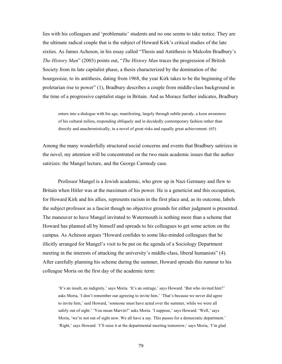lies with his colleagues and 'problematic' students and no one seems to take notice. They are the ultimate radical couple that is the subject of Howard Kirk's critical studies of the late sixties. As James Acheson, in his essay called "Thesis and Antithesis in Malcolm Bradbury's The History Man" (2003) points out, "The History Man traces the progression of British Society from its late capitalist phase, a thesis characterized by the domination of the bourgeoisie, to its antithesis, dating from 1968, the year Kirk takes to be the beginning of the proletarian rise to power" (1), Bradbury describes a couple from middle-class background in the time of a progressive capitalist stage in Britain. And as Morace further indicates, Bradbury

enters into a dialogue with his age, manifesting, largely through subtle parody, a keen awareness of his cultural milieu, responding obliquely and in decidedly contemporary fashion rather than directly and anachronistically, in a novel of great risks and equally great achievement. (65)

Among the many wonderfully structured social concerns and events that Bradbury satirizes in the novel, my attention will be concentrated on the two main academic issues that the author satirizes: the Mangel lecture, and the George Carmody case.

Professor Mangel is a Jewish academic, who grew up in Nazi Germany and flew to Britain when Hitler was at the maximum of his power. He is a geneticist and this occupation, for Howard Kirk and his allies, represents racism in the first place and, as its outcome, labels the subject professor as a fascist though no objective grounds for either judgment is presented. The maneuver to have Mangel invitated to Watermouth is nothing more than a scheme that Howard has planned all by himself and spreads to his colleagues to get some action on the campus. As Acheson argues "Howard confides to some like-minded colleagues that he illicitly arranged for Mangel's visit to be put on the agenda of a Sociology Department meeting in the interests of attacking the university's middle-class, liberal humanists" (4). After carefully planning his scheme during the summer, Howard spreads this rumour to his colleague Moria on the first day of the academic term:

'It's an insult, an indignity,' says Moria. 'It's an outrage,' says Howard. 'But who invited him?' asks Moria, 'I don't remember our agreeing to invite him.' 'That's because we never did agree to invite him,' said Howard, 'someone must have acted over the summer, while we were all safely out of sight.' 'You mean Marvin?' asks Moria. 'I suppose,' says Howard. 'Well,' says Moria, 'we're not out of sight now. We all have a say. This passes for a democratic department.' 'Right,' says Howard. 'I'll raise it at the departmental meeting tomorrow,' says Moria, 'I'm glad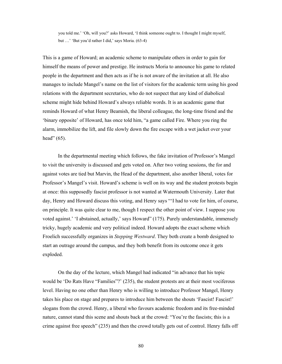you told me.' 'Oh, will you?' asks Howard, 'I think someone ought to. I thought I might myself, but …' 'But you'd rather I did,' says Moria. (63-4)

This is a game of Howard; an academic scheme to manipulate others in order to gain for himself the means of power and prestige. He instructs Moria to announce his game to related people in the department and then acts as if he is not aware of the invitation at all. He also manages to include Mangel's name on the list of visitors for the academic term using his good relations with the department secretaries, who do not suspect that any kind of diabolical scheme might hide behind Howard's always reliable words. It is an academic game that reminds Howard of what Henry Beamish, the liberal colleague, the long-time friend and the 'binary opposite' of Howard, has once told him, "a game called Fire. Where you ring the alarm, immobilize the lift, and file slowly down the fire escape with a wet jacket over your head"  $(65)$ .

In the departmental meeting which follows, the fake invitation of Professor's Mangel to visit the university is discussed and gets voted on. After two voting sessions, the for and against votes are tied but Marvin, the Head of the department, also another liberal, votes for Professor's Mangel's visit. Howard's scheme is well on its way and the student protests begin at once: this supposedly fascist professor is not wanted at Watermouth University. Later that day, Henry and Howard discuss this voting, and Henry says "'I had to vote for him, of course, on principle. It was quite clear to me, though I respect the other point of view. I suppose you voted against.' 'I abstained, actually,' says Howard" (175). Purely understandable, immensely tricky, hugely academic and very political indeed. Howard adopts the exact scheme which Froelich successfully organizes in *Stepping Westward*. They both create a bomb designed to start an outrage around the campus, and they both benefit from its outcome once it gets exploded.

On the day of the lecture, which Mangel had indicated "in advance that his topic would be 'Do Rats Have "Families"?' (235), the student protests are at their most vociferous level. Having no one other than Henry who is willing to introduce Professor Mangel, Henry takes his place on stage and prepares to introduce him between the shouts 'Fascist! Fascist!' slogans from the crowd. Henry, a liberal who favours academic freedom and its free-minded nature, cannot stand this scene and shouts back at the crowd: "You're the fascists; this is a crime against free speech" (235) and then the crowd totally gets out of control. Henry falls off

80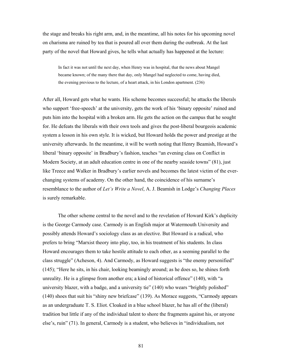the stage and breaks his right arm, and, in the meantime, all his notes for his upcoming novel on charisma are ruined by tea that is poured all over them during the outbreak. At the last party of the novel that Howard gives, he tells what actually has happened at the lecture:

In fact it was not until the next day, when Henry was in hospital, that the news about Mangel became known; of the many there that day, only Mangel had neglected to come, having died, the evening previous to the lecture, of a heart attack, in his London apartment. (236)

After all, Howard gets what he wants. His scheme becomes successful; he attacks the liberals who support 'free-speech' at the university, gets the work of his 'binary opposite' ruined and puts him into the hospital with a broken arm. He gets the action on the campus that he sought for. He defeats the liberals with their own tools and gives the post-liberal bourgeois academic system a lesson in his own style. It is wicked, but Howard holds the power and prestige at the university afterwards. In the meantime, it will be worth noting that Henry Beamish, Howard's liberal 'binary opposite' in Bradbury's fashion, teaches "an evening class on Conflict in Modern Society, at an adult education centre in one of the nearby seaside towns" (81), just like Treece and Walker in Bradbury's earlier novels and becomes the latest victim of the everchanging systems of academy. On the other hand, the coincidence of his surname's resemblance to the author of Let's Write a Novel, A. J. Beamish in Lodge's Changing Places is surely remarkable.

The other scheme central to the novel and to the revelation of Howard Kirk's duplicity is the George Carmody case. Carmody is an English major at Watermouth University and possibly attends Howard's sociology class as an elective. But Howard is a radical, who prefers to bring "Marxist theory into play, too, in his treatment of his students. In class Howard encourages them to take hostile attitude to each other, as a seeming parallel to the class struggle" (Acheson, 4). And Carmody, as Howard suggests is "the enemy personified" (145); "Here he sits, in his chair, looking beamingly around; as he does so, he shines forth unreality. He is a glimpse from another era; a kind of historical offence" (140), with "a university blazer, with a badge, and a university tie" (140) who wears "brightly polished" (140) shoes that suit his "shiny new briefcase" (139). As Morace suggests, "Carmody appears as an undergraduate T. S. Eliot. Cloaked in a blue school blazer, he has all of the (liberal) tradition but little if any of the individual talent to shore the fragments against his, or anyone else's, ruin" (71). In general, Carmody is a student, who believes in "individualism, not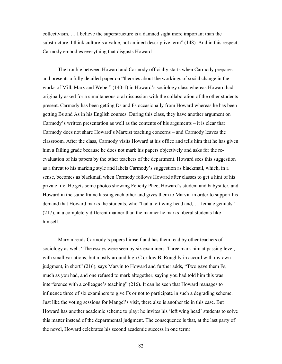collectivism. … I believe the superstructure is a damned sight more important than the substructure. I think culture's a value, not an inert descriptive term" (148). And in this respect, Carmody embodies everything that disgusts Howard.

The trouble between Howard and Carmody officially starts when Carmody prepares and presents a fully detailed paper on "theories about the workings of social change in the works of Mill, Marx and Weber" (140-1) in Howard's sociology class whereas Howard had originally asked for a simultaneous oral discussion with the collaboration of the other students present. Carmody has been getting Ds and Fs occasionally from Howard whereas he has been getting Bs and As in his English courses. During this class, they have another argument on Carmody's written presentation as well as the contents of his arguments – it is clear that Carmody does not share Howard's Marxist teaching concerns – and Carmody leaves the classroom. After the class, Carmody visits Howard at his office and tells him that he has given him a failing grade because he does not mark his papers objectively and asks for the reevaluation of his papers by the other teachers of the department. Howard sees this suggestion as a threat to his marking style and labels Carmody's suggestion as blackmail, which, in a sense, becomes as blackmail when Carmody follows Howard after classes to get a hint of his private life. He gets some photos showing Felicity Phee, Howard's student and babysitter, and Howard in the same frame kissing each other and gives them to Marvin in order to support his demand that Howard marks the students, who "had a left wing head and, … female genitals" (217), in a completely different manner than the manner he marks liberal students like himself.

Marvin reads Carmody's papers himself and has them read by other teachers of sociology as well. "The essays were seen by six examiners. Three mark him at passing level, with small variations, but mostly around high C or low B. Roughly in accord with my own judgment, in short" (216), says Marvin to Howard and further adds, "Two gave them Fs, much as you had, and one refused to mark altogether, saying you had told him this was interference with a colleague's teaching" (216). It can be seen that Howard manages to influence three of six examiners to give Fs or not to participate in such a degrading scheme. Just like the voting sessions for Mangel's visit, there also is another tie in this case. But Howard has another academic scheme to play: he invites his 'left wing head' students to solve this matter instead of the departmental judgment. The consequence is that, at the last party of the novel, Howard celebrates his second academic success in one term:

82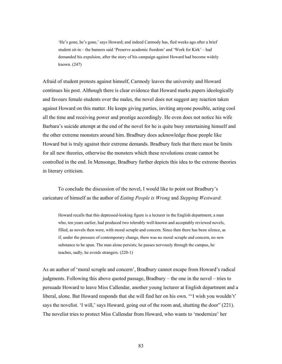'He's gone, he's gone,' says Howard; and indeed Carmody has, fled weeks ago after a brief student sit-in – the banners said 'Preserve academic freedom' and 'Work for Kirk' – had demanded his expulsion, after the story of his campaign against Howard had become widely known. (247)

Afraid of student protests against himself, Carmody leaves the university and Howard continues his post. Although there is clear evidence that Howard marks papers ideologically and favours female students over the males, the novel does not suggest any reaction taken against Howard on this matter. He keeps giving parties, inviting anyone possible, acting cool all the time and receiving power and prestige accordingly. He even does not notice his wife Barbara's suicide attempt at the end of the novel for he is quite busy entertaining himself and the other extreme monsters around him. Bradbury does acknowledge these people like Howard but is truly against their extreme demands. Bradbury feels that there must be limits for all new theories, otherwise the monsters which these revolutions create cannot be controlled in the end. In Mensonge, Bradbury further depicts this idea to the extreme theories in literary criticism.

 To conclude the discussion of the novel, I would like to point out Bradbury's caricature of himself as the author of Eating People is Wrong and Stepping Westward:

Howard recalls that this depressed-looking figure is a lecturer in the English department, a man who, ten years earlier, had produced two tolerably well-known and acceptably reviewed novels, filled, as novels then were, with moral scruple and concern. Since then there has been silence, as if, under the pressure of contemporary change, there was no moral scruple and concern, no new substance to be spun. The man alone persists; he passes nervously through the campus, he teaches, sadly, he avoids strangers. (220-1)

As an author of 'moral scruple and concern', Bradbury cannot escape from Howard's radical judgments. Following this above quoted passage, Bradbury – the one in the novel – tries to persuade Howard to leave Miss Callendar, another young lecturer at English department and a liberal, alone. But Howard responds that she will find her on his own. "'I wish you wouldn't' says the novelist. 'I will,' says Howard, going out of the room and, shutting the door" (221). The novelist tries to protect Miss Callendar from Howard, who wants to 'modernize' her

83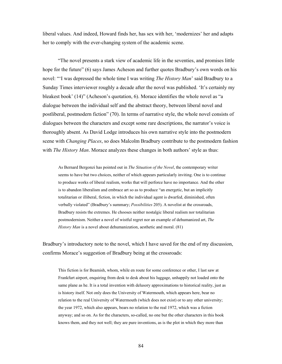liberal values. And indeed, Howard finds her, has sex with her, 'modernizes' her and adapts her to comply with the ever-changing system of the academic scene.

"The novel presents a stark view of academic life in the seventies, and promises little hope for the future" (6) says James Acheson and further quotes Bradbury's own words on his novel: ""I was depressed the whole time I was writing *The History Man*' said Bradbury to a Sunday Times interviewer roughly a decade after the novel was published. 'It's certainly my bleakest book' (14)" (Acheson's quotation, 6). Morace identifies the whole novel as "a dialogue between the individual self and the abstract theory, between liberal novel and postliberal, postmodern fiction" (70). In terms of narrative style, the whole novel consists of dialogues between the characters and except some rare descriptions, the narrator's voice is thoroughly absent. As David Lodge introduces his own narrative style into the postmodern scene with *Changing Places*, so does Malcolm Bradbury contribute to the postmodern fashion with *The History Man*. Morace analyzes these changes in both authors' style as thus:

As Bernard Bergonzi has pointed out in The Situation of the Novel, the contemporary writer seems to have but two choices, neither of which appears particularly inviting. One is to continue to produce works of liberal realism, works that will perforce have no importance. And the other is to abandon liberalism and embrace art so as to produce "an energetic, but an implicitly totalitarian or illiberal, fiction, in which the individual agent is dwarfed, diminished, often verbally violated" (Bradbury's summary; Possibilities 205). A novelist at the crossroads, Bradbury resists the extremes. He chooses neither nostalgic liberal realism nor totalitarian postmodernism. Neither a novel of wistful regret nor an example of dehumanized art, The History Man is a novel about dehumanization, aesthetic and moral. (81)

Bradbury's introductory note to the novel, which I have saved for the end of my discussion, confirms Morace's suggestion of Bradbury being at the crossroads:

This fiction is for Beamish, whom, while en route for some conference or other, I last saw at Frankfurt airport, enquiring from desk to desk about his luggage, unhappily not loaded onto the same plane as he. It is a total invention with delusory approximations to historical reality, just as is history itself. Not only does the University of Watermouth, which appears here, bear no relation to the real University of Watermouth (which does not exist) or to any other university; the year 1972, which also appears, bears no relation to the real 1972, which was a fiction anyway; and so on. As for the characters, so-called, no one but the other characters in this book knows them, and they not well; they are pure inventions, as is the plot in which they more than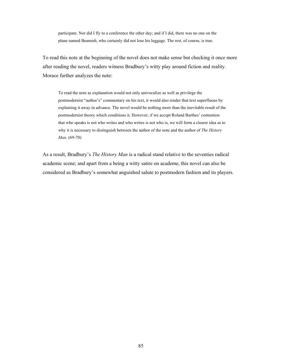participate. Nor did I fly to a conference the other day; and if I did, there was no one on the plane named Beamish, who certainly did not lose his luggage. The rest, of course, is true.

To read this note at the beginning of the novel does not make sense but checking it once more after reading the novel, readers witness Bradbury's witty play around fiction and reality. Morace further analyzes the note:

To read the note as explanation would not only univocalize as well as privilege the postmodernist "author's" commentary on his text, it would also render that text superfluous by explaining it away in advance. The novel would be nothing more than the inevitable result of the postmodernist theory which conditions it. However, if we accept Roland Barthes' contention that who speaks is not who writes and who writes is not who is, we will form a clearer idea as to why it is necessary to distinguish between the author of the note and the author of The History Man. (69-70)

As a result, Bradbury's *The History Man* is a radical stand relative to the seventies radical academic scene; and apart from a being a witty satire on academe, this novel can also be considered as Bradbury's somewhat anguished salute to postmodern fashion and its players.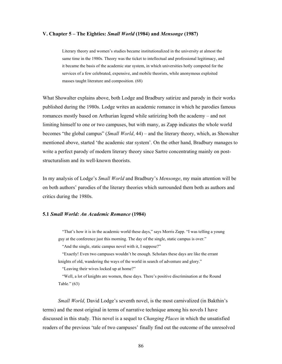## V. Chapter 5 – The Eighties: Small World (1984) and Mensonge (1987)

Literary theory and women's studies became institutionalized in the university at almost the same time in the 1980s. Theory was the ticket to intellectual and professional legitimacy, and it became the basis of the academic star system, in which universities hotly competed for the services of a few celebrated, expensive, and mobile theorists, while anonymous exploited masses taught literature and composition. (68)

What Showalter explains above, both Lodge and Bradbury satirize and parody in their works published during the 1980s. Lodge writes an academic romance in which he parodies famous romances mostly based on Arthurian legend while satirizing both the academy – and not limiting himself to one or two campuses, but with many, as Zapp indicates the whole world becomes "the global campus" (Small World, 44) – and the literary theory, which, as Showalter mentioned above, started 'the academic star system'. On the other hand, Bradbury manages to write a perfect parody of modern literary theory since Sartre concentrating mainly on poststructuralism and its well-known theorists.

In my analysis of Lodge's Small World and Bradbury's Mensonge, my main attention will be on both authors' parodies of the literary theories which surrounded them both as authors and critics during the 1980s.

## 5.1 Small World: An Academic Romance (1984)

"That's how it is in the academic world these days," says Morris Zapp. "I was telling a young guy at the conference just this morning. The day of the single, static campus is over."

"And the single, static campus novel with it, I suppose?"

"Exactly! Even two campuses wouldn't be enough. Scholars these days are like the errant knights of old, wandering the ways of the world in search of adventure and glory."

"Leaving their wives locked up at home?"

"Well, a lot of knights are women, these days. There's positive discrimination at the Round Table." (63)

Small World, David Lodge's seventh novel, is the most carnivalized (in Bakthin's terms) and the most original in terms of narrative technique among his novels I have discussed in this study. This novel is a sequel to Changing Places in which the unsatisfied readers of the previous 'tale of two campuses' finally find out the outcome of the unresolved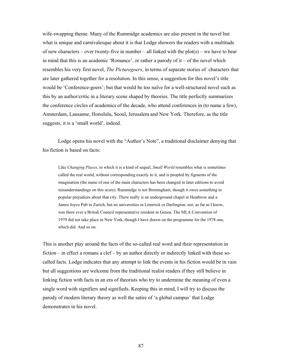wife-swapping theme. Many of the Rummidge academics are also present in the novel but what is unique and carnivalesque about it is that Lodge showers the readers with a multitude of new characters – over twenty-five in number – all linked with the  $plot(s)$  – we have to bear in mind that this is an academic 'Romance', or rather a parody of it – of the novel which resembles his very first novel, The Picturegoers, in terms of separate stories of characters that are later gathered together for a resolution. In this sense, a suggestion for this novel's title would be 'Conference-goers'; but that would be too naïve for a well-structured novel such as this by an author/critic in a literary scene shaped by theories. The title perfectly summarizes the conference circles of academics of the decade, who attend conferences in (to name a few), Amsterdam, Lausanne, Honolulu, Seoul, Jerusalem and New York. Therefore, as the title suggests, it is a 'small world', indeed.

Lodge opens his novel with the "Author's Note", a traditional disclaimer denying that his fiction is based on facts:

Like Changing Places, to which it is a kind of sequel, *Small World* resembles what is sometimes called the real world, without corresponding exactly to it, and is peopled by figments of the imagination (the name of one of the main characters has been changed in later editions to avoid misunderstandings on this score). Rummidge is not Birmingham, though it owes something to popular prejudices about that city. There really is an underground chapel at Heathrow and a James Joyce Pub in Zurich, but no universities in Limerick or Darlington; nor, as far as I know, was there ever a British Council representative resident in Genoa. The MLA Convention of 1979 did not take place in New York, though I have drawn on the programme for the 1978 one, which did. And so on.

This is another play around the facts of the so-called real word and their representation in fiction – in effect a romans a clef – by an author directly or indirectly linked with these socalled facts. Lodge indicates that any attempt to link the events in his fiction would be in vain but all suggestions are welcome from the traditional realist readers if they still believe in linking fiction with facts in an era of theorists who try to undermine the meaning of even a single word with signifiers and signifieds. Keeping this in mind, I will try to discuss the parody of modern literary theory as well the satire of 'a global campus' that Lodge demonstrates in his novel.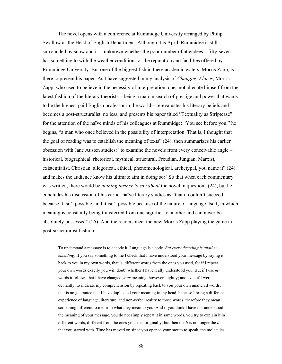The novel opens with a conference at Rummidge University arranged by Philip Swallow as the Head of English Department. Although it is April, Rummidge is still surrounded by snow and it is unknown whether the poor number of attendees – fifty-seven – has something to with the weather conditions or the reputation and facilities offered by Rummidge University. But one of the biggest fish in these academic waters, Morris Zapp, is there to present his paper. As I have suggested in my analysis of Changing Places, Morris Zapp, who used to believe in the necessity of interpretation, does not alienate himself from the latest fashion of the literary theorists – being a man in search of prestige and power that wants to be the highest paid English professor in the world – re-evaluates his literary beliefs and becomes a post-structuralist, no less, and presents his paper titled "Textuality as Striptease" for the attention of the naïve minds of his colleagues at Rummidge: "You see before you," he begins, "a man who once believed in the possibility of interpretation. That is, I thought that the goal of reading was to establish the meaning of texts" (24), then summarizes his earlier obsession with Jane Austen studies: "to examine the novels from every conceivable angle – historical, biographical, rhetorical, mythical, structural, Freudian, Jungian, Marxist, existentialist, Christian, allegorical, ethical, phenomenological, archetypal, you name it" (24) and makes the audience know his ultimate aim in doing so: "So that when each commentary was written, there would be *nothing further to say about* the novel in question" (24), but he concludes his discussion of his earlier naïve literary studies as "that it couldn't succeed because it isn't possible, and it isn't possible because of the nature of language itself, in which meaning is constantly being transferred from one signifier to another and can never be absolutely possessed" (25). And the readers meet the new Morris Zapp playing the game in post-structuralist fashion:

To understand a message is to decode it. Language is a code. But every decoding is another encoding. If you say something to me I check that I have understood your message by saying it back to you in my own words, that is, different words from the ones you used, for if I repeat your own words exactly you will doubt whether I have really understood you. But if I use my words it follows that I have changed *your* meaning, however slightly; and even if I were, deviantly, to indicate my comprehension by repeating back to you your own unaltered words, that is no guarantee that I have duplicated your meaning in my head, because I bring a different experience of language, literature, and non-verbal reality to those words, therefore they mean something different to me from what they mean to you. And if you think I have not understood the meaning of your message, you do not simply repeat it in same words, you try to explain it in different words, different from the ones you used originally; but then the  $it$  is no longer the  $it$ that you started with. Time has moved on since you opened your mouth to speak, the molecules

88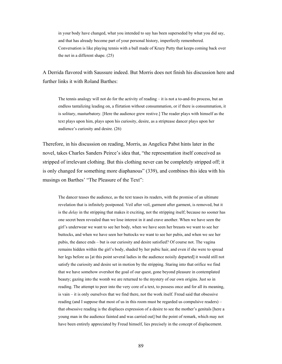in your body have changed, what you intended to say has been superseded by what you did say, and that has already become part of your personal history, imperfectly remembered. Conversation is like playing tennis with a ball made of Krazy Putty that keeps coming back over the net in a different shape. (25)

A Derrida flavored with Saussure indeed. But Morris does not finish his discussion here and further links it with Roland Barthes:

The tennis analogy will not do for the activity of reading – it is not a to-and-fro process, but an endless tantalizing leading on, a flirtation without consummation, or if there is consummation, it is solitary, masturbatory. [Here the audience grew restive.] The reader plays with himself as the text plays upon him, plays upon his curiosity, desire, as a striptease dancer plays upon her audience's curiosity and desire. (26)

Therefore, in his discussion on reading, Morris, as Angelica Pabst hints later in the novel, takes Charles Sanders Peirce's idea that, "the representation itself conceived as stripped of irrelevant clothing. But this clothing never can be completely stripped off; it is only changed for something more diaphanous" (339), and combines this idea with his musings on Barthes' "The Pleasure of the Text":

The dancer teases the audience, as the text teases its readers, with the promise of an ultimate revelation that is infinitely postponed. Veil after veil, garment after garment, is removed, but it is the *delay* in the stripping that makes it exciting, not the stripping itself; because no sooner has one secret been revealed than we lose interest in it and crave another. When we have seen the girl's underwear we want to see her body, when we have seen her breasts we want to see her buttocks, and when we have seen her buttocks we want to see her pubis, and when we see her pubis, the dance ends – but is our curiosity and desire satisfied? Of course not. The vagina remains hidden within the girl's body, shaded by her pubic hair, and even if she were to spread her legs before us [at this point several ladies in the audience noisily departed] it would still not satisfy the curiosity and desire set in motion by the stripping. Staring into that orifice we find that we have somehow overshot the goal of our quest, gone beyond pleasure in contemplated beauty; gazing into the womb we are returned to the mystery of our own origins. Just so in reading. The attempt to peer into the very core of a text, to possess once and for all its meaning, is vain – it is only ourselves that we find there, not the work itself. Freud said that obsessive reading (and I suppose that most of us in this room must be regarded us compulsive readers) – that obsessive reading is the displaces expression of a desire to see the mother's genitals [here a young man in the audience fainted and was carried out] but the point of remark, which may not have been entirely appreciated by Freud himself, lies precisely in the concept of displacement.

89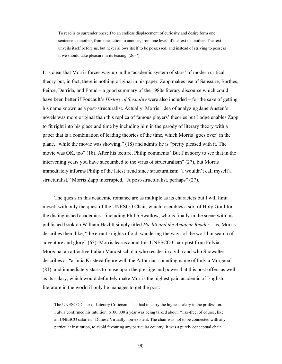To read is to surrender oneself to an endless displacement of curiosity and desire form one sentence to another, from one action to another, from one level of the text to another. The text unveils itself before us, but never allows itself to be possessed; and instead of striving to possess it we should take pleasure in its teasing. (26-7)

It is clear that Morris forces way up in the 'academic system of stars' of modern critical theory but, in fact, there is nothing original in his paper. Zapp makes use of Saussure, Barthes, Peirce, Derrida, and Freud – a good summary of the 1980s literary discourse which could have been better if Foucault's *History of Sexuality* were also included – for the sake of getting his name known as a post-structuralist. Actually, Morris' idea of analyzing Jane Austen's novels was more original than this replica of famous players' theories but Lodge enables Zapp to fit right into his place and time by including him in the parody of literary theory with a paper that is a combination of leading theories of the time, which Morris 'goes over' in the plane, "while the movie was showing," (18) and admits he is "pretty pleased with it. The movie was OK, too" (18). After his lecture, Philip comments "But I'm sorry to see that in the intervening years you have succumbed to the virus of structuralism" (27), but Morris immediately informs Philip of the latest trend since structuralism: "I wouldn't call myself a structuralist," Morris Zapp interrupted, "A post-structuralist, perhaps" (27).

The quests in this academic romance are as multiple as its characters but I will limit myself with only the quest of the UNESCO Chair, which resembles a sort of Holy Grail for the distinguished academics – including Philip Swallow, who is finally in the scene with his published book on William Hazlitt simply titled Hazlitt and the Amateur Reader – as, Morris describes them like, "the errant knights of old, wandering the ways of the world in search of adventure and glory" (63). Morris learns about this UNESCO Chair post from Fulvia Morgana, an attractive Italian Marxist scholar who resides in a villa and who Showalter describes as "a Julia Kristeva figure with the Arthurian-sounding name of Fulvia Morgana" (81), and immediately starts to muse upon the prestige and power that this post offers as well as its salary, which would definitely make Morris the highest paid academic of English literature in the world if only he manages to get the post:

The UNESCO Chair of Literary Criticism! That had to carry the highest salary in the profession. Fulvia confirmed his intuition: \$100,000 a year was being talked about. "Tax-free, of course, like all UNESCO salaries." Duties? Virtually non-existent. The chair was not to be connected with any particular institution, to avoid favouring any particular country. It was a purely conceptual chair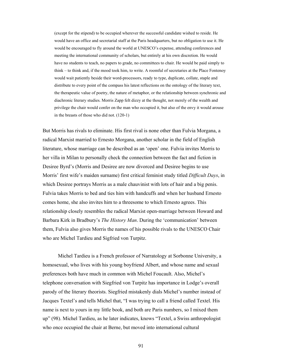(except for the stipend) to be occupied wherever the successful candidate wished to reside. He would have an office and secretarial staff at the Paris headquarters, but no obligation to use it. He would be encouraged to fly around the world at UNESCO's expense, attending conferences and meeting the international community of scholars, but entirely at his own discretion. He would have no students to teach, no papers to grade, no committees to chair. He would be paid simply to think – to think and, if the mood took him, to write. A roomful of secretaries at the Place Fontenoy would wait patiently beside their word-processors, ready to type, duplicate, collate, staple and distribute to every point of the compass his latest reflections on the ontology of the literary text, the therapeutic value of poetry, the nature of metaphor, or the relationship between synchronic and diachronic literary studies. Morris Zapp felt dizzy at the thought, not merely of the wealth and privilege the chair would confer on the man who occupied it, but also of the envy it would arouse in the breasts of those who did not. (120-1)

But Morris has rivals to eliminate. His first rival is none other than Fulvia Morgana, a radical Marxist married to Ernesto Morgana, another scholar in the field of English literature, whose marriage can be described as an 'open' one. Fulvia invites Morris to her villa in Milan to personally check the connection between the fact and fiction in Desiree Byrd's (Morris and Desiree are now divorced and Desiree begins to use Morris' first wife's maiden surname) first critical feminist study titled *Difficult Days*, in which Desiree portrays Morris as a male chauvinist with lots of hair and a big penis. Fulvia takes Morris to bed and ties him with handcuffs and when her husband Ernesto comes home, she also invites him to a threesome to which Ernesto agrees. This relationship closely resembles the radical Marxist open-marriage between Howard and Barbara Kirk in Bradbury's The History Man. During the 'communication' between them, Fulvia also gives Morris the names of his possible rivals to the UNESCO Chair who are Michel Tardieu and Sigfried von Turpitz.

Michel Tardieu is a French professor of Narratology at Sorbonne University, a homosexual, who lives with his young boyfriend Albert, and whose name and sexual preferences both have much in common with Michel Foucault. Also, Michel's telephone conversation with Siegfried von Turpitz has importance in Lodge's overall parody of the literary theorists. Siegfried mistakenly dials Michel's number instead of Jacques Textel's and tells Michel that, "I was trying to call a friend called Textel. His name is next to yours in my little book, and both are Paris numbers, so I mixed them up" (98). Michel Tardieu, as he later indicates, knows "Textel, a Swiss anthropologist who once occupied the chair at Berne, but moved into international cultural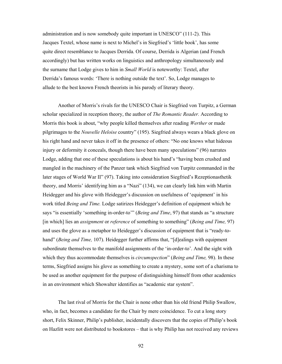administration and is now somebody quite important in UNESCO" (111-2). This Jacques Textel, whose name is next to Michel's in Siegfried's 'little book', has some quite direct resemblance to Jacques Derrida. Of course, Derrida is Algerian (and French accordingly) but has written works on linguistics and anthropology simultaneously and the surname that Lodge gives to him in Small World is noteworthy: Textel, after Derrida's famous words: 'There is nothing outside the text'. So, Lodge manages to allude to the best known French theorists in his parody of literary theory.

Another of Morris's rivals for the UNESCO Chair is Siegfried von Turpitz, a German scholar specialized in reception theory, the author of *The Romantic Reader*. According to Morris this book is about, "why people killed themselves after reading *Werther* or made pilgrimages to the Nouvelle Heloise country" (195). Siegfried always wears a black glove on his right hand and never takes it off in the presence of others: "No one knows what hideous injury or deformity it conceals, though there have been many speculations" (96) narrates Lodge, adding that one of these speculations is about his hand's "having been crushed and mangled in the machinery of the Panzer tank which Siegfried von Turpitz commanded in the later stages of World War II" (97). Taking into consideration Siegfried's Rezeptionasthetik theory, and Morris' identifying him as a "Nazi" (134), we can clearly link him with Martin Heidegger and his glove with Heidegger's discussion on usefulness of 'equipment' in his work titled *Being and Time*. Lodge satirizes Heidegger's definition of equipment which he says "is essentially 'something in-order-to'" (Being and Time, 97) that stands as "a structure [in which] lies an *assignment* or *reference* of something to something" (Being and Time, 97) and uses the glove as a metaphor to Heidegger's discussion of equipment that is "ready-tohand" (Being and Time, 107). Heidegger further affirms that, "[d]ealings with equipment subordinate themselves to the manifold assignments of the 'in-order-to'. And the sight with which they thus accommodate themselves is *circumspection*" (Being and Time, 98). In these terms, Siegfried assigns his glove as something to create a mystery, some sort of a charisma to be used as another equipment for the purpose of distinguishing himself from other academics in an environment which Showalter identifies as "academic star system".

The last rival of Morris for the Chair is none other than his old friend Philip Swallow, who, in fact, becomes a candidate for the Chair by mere coincidence. To cut a long story short, Felix Skinner, Philip's publisher, incidentally discovers that the copies of Philip's book on Hazlitt were not distributed to bookstores – that is why Philip has not received any reviews

92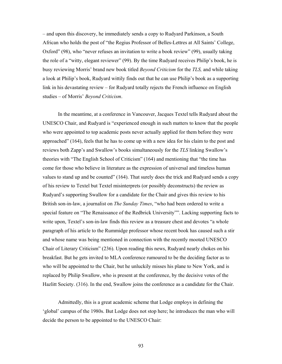– and upon this discovery, he immediately sends a copy to Rudyard Parkinson, a South African who holds the post of "the Regius Professor of Belles-Lettres at All Saints' College, Oxford" (98), who "never refuses an invitation to write a book review" (99), usually taking the role of a "witty, elegant reviewer" (99). By the time Rudyard receives Philip's book, he is busy reviewing Morris' brand new book titled *Beyond Criticism* for the TLS, and while taking a look at Philip's book, Rudyard wittily finds out that he can use Philip's book as a supporting link in his devastating review – for Rudyard totally rejects the French influence on English studies – of Morris' Beyond Criticism.

In the meantime, at a conference in Vancouver, Jacques Textel tells Rudyard about the UNESCO Chair, and Rudyard is "experienced enough in such matters to know that the people who were appointed to top academic posts never actually applied for them before they were approached" (164), feels that he has to come up with a new idea for his claim to the post and reviews both Zapp's and Swallow's books simultaneously for the TLS linking Swallow's theories with "The English School of Criticism" (164) and mentioning that "the time has come for those who believe in literature as the expression of universal and timeless human values to stand up and be counted" (164). That surely does the trick and Rudyard sends a copy of his review to Textel but Textel misinterprets (or possibly deconstructs) the review as Rudyard's supporting Swallow for a candidate for the Chair and gives this review to his British son-in-law, a journalist on *The Sunday Times*, "who had been ordered to write a special feature on "The Renaissance of the Redbrick University"". Lacking supporting facts to write upon, Textel's son-in-law finds this review as a treasure chest and devotes "a whole paragraph of his article to the Rummidge professor whose recent book has caused such a stir and whose name was being mentioned in connection with the recently mooted UNESCO Chair of Literary Criticism" (236). Upon reading this news, Rudyard nearly chokes on his breakfast. But he gets invited to MLA conference rumoured to be the deciding factor as to who will be appointed to the Chair, but he unluckily misses his plane to New York, and is replaced by Philip Swallow, who is present at the conference, by the decisive votes of the Hazlitt Society. (316). In the end, Swallow joins the conference as a candidate for the Chair.

Admittedly, this is a great academic scheme that Lodge employs in defining the 'global' campus of the 1980s. But Lodge does not stop here; he introduces the man who will decide the person to be appointed to the UNESCO Chair: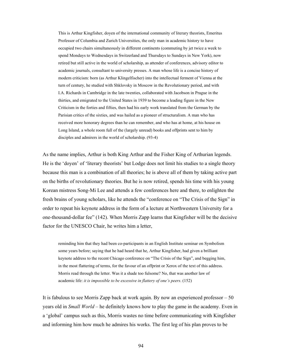This is Arthur Kingfisher, doyen of the international community of literary theorists, Emeritus Professor of Columbia and Zurich Universities, the only man in academic history to have occupied two chairs simultaneously in different continents (commuting by jet twice a week to spend Mondays to Wednesdays in Switzerland and Thursdays to Sundays in New York), now retired but still active in the world of scholarship, as attender of conferences, advisory editor to academic journals, consultant to university presses. A man whose life is a concise history of modern criticism: born (as Arthur Klingelfischer) into the intellectual ferment of Vienna at the turn of century, he studied with Shklovsky in Moscow in the Revolutionary period, and with I.A. Richards in Cambridge in the late twenties, collaborated with Jacobson in Prague in the thirties, and emigrated to the United States in 1939 to become a leading figure in the New Criticism in the forties and fifties, then had his early work translated from the German by the Parisian critics of the sixties, and was hailed as a pioneer of structuralism. A man who has received more honorary degrees than he can remember, and who has at home, at his house on Long Island, a whole room full of the (largely unread) books and offprints sent to him by disciples and admirers in the world of scholarship. (93-4)

As the name implies, Arthur is both King Arthur and the Fisher King of Arthurian legends. He is the 'doyen' of 'literary theorists' but Lodge does not limit his studies to a single theory because this man is a combination of all theories; he is above all of them by taking active part on the births of revolutionary theories. But he is now retired, spends his time with his young Korean mistress Song-Mi Lee and attends a few conferences here and there, to enlighten the fresh brains of young scholars, like he attends the "conference on "The Crisis of the Sign" in order to repeat his keynote address in the form of a lecture at Northwestern University for a one-thousand-dollar fee" (142). When Morris Zapp learns that Kingfisher will be the decisive factor for the UNESCO Chair, he writes him a letter,

reminding him that they had been co-participants in an English Institute seminar on Symbolism some years before; saying that he had heard that he, Arthur Kingfisher, had given a brilliant keynote address to the recent Chicago conference on "The Crisis of the Sign", and begging him, in the most flattering of terms, for the favour of an offprint or Xerox of the text of this address. Morris read through the letter. Was it a shade too fulsome? No, that was another law of academic life: it is impossible to be excessive in flattery of one's peers. (152)

It is fabulous to see Morris Zapp back at work again. By now an experienced professor – 50 years old in Small World – he definitely knows how to play the game in the academy. Even in a 'global' campus such as this, Morris wastes no time before communicating with Kingfisher and informing him how much he admires his works. The first leg of his plan proves to be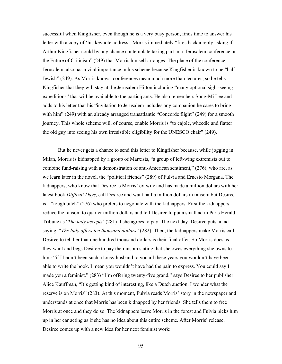successful when Kingfisher, even though he is a very busy person, finds time to answer his letter with a copy of 'his keynote address'. Morris immediately "fires back a reply asking if Arthur Kingfisher could by any chance contemplate taking part in a Jerusalem conference on the Future of Criticism" (249) that Morris himself arranges. The place of the conference, Jerusalem, also has a vital importance in his scheme because Kingfisher is known to be "half-Jewish" (249). As Morris knows, conferences mean much more than lectures, so he tells Kingfisher that they will stay at the Jerusalem Hilton including "many optional sight-seeing expeditions" that will be available to the participants. He also remembers Song-Mi Lee and adds to his letter that his "invitation to Jerusalem includes any companion he cares to bring with him" (249) with an already arranged transatlantic "Concorde flight" (249) for a smooth journey. This whole scheme will, of course, enable Morris is "to cajole, wheedle and flatter the old guy into seeing his own irresistible eligibility for the UNESCO chair" (249).

But he never gets a chance to send this letter to Kingfisher because, while jogging in Milan, Morris is kidnapped by a group of Marxists, "a group of left-wing extremists out to combine fund-raising with a demonstration of anti-American sentiment," (276), who are, as we learn later in the novel, the "political friends" (289) of Fulvia and Ernesto Morgana. The kidnappers, who know that Desiree is Morris' ex-wife and has made a million dollars with her latest book Difficult Days, call Desiree and want half a million dollars in ransom but Desiree is a "tough bitch" (276) who prefers to negotiate with the kidnappers. First the kidnappers reduce the ransom to quarter million dollars and tell Desiree to put a small ad in Paris Herald Tribune as 'The lady accepts' (281) if she agrees to pay. The next day, Desiree puts an ad saying: "The lady offers ten thousand dollars" (282). Then, the kidnappers make Morris call Desiree to tell her that one hundred thousand dollars is their final offer. So Morris does as they want and begs Desiree to pay the ransom stating that she owes everything she owns to him: "if I hadn't been such a lousy husband to you all these years you wouldn't have been able to write the book. I mean you wouldn't have had the pain to express. You could say I made you a feminist." (283) "I'm offering twenty-five grand," says Desiree to her publisher Alice Kauffman, "It's getting kind of interesting, like a Dutch auction. I wonder what the reserve is on Morris" (283). At this moment, Fulvia reads Morris' story in the newspaper and understands at once that Morris has been kidnapped by her friends. She tells them to free Morris at once and they do so. The kidnappers leave Morris in the forest and Fulvia picks him up in her car acting as if she has no idea about this entire scheme. After Morris' release, Desiree comes up with a new idea for her next feminist work: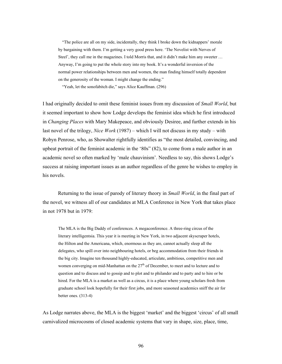"The police are all on my side, incidentally, they think I broke down the kidnappers' morale by bargaining with them. I'm getting a very good press here. 'The Novelist with Nerves of Steel', they call me in the magazines. I told Morris that, and it didn't make him any sweeter … Anyway, I'm going to put the whole story into my book. It's a wonderful inversion of the normal power relationships between men and women, the man finding himself totally dependent on the generosity of the woman. I might change the ending."

"Yeah, let the sonofabitch die," says Alice Kauffman. (296)

I had originally decided to omit these feminist issues from my discussion of Small World, but it seemed important to show how Lodge develops the feminist idea which he first introduced in Changing Places with Mary Makepeace, and obviously Desiree, and further extends in his last novel of the trilogy, *Nice Work* (1987) – which I will not discuss in my study – with Robyn Penrose, who, as Showalter rightfully identifies as "the most detailed, convincing, and upbeat portrait of the feminist academic in the '80s" (82), to come from a male author in an academic novel so often marked by 'male chauvinism'. Needless to say, this shows Lodge's success at raising important issues as an author regardless of the genre he wishes to employ in his novels.

Returning to the issue of parody of literary theory in *Small World*, in the final part of the novel, we witness all of our candidates at MLA Conference in New York that takes place in not 1978 but in 1979:

The MLA is the Big Daddy of conferences. A megaconference. A three-ring circus of the literary intelligentsia. This year it is meeting in New York, in two adjacent skyscraper hotels, the Hilton and the Americana, which, enormous as they are, cannot actually sleep all the delegates, who spill over into neighbouring hotels, or beg accommodation from their friends in the big city. Imagine ten thousand highly-educated, articulate, ambitious, competitive men and women converging on mid-Manhattan on the  $27<sup>th</sup>$  of December, to meet and to lecture and to question and to discuss and to gossip and to plot and to philander and to party and to hire or be hired. For the MLA is a market as well as a circus, it is a place where young scholars fresh from graduate school look hopefully for their first jobs, and more seasoned academics sniff the air for better ones. (313-4)

As Lodge narrates above, the MLA is the biggest 'market' and the biggest 'circus' of all small carnivalized microcosms of closed academic systems that vary in shape, size, place, time,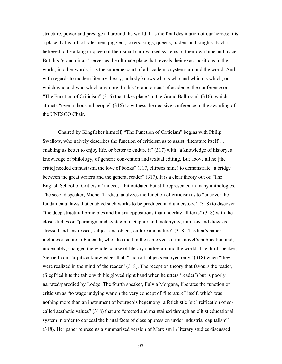structure, power and prestige all around the world. It is the final destination of our heroes; it is a place that is full of salesmen, jugglers, jokers, kings, queens, traders and knights. Each is believed to be a king or queen of their small carnivalized systems of their own time and place. But this 'grand circus' serves as the ultimate place that reveals their exact positions in the world; in other words, it is the supreme court of all academic systems around the world. And, with regards to modern literary theory, nobody knows who is who and which is which, or which who and who which anymore. In this 'grand circus' of academe, the conference on "The Function of Criticism" (316) that takes place "in the Grand Ballroom" (316), which attracts "over a thousand people" (316) to witness the decisive conference in the awarding of the UNESCO Chair.

Chaired by Kingfisher himself, "The Function of Criticism" begins with Philip Swallow, who naively describes the function of criticism as to assist "literature itself … enabling us better to enjoy life, or better to endure it" (317) with "a knowledge of history, a knowledge of philology, of generic convention and textual editing. But above all he [the critic] needed enthusiasm, the love of books" (317, ellipses mine) to demonstrate "a bridge between the great writers and the general reader" (317). It is a clear theory out of "The English School of Criticism" indeed, a bit outdated but still represented in many anthologies. The second speaker, Michel Tardieu, analyzes the function of criticism as to "uncover the fundamental laws that enabled such works to be produced and understood" (318) to discover "the deep structural principles and binary oppositions that underlay all texts" (318) with the close studies on "paradigm and syntagm, metaphor and metonymy, mimesis and diegesis, stressed and unstressed, subject and object, culture and nature" (318). Tardieu's paper includes a salute to Foucault, who also died in the same year of this novel's publication and, undeniably, changed the whole course of literary studies around the world. The third speaker, Siefried von Turpitz acknowledges that, "such art-objects enjoyed only" (318) when "they were realized in the mind of the reader" (318). The reception theory that favours the reader, (Siegfried hits the table with his gloved right hand when he utters 'reader') but is poorly narrated/parodied by Lodge. The fourth speaker, Fulvia Morgana, liberates the function of criticism as "to wage undying war on the very concept of "literature" itself, which was nothing more than an instrument of bourgeois hegemony, a fetichistic [sic] reification of socalled aesthetic values" (318) that are "erected and maintained through an elitist educational system in order to conceal the brutal facts of class oppression under industrial capitalism" (318). Her paper represents a summarized version of Marxism in literary studies discussed

97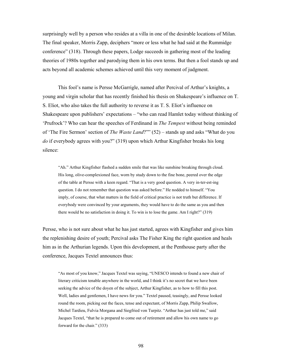surprisingly well by a person who resides at a villa in one of the desirable locations of Milan. The final speaker, Morris Zapp, deciphers "more or less what he had said at the Rummidge conference" (318). Through these papers, Lodge succeeds in gathering most of the leading theories of 1980s together and parodying them in his own terms. But then a fool stands up and acts beyond all academic schemes achieved until this very moment of judgment.

This fool's name is Persse McGarrigle, named after Percival of Arthur's knights, a young and virgin scholar that has recently finished his thesis on Shakespeare's influence on T. S. Eliot, who also takes the full authority to reverse it as T. S. Eliot's influence on Shakespeare upon publishers' expectations – "who can read Hamlet today without thinking of 'Prufrock'? Who can hear the speeches of Ferdinand in The Tempest without being reminded of 'The Fire Sermon' section of The Waste Land?"" (52) – stands up and asks "What do you do if everybody agrees with you?" (319) upon which Arthur Kingfisher breaks his long silence:

"Ah." Arthur Kingfisher flashed a sudden smile that was like sunshine breaking through cloud. His long, olive-complexioned face, worn by study down to the fine bone, peered over the edge of the table at Persse with a keen regard. "That is a very good question. A very in-ter-est-ing question. I do not remember that question was asked before." He nodded to himself. "You imply, of course, that what matters in the field of critical practice is not truth but difference. If everybody were convinced by your arguments, they would have to do the same as you and then there would be no satisfaction in doing it. To win is to lose the game. Am I right?" (319)

Persse, who is not sure about what he has just started, agrees with Kingfisher and gives him the replenishing desire of youth; Percival asks The Fisher King the right question and heals him as in the Arthurian legends. Upon this development, at the Penthouse party after the conference, Jacques Textel announces thus:

"As most of you know," Jacques Textel was saying, "UNESCO intends to found a new chair of literary criticism tenable anywhere in the world, and I think it's no secret that we have been seeking the advice of the doyen of the subject, Arthur Kingfisher, as to how to fill this post. Well, ladies and gentlemen, I have news for you." Textel paused, teasingly, and Persse looked round the room, picking out the faces, tense and expectant, of Morris Zapp, Philip Swallow, Michel Tardieu, Fulvia Morgana and Siegfried von Turpitz. "Arthur has just told me," said Jacques Textel, "that he is prepared to come out of retirement and allow his own name to go forward for the chair." (333)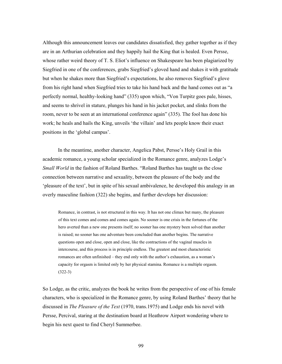Although this announcement leaves our candidates dissatisfied, they gather together as if they are in an Arthurian celebration and they happily hail the King that is healed. Even Persse, whose rather weird theory of T. S. Eliot's influence on Shakespeare has been plagiarized by Siegfried in one of the conferences, grabs Siegfried's gloved hand and shakes it with gratitude but when he shakes more than Siegfried's expectations, he also removes Siegfried's glove from his right hand when Siegfried tries to take his hand back and the hand comes out as "a perfectly normal, healthy-looking hand" (335) upon which, "Von Turpitz goes pale, hisses, and seems to shrivel in stature, plunges his hand in his jacket pocket, and slinks from the room, never to be seen at an international conference again" (335). The fool has done his work; he heals and hails the King, unveils 'the villain' and lets people know their exact positions in the 'global campus'.

In the meantime, another character, Angelica Pabst, Persse's Holy Grail in this academic romance, a young scholar specialized in the Romance genre, analyzes Lodge's Small World in the fashion of Roland Barthes. "Roland Barthes has taught us the close connection between narrative and sexuality, between the pleasure of the body and the 'pleasure of the text', but in spite of his sexual ambivalence, he developed this analogy in an overly masculine fashion (322) she begins, and further develops her discussion:

Romance, in contrast, is not structured in this way. It has not one climax but many, the pleasure of this text comes and comes and comes again. No sooner is one crisis in the fortunes of the hero averted than a new one presents itself; no sooner has one mystery been solved than another is raised; no sooner has one adventure been concluded than another begins. The narrative questions open and close, open and close, like the contractions of the vaginal muscles in intercourse, and this process is in principle endless. The greatest and most characteristic romances are often unfinished – they end only with the author's exhaustion, as a woman's capacity for orgasm is limited only by her physical stamina. Romance is a multiple orgasm. (322-3)

So Lodge, as the critic, analyzes the book he writes from the perspective of one of his female characters, who is specialized in the Romance genre, by using Roland Barthes' theory that he discussed in The Pleasure of the Text (1970, trans.1975) and Lodge ends his novel with Persse, Percival, staring at the destination board at Heathrow Airport wondering where to begin his next quest to find Cheryl Summerbee.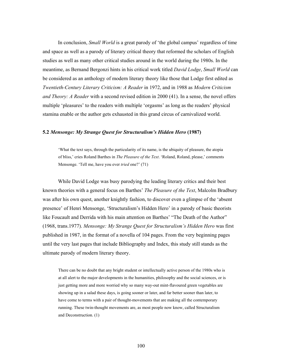In conclusion, Small World is a great parody of 'the global campus' regardless of time and space as well as a parody of literary critical theory that reformed the scholars of English studies as well as many other critical studies around in the world during the 1980s. In the meantime, as Bernand Bergonzi hints in his critical work titled *David Lodge*, *Small World* can be considered as an anthology of modern literary theory like those that Lodge first edited as Twentieth-Century Literary Criticism: A Reader in 1972, and in 1988 as Modern Criticism and Theory: A Reader with a second revised edition in 2000 (41). In a sense, the novel offers multiple 'pleasures' to the readers with multiple 'orgasms' as long as the readers' physical stamina enable or the author gets exhausted in this grand circus of carnivalized world.

## 5.2 Mensonge: My Strange Quest for Structuralism's Hidden Hero (1987)

'What the text says, through the particularity of its name, is the ubiquity of pleasure, the atopia of bliss,' cries Roland Barthes in The Pleasure of the Text. 'Roland, Roland, please,' comments Mensonge. 'Tell me, have you ever tried one?' (71)

While David Lodge was busy parodying the leading literary critics and their best known theories with a general focus on Barthes' The Pleasure of the Text, Malcolm Bradbury was after his own quest, another knightly fashion, to discover even a glimpse of the 'absent presence' of Henri Mensonge, 'Structuralism's Hidden Hero' in a parody of basic theorists like Foucault and Derrida with his main attention on Barthes' "The Death of the Author" (1968, trans.1977). Mensonge: My Strange Quest for Structuralism's Hidden Hero was first published in 1987, in the format of a novella of 104 pages. From the very beginning pages until the very last pages that include Bibliography and Index, this study still stands as the ultimate parody of modern literary theory.

There can be no doubt that any bright student or intellectually active person of the 1980s who is at all alert to the major developments in the humanities, philosophy and the social sciences, or is just getting more and more worried why so many way-out mint-flavoured green vegetables are showing up in a salad these days, is going sooner or later, and far better sooner than later, to have come to terms with a pair of thought-movements that are making all the contemporary running. These twin-thought movements are, as most people now know, called Structuralism and Deconstruction. (1)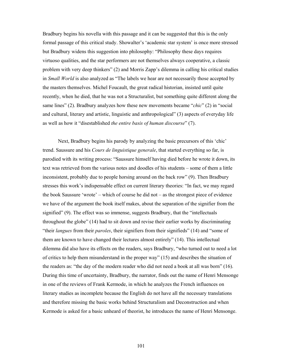Bradbury begins his novella with this passage and it can be suggested that this is the only formal passage of this critical study. Showalter's 'academic star system' is once more stressed but Bradbury widens this suggestion into philosophy: "Philosophy these days requires virtuoso qualities, and the star performers are not themselves always cooperative, a classic problem with very deep thinkers" (2) and Morris Zapp's dilemma in calling his critical studies in Small World is also analyzed as "The labels we hear are not necessarily those accepted by the masters themselves. Michel Foucault, the great radical historian, insisted until quite recently, when he died, that he was not a Structuralist, but something quite different along the same lines" (2). Bradbury analyzes how these new movements became "*chic*" (2) in "social and cultural, literary and artistic, linguistic and anthropological" (3) aspects of everyday life as well as how it "disestablished the entire basis of human discourse" (7).

Next, Bradbury begins his parody by analyzing the basic precursors of this 'chic' trend. Saussure and his Cours de linguistique generale, that started everything so far, is parodied with its writing process: "Saussure himself having died before he wrote it down, its text was retrieved from the various notes and doodles of his students – some of them a little inconsistent, probably due to people horsing around on the back row" (9). Then Bradbury stresses this work's indispensable effect on current literary theories: "In fact, we may regard the book Saussure 'wrote' – which of course he did not – as the strongest piece of evidence we have of the argument the book itself makes, about the separation of the signifier from the signified" (9). The effect was so immense, suggests Bradbury, that the "intellectuals throughout the globe" (14) had to sit down and revise their earlier works by discriminating "their *langues* from their *paroles*, their signifiers from their signifieds" (14) and "some of them are known to have changed their lectures almost entirely" (14). This intellectual dilemma did also have its effects on the readers, says Bradbury, "who turned out to need a lot of critics to help them misunderstand in the proper way" (15) and describes the situation of the readers as: "the day of the modern reader who did not need a book at all was born" (16). During this time of uncertainty, Bradbury, the narrator, finds out the name of Henri Mensonge in one of the reviews of Frank Kermode, in which he analyzes the French influences on literary studies as incomplete because the English do not have all the necessary translations and therefore missing the basic works behind Structuralism and Deconstruction and when Kermode is asked for a basic unheard of theorist, he introduces the name of Henri Mensonge.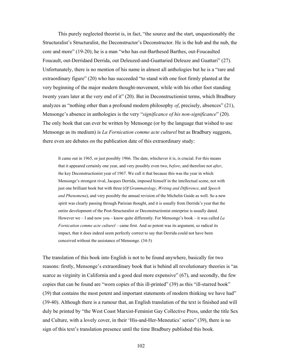This purely neglected theorist is, in fact, "the source and the start, unquestionably the Structuralist's Structuralist, the Deconstructor's Deconstructor. He is the hub and the nub, the core and more" (19-20); he is a man "who has out-Barthesed Barthes, out-Foucaulted Foucault, out-Derridaed Derrida, out Deleuzed-and-Guattaried Deleuze and Guattari" (27). Unfortunately, there is no mention of his name in almost all anthologies but he is a "rare and extraordinary figure" (20) who has succeeded "to stand with one foot firmly planted at the very beginning of the major modern thought-movement, while with his other foot standing twenty years later at the very end of it" (20). But in Deconstructionist terms, which Bradbury analyzes as "nothing other than a profound modern philosophy of, precisely, absences" (21), Mensonge's absence in anthologies is the very "significance of his non-significance" (20). The only book that can ever be written by Mensonge (or by the language that wished to use Mensonge as its medium) is *La Fornication comme acte culturel* but as Bradbury suggests, there even are debates on the publication date of this extraordinary study:

It came out in 1965, or just possibly 1966. The date, whichever it is, is crucial. For this means that it appeared certainly one year, and very possibly even two, before, and therefore not after, the key Deconstructionist year of 1967. We call it that because this was the year in which Mensonge's strongest rival, Jacques Derrida, imposed himself in the intellectual scene, not with just one brilliant book but with three (Of Grammatology, Writing and Difference, and Speech and Phenomena), and very possibly the annual revision of the Michelin Guide as well. So a new spirit was clearly passing through Parisian thought, and it is usually from Derrida's year that the entire development of the Post-Structuralist or Deconstructionist enterprise is usually dated. However we – I and now you – know quite differently. For Mensonge's book – it was called  $La$ Fornication comme acte culturel – came first. And so potent was its argument, so radical its impact, that it does indeed seem perfectly correct to say that Derrida could not have been conceived without the assistance of Mensonge. (34-5)

The translation of this book into English is not to be found anywhere, basically for two reasons: firstly, Mensonge's extraordinary book that is behind all revolutionary theories is "as scarce as virginity in California and a good deal more expensive" (67), and secondly, the few copies that can be found are "worn copies of this ill-printed" (39) as this "ill-starred book" (39) that contains the most potent and important statements of modern thinking we have had" (39-40). Although there is a rumour that, an English translation of the text is finished and will duly be printed by "the West Coast Marxist-Feminist Gay Collective Press, under the title Sex and Culture, with a lovely cover, in their 'His-and-Her-Meneutics' series" (39), there is no sign of this text's translation presence until the time Bradbury published this book.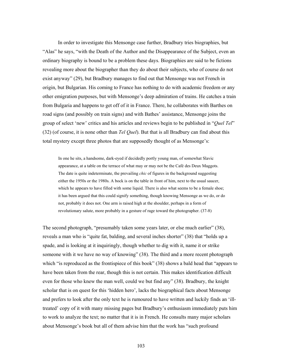In order to investigate this Mensonge case further, Bradbury tries biographies, but "Alas" he says, "with the Death of the Author and the Disappearance of the Subject, even an ordinary biography is bound to be a problem these days. Biographies are said to be fictions revealing more about the biographer than they do about their subjects, who of course do not exist anyway" (29), but Bradbury manages to find out that Mensonge was not French in origin, but Bulgarian. His coming to France has nothing to do with academic freedom or any other emigration purposes, but with Mensonge's deep admiration of trains. He catches a train from Bulgaria and happens to get off of it in France. There, he collaborates with Barthes on road signs (and possibly on train signs) and with Bathes' assistance, Mensonge joins the group of select 'new' critics and his articles and reviews begin to be published in "*Quel Tel*" (32) (of course, it is none other than *Tel Quel*). But that is all Bradbury can find about this total mystery except three photos that are supposedly thought of as Mensonge's:

In one he sits, a handsome, dark-eyed if decidedly portly young man, of somewhat Slavic appearance, at a table on the terrace of what may or may not be the Café des Deux Maggots. The date is quite indeterminate, the prevailing *chic* of figures in the background suggesting either the 1950s or the 1980s. A bock is on the table in front of him, next to the usual saucer, which he appears to have filled with some liquid. There is also what seems to be a female shoe; it has been argued that this could signify something, though knowing Mensonge as we do, or do not, probably it does not. One arm is raised high at the shoulder, perhaps in a form of revolutionary salute, more probably in a gesture of rage toward the photographer. (37-8)

The second photograph, "presumably taken some years later, or else much earlier" (38), reveals a man who is "quite fat, balding, and several inches shorter" (38) that "holds up a spade, and is looking at it inquiringly, though whether to dig with it, name it or strike someone with it we have no way of knowing" (38). The third and a more recent photograph which "is reproduced as the frontispiece of this book" (38) shows a bald head that "appears to have been taken from the rear, though this is not certain. This makes identification difficult even for those who knew the man well, could we but find any" (38). Bradbury, the knight scholar that is on quest for this 'hidden hero', lacks the biographical facts about Mensonge and prefers to look after the only text he is rumoured to have written and luckily finds an 'illtreated' copy of it with many missing pages but Bradbury's enthusiasm immediately puts him to work to analyze the text; no matter that it is in French. He consults many major scholars about Mensonge's book but all of them advise him that the work has "such profound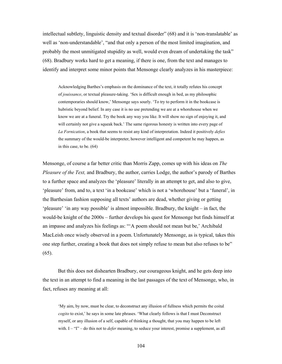intellectual subtlety, linguistic density and textual disorder" (68) and it is 'non-translatable' as well as 'non-understandable', "and that only a person of the most limited imagination, and probably the most unmitigated stupidity as well, would even dream of undertaking the task" (68). Bradbury works hard to get a meaning, if there is one, from the text and manages to identify and interpret some minor points that Mensonge clearly analyzes in his masterpiece:

Acknowledging Barthes's emphasis on the dominance of the text, it totally refutes his concept of jouissance, or textual pleasure-taking. 'Sex is difficult enough in bed, as my philosophic contemporaries should know,' Mensonge says sourly. 'To try to perform it in the bookcase is hubristic beyond belief. In any case it is no use pretending we are at a whorehouse when we know we are at a funeral. Try the book any way you like. It will show no sign of enjoying it, and will certainly not give a squeak back.' The same rigorous honesty is written into every page of La Fornication, a book that seems to resist any kind of interpretation. Indeed it positively defies the summary of the would-be interpreter, however intelligent and competent he may happen, as in this case, to be. (64)

Mensonge, of course a far better critic than Morris Zapp, comes up with his ideas on The Pleasure of the Text, and Bradbury, the author, carries Lodge, the author's parody of Barthes to a further space and analyzes the 'pleasure' literally in an attempt to get, and also to give, 'pleasure' from, and to, a text 'in a bookcase' which is not a 'whorehouse' but a 'funeral', in the Barthesian fashion supposing all texts' authors are dead, whether giving or getting 'pleasure' 'in any way possible' is almost impossible. Bradbury, the knight – in fact, the would-be knight of the 2000s – further develops his quest for Mensonge but finds himself at an impasse and analyzes his feelings as: "'A poem should not mean but be,' Archibald MacLeish once wisely observed in a poem. Unfortunately Mensonge, as is typical, takes this one step further, creating a book that does not simply refuse to mean but also refuses to be" (65).

But this does not dishearten Bradbury, our courageous knight, and he gets deep into the text in an attempt to find a meaning in the last passages of the text of Mensonge, who, in fact, refuses any meaning at all:

'My aim, by now, must be clear, to deconstruct any illusion of fullness which permits the coital cogito to exist,' he says in some late phrases. 'What clearly follows is that I must Deconstruct myself, or any illusion of a self, capable of thinking a thought, that you may happen to be left with. I – "I" – do this not to *defer* meaning, to seduce your interest, promise a supplement, as all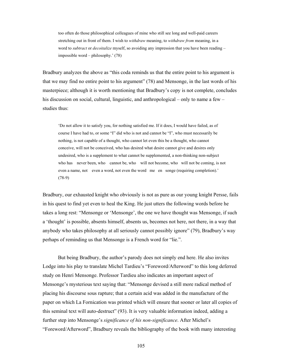too often do those philosophical colleagues of mine who still see long and well-paid careers stretching out in front of them. I wish to withdraw meaning, to withdraw from meaning, in a word to *subtract* or *decoitalize* myself, so avoiding any impression that you have been reading – impossible word – philosophy.' (78)

Bradbury analyzes the above as "this coda reminds us that the entire point to his argument is that we may find no entire point to his argument" (78) and Mensonge, in the last words of his masterpiece; although it is worth mentioning that Bradbury's copy is not complete, concludes his discussion on social, cultural, linguistic, and anthropological – only to name a few – studies thus:

'Do not allow it to satisfy you, for nothing satisfied me. If it does, I would have failed, as of course I have had to, or some "I" did who is not and cannot be "I", who must necessarily be nothing, is not capable of a thought, who cannot let even this be a thought, who cannot conceive, will not be conceived, who has desired what desire cannot give and desires only undesired, who is a supplement to what cannot be supplemented, a non-thinking non-subject who has never been, who cannot be, who will not become, who will not be coming, is not even a name, not even a word, not even the word me en songe (requiring completion).' (78-9)

Bradbury, our exhausted knight who obviously is not as pure as our young knight Persse, fails in his quest to find yet even to heal the King. He just utters the following words before he takes a long rest: "Mensonge or 'Mensonge', the one we have thought was Mensonge, if such a 'thought' is possible, absents himself, absents us, becomes not here, not there, in a way that anybody who takes philosophy at all seriously cannot possibly ignore" (79), Bradbury's way perhaps of reminding us that Mensonge is a French word for "lie.".

But being Bradbury, the author's parody does not simply end here. He also invites Lodge into his play to translate Michel Tardieu's "Foreword/Afterword" to this long deferred study on Henri Mensonge. Professor Tardieu also indicates an important aspect of Mensonge's mysterious text saying that: "Mensonge devised a still more radical method of placing his discourse sous rapture; that a certain acid was added in the manufacture of the paper on which La Fornication was printed which will ensure that sooner or later all copies of this seminal text will auto-destruct" (93). It is very valuable information indeed, adding a further step into Mensonge's *significance of his non-significance*. After Michel's "Foreword/Afterword", Bradbury reveals the bibliography of the book with many interesting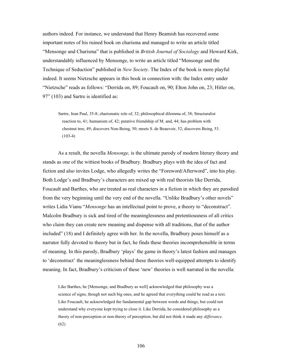authors indeed. For instance, we understand that Henry Beamish has recovered some important notes of his ruined book on charisma and managed to write an article titled "Mensonge and Charisma" that is published in *British Journal of Sociology* and Howard Kirk, understandably influenced by Mensonge, to write an article titled "Mensonge and the Technique of Seduction" published in *New Society*. The Index of the book is more playful indeed. It seems Nietzsche appears in this book in connection with: the Index entry under "Nietzsche" reads as follows: "Derrida on, 89; Foucault on, 90; Elton John on, 23; Hitler on, 97" (103) and Sartre is identified as:

Sartre, Jean Paul, 35-8; charismatic role of, 32; philosophical dilemma of, 38; Structuralist reaction to, 41; humanism of, 42; putative friendship of M. and, 44; has problem with chestnut tree, 49; discovers Non-Being, 50; meets S. de Beauvoir, 52; discovers Being, 53.  $(103-4)$ 

As a result, the novella *Mensonge*, is the ultimate parody of modern literary theory and stands as one of the wittiest books of Bradbury. Bradbury plays with the idea of fact and fiction and also invites Lodge, who allegedly writes the "Foreword/Afterword", into his play. Both Lodge's and Bradbury's characters are mixed up with real theorists like Derrida, Foucault and Barthes, who are treated as real characters in a fiction in which they are parodied from the very beginning until the very end of the novella. "Unlike Bradbury's other novels" writes Lidia Vianu "*Mensonge* has an intellectual point to prove, a theory to "deconstruct". Malcolm Bradbury is sick and tired of the meaninglessness and pretentiousness of all critics who claim they can create new meaning and dispense with all traditions, that of the author included" (18) and I definitely agree with her. In the novella, Bradbury poses himself as a narrator fully devoted to theory but in fact, he finds these theories incomprehensible in terms of meaning. In this parody, Bradbury 'plays' the game in theory's latest fashion and manages to 'deconstruct' the meaninglessness behind these theories well-equipped attempts to identify meaning. In fact, Bradbury's criticism of these 'new' theories is well narrated in the novella:

Like Barthes, he [Mensonge, and Bradbury as well] acknowledged that philosophy was a science of signs, though not such big ones, and he agreed that everything could be read as a text. Like Foucault, he acknowledged the fundamental gap between words and things, but could not understand why everyone kept trying to close it. Like Derrida, he considered philosophy as a theory of non-perception or non-theory of perception, but did not think it made any differance. (62)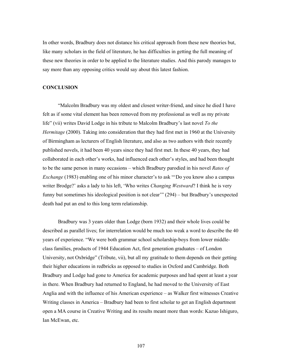In other words, Bradbury does not distance his critical approach from these new theories but, like many scholars in the field of literature, he has difficulties in getting the full meaning of these new theories in order to be applied to the literature studies. And this parody manages to say more than any opposing critics would say about this latest fashion.

## **CONCLUSION**

"Malcolm Bradbury was my oldest and closest writer-friend, and since he died I have felt as if some vital element has been removed from my professional as well as my private life" (vii) writes David Lodge in his tribute to Malcolm Bradbury's last novel To the Hermitage (2000). Taking into consideration that they had first met in 1960 at the University of Birmingham as lecturers of English literature, and also as two authors with their recently published novels, it had been 40 years since they had first met. In these 40 years, they had collaborated in each other's works, had influenced each other's styles, and had been thought to be the same person in many occasions – which Bradbury parodied in his novel Rates of Exchange (1983) enabling one of his minor character's to ask "'Do you know also a campus writer Brodge?' asks a lady to his left, 'Who writes *Changing Westward*? I think he is very funny but sometimes his ideological position is not clear'" (294) – but Bradbury's unexpected death had put an end to this long term relationship.

Bradbury was 3 years older than Lodge (born 1932) and their whole lives could be described as parallel lives; for interrelation would be much too weak a word to describe the 40 years of experience. "We were both grammar school scholarship-boys from lower middleclass families, products of 1944 Education Act, first generation graduates – of London University, not Oxbridge" (Tribute, vii), but all my gratitude to them depends on their getting their higher educations in redbricks as opposed to studies in Oxford and Cambridge. Both Bradbury and Lodge had gone to America for academic purposes and had spent at least a year in there. When Bradbury had returned to England, he had moved to the University of East Anglia and with the influence of his American experience – as Walker first witnesses Creative Writing classes in America – Bradbury had been to first scholar to get an English department open a MA course in Creative Writing and its results meant more than words: Kazuo Ishiguro, Ian McEwan, etc.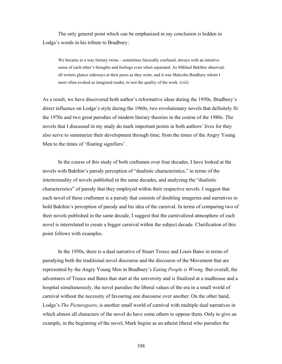The only general point which can be emphasized in my conclusion is hidden in Lodge's words in his tribute to Bradbury:

We became in a way literary twins – sometimes farcically confused, always with an intuitive sense of each other's thoughts and feelings even when separated. As Mikhail Bakthin observed, all writers glance sideways at their peers as they write, and it was Malcolm Bradbury whom I most often evoked as imagined reader, to test the quality of the work. (viii)

As a result, we have discovered both author's reformative ideas during the 1950s, Bradbury's direct influence on Lodge's style during the 1960s, two revolutionary novels that definitely fit the 1970s and two great parodies of modern literary theories in the course of the 1980s. The novels that I discussed in my study do mark important points in both authors' lives for they also serve to summarize their development through time; from the times of the Angry Young Men to the times of 'floating signifiers'.

In the course of this study of both craftsmen over four decades, I have looked at the novels with Bakthin's parody perception of "dualistic characteristics," in terms of the intertextuality of novels published in the same decades, and analyzing the "dualistic characteristics" of parody that they employed within their respective novels. I suggest that each novel of these craftsmen is a parody that consists of doubling imageries and narratives to hold Bakthin's perception of parody and his idea of the carnival. In terms of comparing two of their novels published in the same decade, I suggest that the carnivalized atmosphere of each novel is interrelated to create a bigger carnival within the subject decade. Clarification of this point follows with examples.

In the 1950s, there is a dual narrative of Stuart Treece and Louis Bates in terms of parodying both the traditional novel discourse and the discourse of the Movement that are represented by the Angry Young Men in Bradbury's Eating People is Wrong. But overall, the adventures of Treece and Bates that start at the university and is finalized at a madhouse and a hospital simultaneously, the novel parodies the liberal values of the era in a small world of carnival without the necessity of favouring one discourse over another. On the other hand, Lodge's *The Picturegoers*, is another small world of carnival with multiple dual narratives in which almost all characters of the novel do have some others to oppose them. Only to give an example, in the beginning of the novel, Mark begins as an atheist liberal who parodies the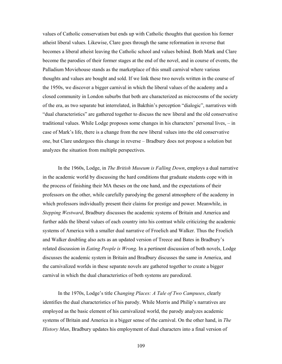values of Catholic conservatism but ends up with Catholic thoughts that question his former atheist liberal values. Likewise, Clare goes through the same reformation in reverse that becomes a liberal atheist leaving the Catholic school and values behind. Both Mark and Clare become the parodies of their former stages at the end of the novel, and in course of events, the Palladium Moviehouse stands as the marketplace of this small carnival where various thoughts and values are bought and sold. If we link these two novels written in the course of the 1950s, we discover a bigger carnival in which the liberal values of the academy and a closed community in London suburbs that both are characterized as microcosms of the society of the era, as two separate but interrelated, in Bakthin's perception "dialogic", narratives with "dual characteristics" are gathered together to discuss the new liberal and the old conservative traditional values. While Lodge proposes some changes in his characters' personal lives, – in case of Mark's life, there is a change from the new liberal values into the old conservative one, but Clare undergoes this change in reverse – Bradbury does not propose a solution but analyzes the situation from multiple perspectives.

In the 1960s, Lodge, in *The British Museum is Falling Down*, employs a dual narrative in the academic world by discussing the hard conditions that graduate students cope with in the process of finishing their MA theses on the one hand, and the expectations of their professors on the other, while carefully parodying the general atmosphere of the academy in which professors individually present their claims for prestige and power. Meanwhile, in Stepping Westward, Bradbury discusses the academic systems of Britain and America and further adds the liberal values of each country into his contrast while criticizing the academic systems of America with a smaller dual narrative of Froelich and Walker. Thus the Froelich and Walker doubling also acts as an updated version of Treece and Bates in Bradbury's related discussion in *Eating People is Wrong*. In a pertinent discussion of both novels, Lodge discusses the academic system in Britain and Bradbury discusses the same in America, and the carnivalized worlds in these separate novels are gathered together to create a bigger carnival in which the dual characteristics of both systems are parodized.

In the 1970s, Lodge's title Changing Places: A Tale of Two Campuses, clearly identifies the dual characteristics of his parody. While Morris and Philip's narratives are employed as the basic element of his carnivalized world, the parody analyzes academic systems of Britain and America in a bigger sense of the carnival. On the other hand, in *The* History Man, Bradbury updates his employment of dual characters into a final version of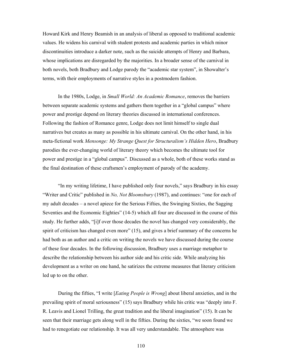Howard Kirk and Henry Beamish in an analysis of liberal as opposed to traditional academic values. He widens his carnival with student protests and academic parties in which minor discontinuities introduce a darker note, such as the suicide attempts of Henry and Barbara, whose implications are disregarded by the majorities. In a broader sense of the carnival in both novels, both Bradbury and Lodge parody the "academic star system", in Showalter's terms, with their employments of narrative styles in a postmodern fashion.

In the 1980s, Lodge, in Small World: An Academic Romance, removes the barriers between separate academic systems and gathers them together in a "global campus" where power and prestige depend on literary theories discussed in international conferences. Following the fashion of Romance genre, Lodge does not limit himself to single dual narratives but creates as many as possible in his ultimate carnival. On the other hand, in his meta-fictional work Mensonge: My Strange Quest for Structuralism's Hidden Hero, Bradbury parodies the ever-changing world of literary theory which becomes the ultimate tool for power and prestige in a "global campus". Discussed as a whole, both of these works stand as the final destination of these craftsmen's employment of parody of the academy.

"In my writing lifetime, I have published only four novels," says Bradbury in his essay "Writer and Critic" published in No, Not Bloomsbury (1987), and continues: "one for each of my adult decades – a novel apiece for the Serious Fifties, the Swinging Sixties, the Sagging Seventies and the Economic Eighties" (14-5) which all four are discussed in the course of this study. He further adds, "[i]f over those decades the novel has changed very considerably, the spirit of criticism has changed even more" (15), and gives a brief summary of the concerns he had both as an author and a critic on writing the novels we have discussed during the course of these four decades. In the following discussion, Bradbury uses a marriage metaphor to describe the relationship between his author side and his critic side. While analyzing his development as a writer on one hand, he satirizes the extreme measures that literary criticism led up to on the other.

During the fifties, "I write [*Eating People is Wrong*] about liberal anxieties, and in the prevailing spirit of moral seriousness" (15) says Bradbury while his critic was "deeply into F. R. Leavis and Lionel Trilling, the great tradition and the liberal imagination" (15). It can be seen that their marriage gets along well in the fifties. During the sixties, "we soon found we had to renegotiate our relationship. It was all very understandable. The atmosphere was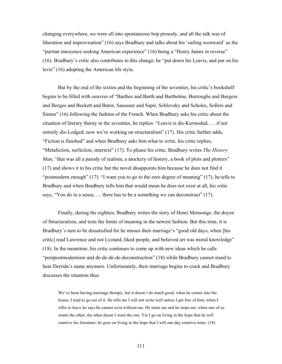changing everywhere, we were all into spontaneous bop prosody, and all the talk was of liberation and improvisation" (16) says Bradbury and talks about his 'sailing westward' as the "puritan innocence seeking American experience" (16) being a "Henry James in reverse" (16). Bradbury's critic also contributes to this change; he "put down his Leavis, and put on his levis" (16) adopting the American life style.

But by the end of the sixties and the beginning of the seventies, his critic's bookshelf begins to be filled with oeuvres of "Barthes and Barth and Barthelme, Burroughs and Burgess and Borges and Beckett and Butor, Saussure and Sapir, Schlovsky and Scholes, Sollers and Simon" (16) following the fashion of the French. When Bradbury asks his critic about the situation of literary theory in the seventies, he replies: "Leavis is dis-Kermoded, … if not entirely dis-Lodged; now we're working on structuralism" (17). His critic further adds, "Fiction is finished" and when Bradbury asks him what to write, his critic replies, "Metafiction, surfiction, intertext" (17). To please his critic, Bradbury writes The History Man, "that was all a parody of realism, a mockery of history, a book of plots and plotters" (17) and shows it to his critic but the novel disappoints him because he does not find it "postmodern enough" (17). "I want you to go to the zero degree of meaning" (17), he tells to Bradbury and when Bradbury tells him that would mean he does not exist at all, his critic says, "You do in a sense, … there has to be a something we can deconstruct" (17).

Finally, during the eighties, Bradbury writes the story of Henri Mensonge, the doyen of Structuralism, and tests the limits of meaning in the newest fashion. But this time, it is Bradbury's turn to be dissatisfied for he misses their marriage's "good old days, when [his critic] read Lawrence and not Lyotard, liked people, and believed art was moral knowledge" (18). In the meantime, his critic continues to come up with new ideas which he calls "postpostmodernism and de-de-de-de-deconstruction" (18) while Bradbury cannot stand to hear Derrida's name anymore. Unfortunately, their marriage begins to crack and Bradbury discusses the situation thus:

We've been having marriage therapy, but it doesn't do much good; when he comes into the house, I tend to go out of it. He tells me I will not write well unless I get free of him; when I offer to leave he says he cannot exist without me. He starts me and he stops me; when one of us wants the other, the other doesn't want the one. Yet I go on living in the hope that he will contrive his literature; he goes on living in the hope that I will one day contrive mine. (18)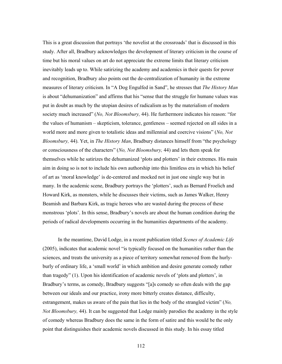This is a great discussion that portrays 'the novelist at the crossroads' that is discussed in this study. After all, Bradbury acknowledges the development of literary criticism in the course of time but his moral values on art do not appreciate the extreme limits that literary criticism inevitably leads up to. While satirizing the academy and academics in their quests for power and recognition, Bradbury also points out the de-centralization of humanity in the extreme measures of literary criticism. In "A Dog Engulfed in Sand", he stresses that The History Man is about "dehumanization" and affirms that his "sense that the struggle for humane values was put in doubt as much by the utopian desires of radicalism as by the materialism of modern society much increased" (No, Not Bloomsbury, 44). He furthermore indicates his reason: "for the values of humanism – skepticism, tolerance, gentleness – seemed rejected on all sides in a world more and more given to totalistic ideas and millennial and coercive visions" (No, Not Bloomsbury, 44). Yet, in The History Man, Bradbury distances himself from "the psychology or consciousness of the characters" (No, Not Bloomsbury, 44) and lets them speak for themselves while he satirizes the dehumanized 'plots and plotters' in their extremes. His main aim in doing so is not to include his own authorship into this limitless era in which his belief of art as 'moral knowledge' is de-centered and mocked not in just one single way but in many. In the academic scene, Bradbury portrays the 'plotters', such as Bernard Froelich and Howard Kirk, as monsters, while he discusses their victims, such as James Walker, Henry Beamish and Barbara Kirk, as tragic heroes who are wasted during the process of these monstrous 'plots'. In this sense, Bradbury's novels are about the human condition during the periods of radical developments occurring in the humanities departments of the academy.

In the meantime, David Lodge, in a recent publication titled Scenes of Academic Life (2005), indicates that academic novel "is typically focused on the humanities rather than the sciences, and treats the university as a piece of territory somewhat removed from the hurlyburly of ordinary life, a 'small world' in which ambition and desire generate comedy rather than tragedy" (1). Upon his identification of academic novels of 'plots and plotters', in Bradbury's terms, as comedy, Bradbury suggests "[a]s comedy so often deals with the gap between our ideals and our practice, irony more bitterly creates distance, difficulty, estrangement, makes us aware of the pain that lies in the body of the strangled victim" (No, Not Bloomsbury, 44). It can be suggested that Lodge mainly parodies the academy in the style of comedy whereas Bradbury does the same in the form of satire and this would be the only point that distinguishes their academic novels discussed in this study. In his essay titled

112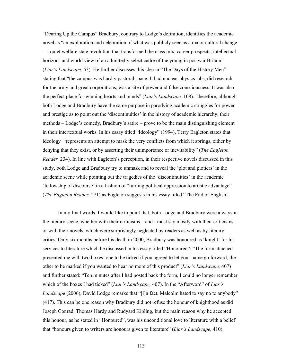"Dearing Up the Campus" Bradbury, contrary to Lodge's definition, identifies the academic novel as "an exploration and celebration of what was publicly seen as a major cultural change – a quiet welfare state revolution that transformed the class mix, career prospects, intellectual horizons and world view of an admittedly select cadre of the young in postwar Britain" (*Liar's Landscape*, 53). He further discusses this idea in "The Days of the History Men" stating that "the campus was hardly pastoral space. It had nuclear physics labs, did research for the army and great corporations, was a site of power and false consciousness. It was also the perfect place for winning hearts and minds" (*Liar's Landscape*, 108). Therefore, although both Lodge and Bradbury have the same purpose in parodying academic struggles for power and prestige as to point out the 'discontinuities' in the history of academic hierarchy, their methods – Lodge's comedy, Bradbury's satire – prove to be the main distinguishing element in their intertextual works. In his essay titled "Ideology" (1994), Terry Eagleton states that ideology "represents an attempt to mask the very conflicts from which it springs, either by denying that they exist, or by asserting their unimportance or inevitability" (*The Eagleton* Reader, 234). In line with Eagleton's perception, in their respective novels discussed in this study, both Lodge and Bradbury try to unmask and to reveal the 'plot and plotters' in the academic scene while pointing out the tragedies of the 'discontinuities' in the academic 'fellowship of discourse' in a fashion of "turning political oppression to artistic advantage" (The Eagleton Reader, 271) as Eagleton suggests in his essay titled "The End of English".

In my final words, I would like to point that, both Lodge and Bradbury were always in the literary scene, whether with their criticisms – and I must say mostly with their criticisms – or with their novels, which were surprisingly neglected by readers as well as by literary critics. Only six months before his death in 2000, Bradbury was honoured as 'knight' for his services to literature which he discussed in his essay titled "Honoured": "The form attached presented me with two boxes: one to be ticked if you agreed to let your name go forward, the other to be marked if you wanted to hear no more of this product" (Liar's Landscape, 407) and further stated: "Ten minutes after I had posted back the form, I could no longer remember which of the boxes I had ticked" (*Liar's Landscape*, 407). In the "Afterword" of *Liar's* Landscape (2006), David Lodge remarks that "[i]n fact, Malcolm hated to say no to anybody" (417). This can be one reason why Bradbury did not refuse the honour of knighthood as did Joseph Conrad, Thomas Hardy and Rudyard Kipling, but the main reason why he accepted this honour, as he stated in "Honoured", was his unconditional love to literature with a belief that "honours given to writers are honours given to literature" (Liar's Landscape, 410).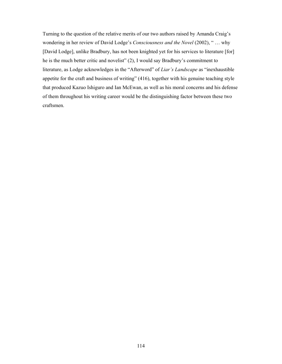Turning to the question of the relative merits of our two authors raised by Amanda Craig's wondering in her review of David Lodge's Consciousness and the Novel (2002), " … why [David Lodge], unlike Bradbury, has not been knighted yet for his services to literature [for] he is the much better critic and novelist" (2), I would say Bradbury's commitment to literature, as Lodge acknowledges in the "Afterword" of Liar's Landscape as "inexhaustible appetite for the craft and business of writing" (416), together with his genuine teaching style that produced Kazuo Ishiguro and Ian McEwan, as well as his moral concerns and his defense of them throughout his writing career would be the distinguishing factor between these two craftsmen.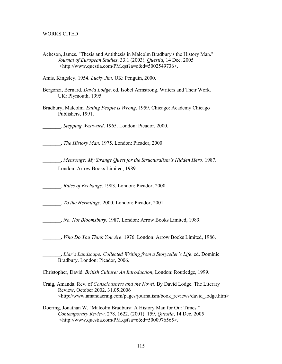Acheson, James. "Thesis and Antithesis in Malcolm Bradbury's the History Man." Journal of European Studies. 33.1 (2003), Questia, 14 Dec. 2005 <http://www.questia.com/PM.qst?a=o&d=5002549736>.

Amis, Kingsley. 1954. Lucky Jim. UK: Penguin, 2000.

- Bergonzi, Bernard. David Lodge. ed. Isobel Armstrong. Writers and Their Work. UK: Plymouth, 1995.
- Bradbury, Malcolm. Eating People is Wrong. 1959. Chicago: Academy Chicago Publishers, 1991.

\_\_\_\_\_\_\_. Stepping Westward. 1965. London: Picador, 2000.

\_\_\_\_\_\_\_. The History Man. 1975. London: Picador, 2000.

\_\_\_\_\_\_\_. Mensonge: My Strange Quest for the Structuralism's Hidden Hero. 1987. London: Arrow Books Limited, 1989.

\_\_\_\_\_\_\_. Rates of Exchange. 1983. London: Picador, 2000.

\_\_\_\_\_\_\_. To the Hermitage. 2000. London: Picador, 2001.

\_\_\_\_\_\_\_. No, Not Bloomsbury. 1987. London: Arrow Books Limited, 1989.

\_\_\_\_\_\_\_. Who Do You Think You Are. 1976. London: Arrow Books Limited, 1986.

\_\_\_\_\_\_\_. Liar's Landscape: Collected Writing from a Storyteller's Life. ed. Dominic Bradbury. London: Picador, 2006.

Christopher, David. British Culture: An Introduction, London: Routledge, 1999.

- Craig, Amanda. Rev. of Consciousness and the Novel. By David Lodge. The Literary Review, October 2002. 31.05.2006 <http://www.amandacraig.com/pages/journalism/book\_reviews/david\_lodge.htm>
- Doering, Jonathan W. "Malcolm Bradbury: A History Man for Our Times." Contemporary Review. 278. 1622. (2001): 159, Questia, 14 Dec. 2005 <http://www.questia.com/PM.qst?a=o&d=5000976565>.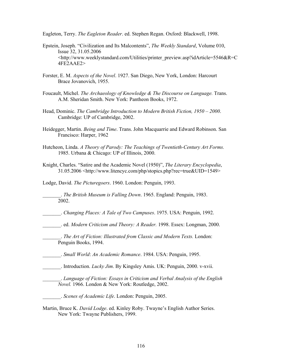Eagleton, Terry. The Eagleton Reader. ed. Stephen Regan. Oxford: Blackwell, 1998.

- Epstein, Joseph. "Civilization and Its Malcontents", The Weekly Standard, Volume 010, Issue 32, 31.05.2006 <http://www.weeklystandard.com/Utilities/printer\_preview.asp?idArticle=5546&R=C 4FE2AAE2>
- Forster, E. M. Aspects of the Novel. 1927. San Diego, New York, London: Harcourt Brace Jovanovich, 1955.
- Foucault, Michel. The Archaeology of Knowledge & The Discourse on Language. Trans. A.M. Sheridan Smith. New York: Pantheon Books, 1972.
- Head, Dominic. The Cambridge Introduction to Modern British Fiction, 1950 2000. Cambridge: UP of Cambridge, 2002.
- Heidegger, Martin. Being and Time. Trans. John Macquarrie and Edward Robinson. San Francisco: Harper, 1962
- Hutcheon, Linda. A Theory of Parody: The Teachings of Twentieth-Century Art Forms. 1985. Urbana & Chicago: UP of Illinois, 2000.

Knight, Charles. "Satire and the Academic Novel (1950)", The Literary Encyclopedia, 31.05.2006 <http://www.litencyc.com/php/stopics.php?rec=true&UID=1549>

Lodge, David. The Picturegoers. 1960. London: Penguin, 1993.

\_\_\_\_\_\_\_. The British Museum is Falling Down. 1965. England: Penguin, 1983. 2002.

\_\_\_\_\_\_\_. Changing Places: A Tale of Two Campuses. 1975. USA: Penguin, 1992.

\_\_\_\_\_\_\_. ed. Modern Criticism and Theory: A Reader. 1998. Essex: Longman, 2000.

\_\_\_\_\_\_\_. The Art of Fiction: Illustrated from Classic and Modern Texts. London: Penguin Books, 1994.

\_\_\_\_\_\_\_. Small World: An Academic Romance. 1984. USA: Penguin, 1995.

. Introduction. *Lucky Jim*. By Kingsley Amis. UK: Penguin, 2000. v-xvii.

\_\_\_\_\_\_\_. Language of Fiction: Essays in Criticism and Verbal Analysis of the English Novel. 1966. London & New York: Routledge, 2002.

\_\_\_\_\_\_\_. Scenes of Academic Life. London: Penguin, 2005.

Martin, Bruce K. David Lodge. ed. Kinley Roby. Twayne's English Author Series. New York: Twayne Publishers, 1999.